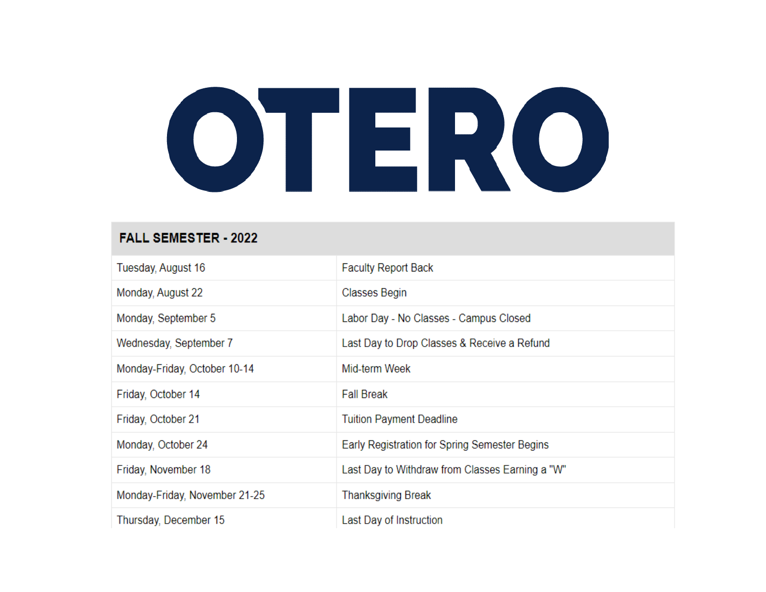# OTERO

### **FALL SEMESTER - 2022**

| Tuesday, August 16            | <b>Faculty Report Back</b>                      |
|-------------------------------|-------------------------------------------------|
| Monday, August 22             | Classes Begin                                   |
| Monday, September 5           | Labor Day - No Classes - Campus Closed          |
| Wednesday, September 7        | Last Day to Drop Classes & Receive a Refund     |
| Monday-Friday, October 10-14  | Mid-term Week                                   |
| Friday, October 14            | <b>Fall Break</b>                               |
| Friday, October 21            | <b>Tuition Payment Deadline</b>                 |
| Monday, October 24            | Early Registration for Spring Semester Begins   |
| Friday, November 18           | Last Day to Withdraw from Classes Earning a "W" |
| Monday-Friday, November 21-25 | Thanksgiving Break                              |
| Thursday, December 15         | Last Day of Instruction                         |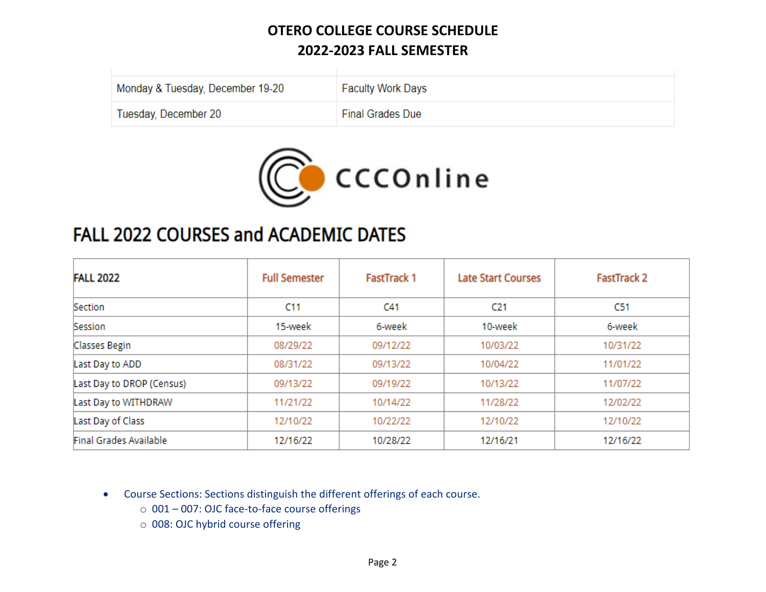| Monday & Tuesday, December 19-20 | <b>Faculty Work Days</b> |
|----------------------------------|--------------------------|
| Tuesday, December 20             | <b>Final Grades Due</b>  |



# FALL 2022 COURSES and ACADEMIC DATES

| <b>FALL 2022</b>          | <b>Full Semester</b> | <b>FastTrack 1</b> | <b>Late Start Courses</b> | <b>FastTrack 2</b> |
|---------------------------|----------------------|--------------------|---------------------------|--------------------|
| Section                   | C11                  | C <sub>41</sub>    | C <sub>21</sub>           | C51                |
| Session                   | 15-week              | 6-week             | 10-week                   | 6-week             |
| Classes Begin             | 08/29/22             | 09/12/22           | 10/03/22                  | 10/31/22           |
| Last Day to ADD           | 08/31/22             | 09/13/22           | 10/04/22                  | 11/01/22           |
| Last Day to DROP (Census) | 09/13/22             | 09/19/22           | 10/13/22                  | 11/07/22           |
| Last Day to WITHDRAW      | 11/21/22             | 10/14/22           | 11/28/22                  | 12/02/22           |
| Last Day of Class         | 12/10/22             | 10/22/22           | 12/10/22                  | 12/10/22           |
| Final Grades Available    | 12/16/22             | 10/28/22           | 12/16/21                  | 12/16/22           |

• Course Sections: Sections distinguish the different offerings of each course.

- o 001 007: OJC face-to-face course offerings
- o 008: OJC hybrid course offering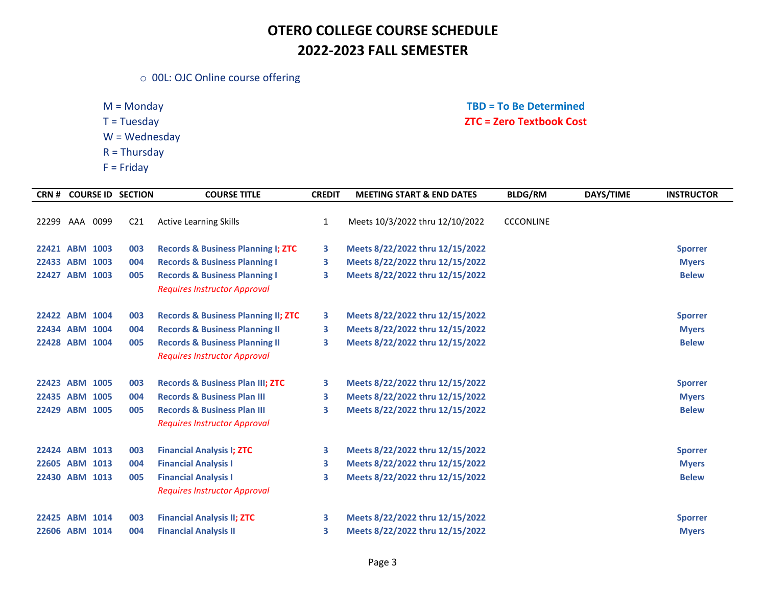o 00L: OJC Online course offering

W = Wednesday

- R = Thursday
- $F =$  Friday

### M = Monday **TBD = To Be Determined**  T = Tuesday **ZTC = Zero Textbook Cost**

| CRN #          |      | <b>COURSE ID SECTION</b> | <b>COURSE TITLE</b>                            | <b>CREDIT</b> | <b>MEETING START &amp; END DATES</b> | <b>BLDG/RM</b>   | DAYS/TIME | <b>INSTRUCTOR</b> |
|----------------|------|--------------------------|------------------------------------------------|---------------|--------------------------------------|------------------|-----------|-------------------|
|                |      |                          |                                                |               |                                      |                  |           |                   |
| 22299 AAA      | 0099 | C <sub>21</sub>          | <b>Active Learning Skills</b>                  | 1             | Meets 10/3/2022 thru 12/10/2022      | <b>CCCONLINE</b> |           |                   |
| 22421 ABM 1003 |      | 003                      | <b>Records &amp; Business Planning I; ZTC</b>  | 3             | Meets 8/22/2022 thru 12/15/2022      |                  |           | <b>Sporrer</b>    |
| 22433 ABM 1003 |      | 004                      | <b>Records &amp; Business Planning I</b>       | 3             | Meets 8/22/2022 thru 12/15/2022      |                  |           | <b>Myers</b>      |
| 22427 ABM 1003 |      | 005                      | <b>Records &amp; Business Planning I</b>       | 3             | Meets 8/22/2022 thru 12/15/2022      |                  |           | <b>Belew</b>      |
|                |      |                          | <b>Requires Instructor Approval</b>            |               |                                      |                  |           |                   |
| 22422 ABM 1004 |      | 003                      | <b>Records &amp; Business Planning II; ZTC</b> | 3             | Meets 8/22/2022 thru 12/15/2022      |                  |           | <b>Sporrer</b>    |
| 22434 ABM 1004 |      | 004                      | <b>Records &amp; Business Planning II</b>      | 3             | Meets 8/22/2022 thru 12/15/2022      |                  |           | <b>Myers</b>      |
| 22428 ABM 1004 |      | 005                      | <b>Records &amp; Business Planning II</b>      | 3             | Meets 8/22/2022 thru 12/15/2022      |                  |           | <b>Belew</b>      |
|                |      |                          | <b>Requires Instructor Approval</b>            |               |                                      |                  |           |                   |
|                |      |                          |                                                |               |                                      |                  |           |                   |
| 22423 ABM 1005 |      | 003                      | <b>Records &amp; Business Plan III; ZTC</b>    | 3             | Meets 8/22/2022 thru 12/15/2022      |                  |           | <b>Sporrer</b>    |
| 22435 ABM      | 1005 | 004                      | <b>Records &amp; Business Plan III</b>         | 3             | Meets 8/22/2022 thru 12/15/2022      |                  |           | <b>Myers</b>      |
| 22429 ABM 1005 |      | 005                      | <b>Records &amp; Business Plan III</b>         | 3             | Meets 8/22/2022 thru 12/15/2022      |                  |           | <b>Belew</b>      |
|                |      |                          | <b>Requires Instructor Approval</b>            |               |                                      |                  |           |                   |
| 22424 ABM 1013 |      | 003                      | <b>Financial Analysis I; ZTC</b>               | 3             | Meets 8/22/2022 thru 12/15/2022      |                  |           | <b>Sporrer</b>    |
| 22605 ABM      | 1013 | 004                      | <b>Financial Analysis I</b>                    | 3             | Meets 8/22/2022 thru 12/15/2022      |                  |           | <b>Myers</b>      |
| 22430 ABM 1013 |      | 005                      | <b>Financial Analysis I</b>                    | 3             | Meets 8/22/2022 thru 12/15/2022      |                  |           | <b>Belew</b>      |
|                |      |                          | <b>Requires Instructor Approval</b>            |               |                                      |                  |           |                   |
| 22425 ABM 1014 |      | 003                      | <b>Financial Analysis II; ZTC</b>              | 3             | Meets 8/22/2022 thru 12/15/2022      |                  |           | <b>Sporrer</b>    |
| 22606 ABM 1014 |      | 004                      | <b>Financial Analysis II</b>                   | 3             | Meets 8/22/2022 thru 12/15/2022      |                  |           | <b>Myers</b>      |
|                |      |                          |                                                |               |                                      |                  |           |                   |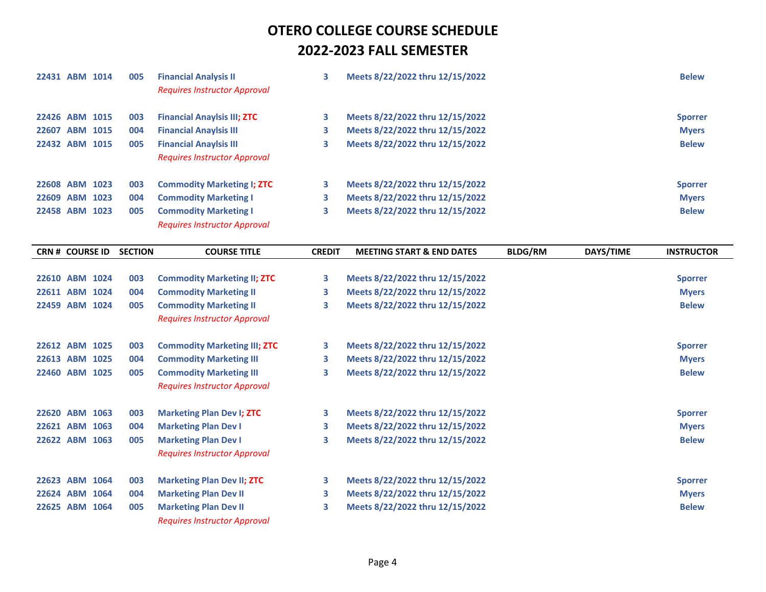|                        | 22431 ABM 1014 | 005            | <b>Financial Analysis II</b><br><b>Requires Instructor Approval</b> | 3             | Meets 8/22/2022 thru 12/15/2022      |                |           | <b>Belew</b>      |
|------------------------|----------------|----------------|---------------------------------------------------------------------|---------------|--------------------------------------|----------------|-----------|-------------------|
| 22426 ABM 1015         |                | 003            | <b>Financial Anaylsis III; ZTC</b>                                  | 3             | Meets 8/22/2022 thru 12/15/2022      |                |           | <b>Sporrer</b>    |
|                        | 22607 ABM 1015 | 004            | <b>Financial Anaylsis III</b>                                       | 3             | Meets 8/22/2022 thru 12/15/2022      |                |           | <b>Myers</b>      |
| 22432 ABM 1015         |                | 005            | <b>Financial Anaylsis III</b>                                       | 3             | Meets 8/22/2022 thru 12/15/2022      |                |           | <b>Belew</b>      |
|                        |                |                | <b>Requires Instructor Approval</b>                                 |               |                                      |                |           |                   |
| 22608 ABM 1023         |                | 003            | <b>Commodity Marketing I; ZTC</b>                                   | 3             | Meets 8/22/2022 thru 12/15/2022      |                |           | <b>Sporrer</b>    |
|                        | 22609 ABM 1023 | 004            | <b>Commodity Marketing I</b>                                        | 3             | Meets 8/22/2022 thru 12/15/2022      |                |           | <b>Myers</b>      |
| 22458 ABM 1023         |                | 005            | <b>Commodity Marketing I</b>                                        | 3             | Meets 8/22/2022 thru 12/15/2022      |                |           | <b>Belew</b>      |
|                        |                |                | <b>Requires Instructor Approval</b>                                 |               |                                      |                |           |                   |
| <b>CRN # COURSE ID</b> |                | <b>SECTION</b> | <b>COURSE TITLE</b>                                                 | <b>CREDIT</b> | <b>MEETING START &amp; END DATES</b> | <b>BLDG/RM</b> | DAYS/TIME | <b>INSTRUCTOR</b> |
|                        |                |                |                                                                     |               |                                      |                |           |                   |
|                        | 22610 ABM 1024 | 003            | <b>Commodity Marketing II; ZTC</b>                                  | 3             | Meets 8/22/2022 thru 12/15/2022      |                |           | <b>Sporrer</b>    |
|                        | 22611 ABM 1024 | 004            | <b>Commodity Marketing II</b>                                       | 3             | Meets 8/22/2022 thru 12/15/2022      |                |           | <b>Myers</b>      |
| 22459 ABM 1024         |                | 005            | <b>Commodity Marketing II</b>                                       | 3             | Meets 8/22/2022 thru 12/15/2022      |                |           | <b>Belew</b>      |
|                        |                |                | <b>Requires Instructor Approval</b>                                 |               |                                      |                |           |                   |
| 22612 ABM 1025         |                | 003            | <b>Commodity Marketing III; ZTC</b>                                 | 3             | Meets 8/22/2022 thru 12/15/2022      |                |           | <b>Sporrer</b>    |
| 22613 ABM 1025         |                | 004            | <b>Commodity Marketing III</b>                                      | 3             | Meets 8/22/2022 thru 12/15/2022      |                |           | <b>Myers</b>      |
| 22460 ABM 1025         |                | 005            | <b>Commodity Marketing III</b>                                      | 3             | Meets 8/22/2022 thru 12/15/2022      |                |           | <b>Belew</b>      |
|                        |                |                | <b>Requires Instructor Approval</b>                                 |               |                                      |                |           |                   |
| 22620 ABM 1063         |                | 003            | <b>Marketing Plan Dev I; ZTC</b>                                    | 3             | Meets 8/22/2022 thru 12/15/2022      |                |           | <b>Sporrer</b>    |
|                        | 22621 ABM 1063 | 004            | <b>Marketing Plan Dev I</b>                                         | 3             | Meets 8/22/2022 thru 12/15/2022      |                |           | <b>Myers</b>      |
| 22622 ABM 1063         |                | 005            | <b>Marketing Plan Dev I</b>                                         | 3             | Meets 8/22/2022 thru 12/15/2022      |                |           | <b>Belew</b>      |
|                        |                |                | <b>Requires Instructor Approval</b>                                 |               |                                      |                |           |                   |
| 22623 ABM 1064         |                | 003            | <b>Marketing Plan Dev II; ZTC</b>                                   | З             | Meets 8/22/2022 thru 12/15/2022      |                |           | <b>Sporrer</b>    |
| 22624 ABM 1064         |                | 004            | <b>Marketing Plan Dev II</b>                                        | 3             | Meets 8/22/2022 thru 12/15/2022      |                |           | <b>Myers</b>      |
| 22625 ABM 1064         |                | 005            | <b>Marketing Plan Dev II</b>                                        | 3             | Meets 8/22/2022 thru 12/15/2022      |                |           | <b>Belew</b>      |
|                        |                |                | <b>Requires Instructor Approval</b>                                 |               |                                      |                |           |                   |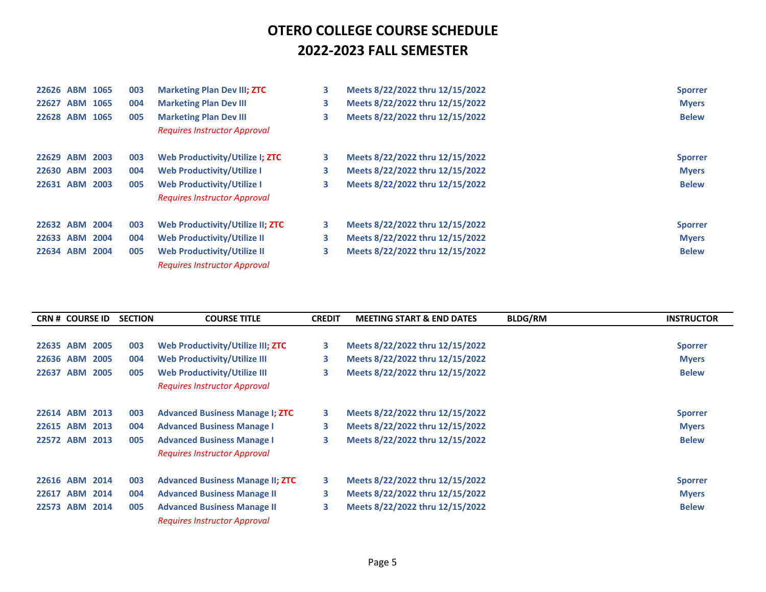| 22626 ABM | 1065 | 003 | <b>Marketing Plan Dev III; ZTC</b>  | 3  | Meets 8/22/2022 thru 12/15/2022 | <b>Sporrer</b> |
|-----------|------|-----|-------------------------------------|----|---------------------------------|----------------|
| 22627 ABM | 1065 | 004 | <b>Marketing Plan Dev III</b>       | 3  | Meets 8/22/2022 thru 12/15/2022 | <b>Myers</b>   |
| 22628 ABM | 1065 | 005 | <b>Marketing Plan Dev III</b>       | 3  | Meets 8/22/2022 thru 12/15/2022 | <b>Belew</b>   |
|           |      |     | <b>Requires Instructor Approval</b> |    |                                 |                |
| 22629 ABM | 2003 | 003 | Web Productivity/Utilize I; ZTC     | 3. | Meets 8/22/2022 thru 12/15/2022 | <b>Sporrer</b> |
| 22630 ABM | 2003 | 004 | <b>Web Productivity/Utilize I</b>   | 3. | Meets 8/22/2022 thru 12/15/2022 | <b>Myers</b>   |
| 22631 ABM | 2003 | 005 | <b>Web Productivity/Utilize I</b>   | 3  | Meets 8/22/2022 thru 12/15/2022 | <b>Belew</b>   |
|           |      |     | <b>Requires Instructor Approval</b> |    |                                 |                |
| 22632 ABM | 2004 | 003 | Web Productivity/Utilize II; ZTC    | 3  | Meets 8/22/2022 thru 12/15/2022 | <b>Sporrer</b> |
| 22633 ABM | 2004 | 004 | Web Productivity/Utilize II         | 3. | Meets 8/22/2022 thru 12/15/2022 | <b>Myers</b>   |
| 22634 ABM | 2004 | 005 | <b>Web Productivity/Utilize II</b>  | 3  | Meets 8/22/2022 thru 12/15/2022 | <b>Belew</b>   |
|           |      |     | <b>Requires Instructor Approval</b> |    |                                 |                |

|           | <b>CRN # COURSE ID</b> |      | <b>SECTION</b> | <b>COURSE TITLE</b>                     | <b>CREDIT</b> | <b>MEETING START &amp; END DATES</b> | <b>BLDG/RM</b> | <b>INSTRUCTOR</b> |
|-----------|------------------------|------|----------------|-----------------------------------------|---------------|--------------------------------------|----------------|-------------------|
|           |                        |      |                |                                         |               |                                      |                |                   |
| 22635     | <b>ABM</b>             | 2005 | 003            | Web Productivity/Utilize III; ZTC       | 3.            | Meets 8/22/2022 thru 12/15/2022      |                | <b>Sporrer</b>    |
| 22636 ABM |                        | 2005 | 004            | <b>Web Productivity/Utilize III</b>     | 3             | Meets 8/22/2022 thru 12/15/2022      |                | <b>Myers</b>      |
| 22637     | <b>ABM</b>             | 2005 | 005            | <b>Web Productivity/Utilize III</b>     | 3             | Meets 8/22/2022 thru 12/15/2022      |                | <b>Belew</b>      |
|           |                        |      |                | <b>Requires Instructor Approval</b>     |               |                                      |                |                   |
|           | 22614 ABM 2013         |      | 003            | <b>Advanced Business Manage I; ZTC</b>  | 3             | Meets 8/22/2022 thru 12/15/2022      |                | <b>Sporrer</b>    |
| 22615 ABM |                        | 2013 | 004            | <b>Advanced Business Manage I</b>       | 3             | Meets 8/22/2022 thru 12/15/2022      |                | <b>Myers</b>      |
| 22572 ABM |                        | 2013 | 005            | <b>Advanced Business Manage I</b>       | 3             | Meets 8/22/2022 thru 12/15/2022      |                | <b>Belew</b>      |
|           |                        |      |                | <b>Requires Instructor Approval</b>     |               |                                      |                |                   |
|           | 22616 ABM 2014         |      | 003            | <b>Advanced Business Manage II; ZTC</b> | 3             | Meets 8/22/2022 thru 12/15/2022      |                | <b>Sporrer</b>    |
| 22617     | ABM                    | 2014 | 004            | <b>Advanced Business Manage II</b>      | 3             | Meets 8/22/2022 thru 12/15/2022      |                | <b>Myers</b>      |
| 22573     | <b>ABM</b>             | 2014 | 005            | <b>Advanced Business Manage II</b>      | 3             | Meets 8/22/2022 thru 12/15/2022      |                | <b>Belew</b>      |
|           |                        |      |                | <b>Requires Instructor Approval</b>     |               |                                      |                |                   |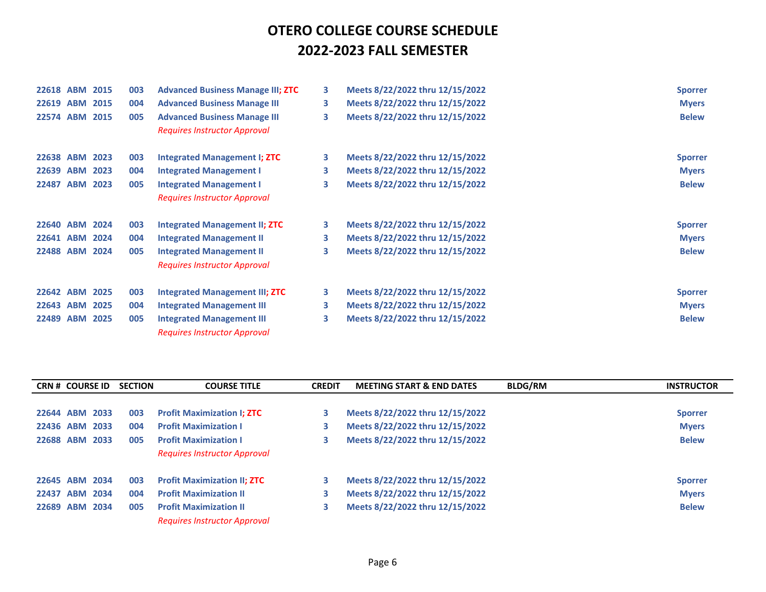| 22618 ABM 2015 |      | 003 | <b>Advanced Business Manage III; ZTC</b> | 3 | Meets 8/22/2022 thru 12/15/2022 | <b>Sporrer</b> |
|----------------|------|-----|------------------------------------------|---|---------------------------------|----------------|
| 22619 ABM      | 2015 | 004 | <b>Advanced Business Manage III</b>      | 3 | Meets 8/22/2022 thru 12/15/2022 | <b>Myers</b>   |
| 22574 ABM 2015 |      | 005 | <b>Advanced Business Manage III</b>      | 3 | Meets 8/22/2022 thru 12/15/2022 | <b>Belew</b>   |
|                |      |     | <b>Requires Instructor Approval</b>      |   |                                 |                |
| 22638 ABM      | 2023 | 003 | Integrated Management I; ZTC             | 3 | Meets 8/22/2022 thru 12/15/2022 | <b>Sporrer</b> |
| 22639 ABM      | 2023 | 004 | <b>Integrated Management I</b>           | 3 | Meets 8/22/2022 thru 12/15/2022 | <b>Myers</b>   |
| 22487 ABM 2023 |      | 005 | <b>Integrated Management I</b>           | 3 | Meets 8/22/2022 thru 12/15/2022 | <b>Belew</b>   |
|                |      |     | <b>Requires Instructor Approval</b>      |   |                                 |                |
| 22640 ABM 2024 |      | 003 | <b>Integrated Management II; ZTC</b>     | 3 | Meets 8/22/2022 thru 12/15/2022 | <b>Sporrer</b> |
| 22641 ABM 2024 |      | 004 | <b>Integrated Management II</b>          | 3 | Meets 8/22/2022 thru 12/15/2022 | <b>Myers</b>   |
| 22488 ABM 2024 |      | 005 | <b>Integrated Management II</b>          | 3 | Meets 8/22/2022 thru 12/15/2022 | <b>Belew</b>   |
|                |      |     | <b>Requires Instructor Approval</b>      |   |                                 |                |
| 22642 ABM 2025 |      | 003 | <b>Integrated Management III; ZTC</b>    | 3 | Meets 8/22/2022 thru 12/15/2022 | <b>Sporrer</b> |
| 22643 ABM      | 2025 | 004 | <b>Integrated Management III</b>         | 3 | Meets 8/22/2022 thru 12/15/2022 | <b>Myers</b>   |
| 22489 ABM      | 2025 | 005 | <b>Integrated Management III</b>         | 3 | Meets 8/22/2022 thru 12/15/2022 | <b>Belew</b>   |
|                |      |     | <b>Requires Instructor Approval</b>      |   |                                 |                |

|                | <b>CRN # COURSE ID</b> |      | <b>SECTION</b> | <b>COURSE TITLE</b>                 | <b>CREDIT</b> | <b>MEETING START &amp; END DATES</b> | <b>BLDG/RM</b> | <b>INSTRUCTOR</b> |
|----------------|------------------------|------|----------------|-------------------------------------|---------------|--------------------------------------|----------------|-------------------|
|                |                        |      |                |                                     |               |                                      |                |                   |
| 22644          | <b>ABM 2033</b>        |      | 003            | <b>Profit Maximization I; ZTC</b>   | з             | Meets 8/22/2022 thru 12/15/2022      |                | <b>Sporrer</b>    |
| 22436 ABM 2033 |                        |      | 004            | <b>Profit Maximization I</b>        | З             | Meets 8/22/2022 thru 12/15/2022      |                | <b>Myers</b>      |
| 22688          | <b>ABM</b>             | 2033 | 005            | <b>Profit Maximization I</b>        |               | Meets 8/22/2022 thru 12/15/2022      |                | <b>Belew</b>      |
|                |                        |      |                | <b>Requires Instructor Approval</b> |               |                                      |                |                   |
| 22645 ABM 2034 |                        |      | 003            | <b>Profit Maximization II; ZTC</b>  | з             | Meets 8/22/2022 thru 12/15/2022      |                | <b>Sporrer</b>    |
| 22437          | <b>ABM 2034</b>        |      | 004            | <b>Profit Maximization II</b>       | 3             | Meets 8/22/2022 thru 12/15/2022      |                | <b>Myers</b>      |
| 22689          | <b>ABM</b>             | 2034 | 005            | <b>Profit Maximization II</b>       | З             | Meets 8/22/2022 thru 12/15/2022      |                | <b>Belew</b>      |
|                |                        |      |                | <b>Requires Instructor Approval</b> |               |                                      |                |                   |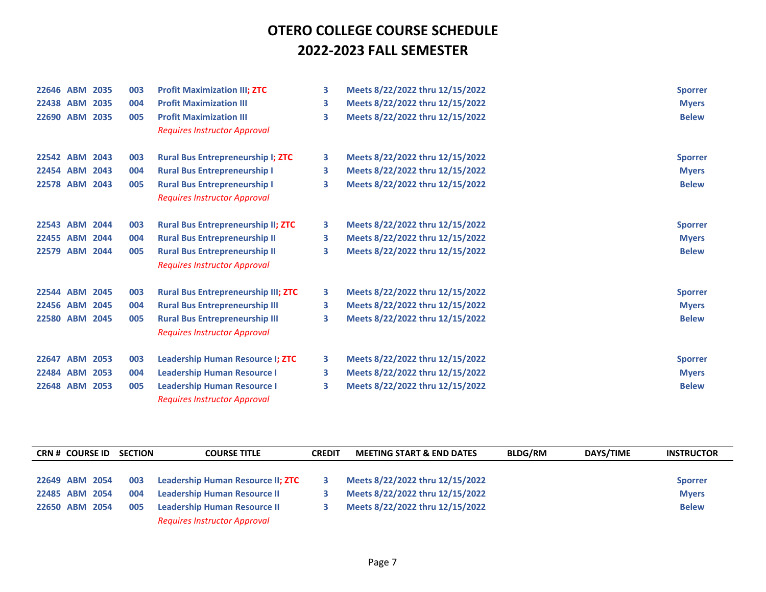| 22646 ABM      | 2035 | 003 | <b>Profit Maximization III; ZTC</b>        | 3 | Meets 8/22/2022 thru 12/15/2022 | <b>Sporrer</b> |
|----------------|------|-----|--------------------------------------------|---|---------------------------------|----------------|
| 22438 ABM      | 2035 | 004 | <b>Profit Maximization III</b>             | 3 | Meets 8/22/2022 thru 12/15/2022 | <b>Myers</b>   |
| 22690 ABM 2035 |      | 005 | <b>Profit Maximization III</b>             | 3 | Meets 8/22/2022 thru 12/15/2022 | <b>Belew</b>   |
|                |      |     | <b>Requires Instructor Approval</b>        |   |                                 |                |
| 22542 ABM 2043 |      | 003 | <b>Rural Bus Entrepreneurship I; ZTC</b>   | 3 | Meets 8/22/2022 thru 12/15/2022 | <b>Sporrer</b> |
| 22454 ABM 2043 |      | 004 | <b>Rural Bus Entrepreneurship I</b>        | 3 | Meets 8/22/2022 thru 12/15/2022 | <b>Myers</b>   |
| 22578 ABM 2043 |      | 005 | <b>Rural Bus Entrepreneurship I</b>        | 3 | Meets 8/22/2022 thru 12/15/2022 | <b>Belew</b>   |
|                |      |     | <b>Requires Instructor Approval</b>        |   |                                 |                |
| 22543 ABM      | 2044 | 003 | <b>Rural Bus Entrepreneurship II; ZTC</b>  | 3 | Meets 8/22/2022 thru 12/15/2022 | <b>Sporrer</b> |
| 22455 ABM      | 2044 | 004 | <b>Rural Bus Entrepreneurship II</b>       | 3 | Meets 8/22/2022 thru 12/15/2022 | <b>Myers</b>   |
| 22579 ABM 2044 |      | 005 | <b>Rural Bus Entrepreneurship II</b>       | 3 | Meets 8/22/2022 thru 12/15/2022 | <b>Belew</b>   |
|                |      |     | <b>Requires Instructor Approval</b>        |   |                                 |                |
| 22544 ABM      | 2045 | 003 | <b>Rural Bus Entrepreneurship III; ZTC</b> | 3 | Meets 8/22/2022 thru 12/15/2022 | <b>Sporrer</b> |
| 22456 ABM      | 2045 | 004 | <b>Rural Bus Entrepreneurship III</b>      | 3 | Meets 8/22/2022 thru 12/15/2022 | <b>Myers</b>   |
| 22580 ABM 2045 |      | 005 | <b>Rural Bus Entrepreneurship III</b>      | 3 | Meets 8/22/2022 thru 12/15/2022 | <b>Belew</b>   |
|                |      |     | <b>Requires Instructor Approval</b>        |   |                                 |                |
| 22647 ABM 2053 |      | 003 | <b>Leadership Human Resource I; ZTC</b>    | 3 | Meets 8/22/2022 thru 12/15/2022 | <b>Sporrer</b> |
| 22484 ABM 2053 |      | 004 | <b>Leadership Human Resource I</b>         | 3 | Meets 8/22/2022 thru 12/15/2022 | <b>Myers</b>   |
| 22648 ABM      | 2053 | 005 | <b>Leadership Human Resource I</b>         | 3 | Meets 8/22/2022 thru 12/15/2022 | <b>Belew</b>   |
|                |      |     | <b>Requires Instructor Approval</b>        |   |                                 |                |

| <b>CRN # COURSE ID</b> | <b>SECTION</b> | <b>COURSE TITLE</b>                 | <b>CREDIT</b> | <b>MEETING START &amp; END DATES</b> | <b>BLDG/RM</b> | DAYS/TIME | <b>INSTRUCTOR</b> |
|------------------------|----------------|-------------------------------------|---------------|--------------------------------------|----------------|-----------|-------------------|
|                        |                |                                     |               |                                      |                |           |                   |
| 22649 ABM 2054         | 003            | Leadership Human Resource II; ZTC   |               | Meets 8/22/2022 thru 12/15/2022      |                |           | <b>Sporrer</b>    |
| 22485 ABM 2054         | 004            | <b>Leadership Human Resource II</b> |               | Meets 8/22/2022 thru 12/15/2022      |                |           | <b>Myers</b>      |
| 22650 ABM 2054         | 005            | <b>Leadership Human Resource II</b> |               | Meets 8/22/2022 thru 12/15/2022      |                |           | <b>Belew</b>      |
|                        |                | <b>Requires Instructor Approval</b> |               |                                      |                |           |                   |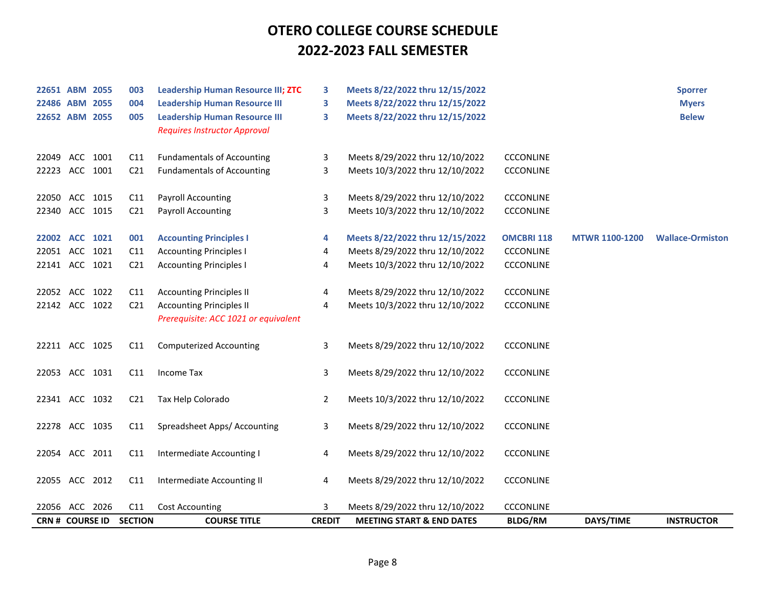| 22651 ABM 2055  |  | 003             | <b>Leadership Human Resource III; ZTC</b> | 3              | Meets 8/22/2022 thru 12/15/2022      |                   |                       | <b>Sporrer</b>          |
|-----------------|--|-----------------|-------------------------------------------|----------------|--------------------------------------|-------------------|-----------------------|-------------------------|
| 22486 ABM 2055  |  | 004             | <b>Leadership Human Resource III</b>      | 3              | Meets 8/22/2022 thru 12/15/2022      |                   |                       | <b>Myers</b>            |
| 22652 ABM 2055  |  | 005             | <b>Leadership Human Resource III</b>      | 3              | Meets 8/22/2022 thru 12/15/2022      |                   |                       | <b>Belew</b>            |
|                 |  |                 | <b>Requires Instructor Approval</b>       |                |                                      |                   |                       |                         |
|                 |  |                 |                                           |                |                                      |                   |                       |                         |
| 22049 ACC 1001  |  | C11             | <b>Fundamentals of Accounting</b>         | 3              | Meets 8/29/2022 thru 12/10/2022      | <b>CCCONLINE</b>  |                       |                         |
| 22223 ACC 1001  |  | C <sub>21</sub> | <b>Fundamentals of Accounting</b>         | 3              | Meets 10/3/2022 thru 12/10/2022      | <b>CCCONLINE</b>  |                       |                         |
|                 |  |                 |                                           |                |                                      |                   |                       |                         |
| 22050 ACC 1015  |  | C11             | <b>Payroll Accounting</b>                 | 3              | Meets 8/29/2022 thru 12/10/2022      | <b>CCCONLINE</b>  |                       |                         |
| 22340 ACC 1015  |  | C <sub>21</sub> | <b>Payroll Accounting</b>                 | 3              | Meets 10/3/2022 thru 12/10/2022      | <b>CCCONLINE</b>  |                       |                         |
| 22002 ACC 1021  |  | 001             | <b>Accounting Principles I</b>            | 4              | Meets 8/22/2022 thru 12/15/2022      | <b>OMCBRI 118</b> | <b>MTWR 1100-1200</b> | <b>Wallace-Ormiston</b> |
| 22051 ACC 1021  |  | C11             | <b>Accounting Principles I</b>            | 4              | Meets 8/29/2022 thru 12/10/2022      | <b>CCCONLINE</b>  |                       |                         |
| 22141 ACC 1021  |  |                 |                                           |                | Meets 10/3/2022 thru 12/10/2022      | <b>CCCONLINE</b>  |                       |                         |
|                 |  | C <sub>21</sub> | <b>Accounting Principles I</b>            | 4              |                                      |                   |                       |                         |
| 22052 ACC 1022  |  | C11             | <b>Accounting Principles II</b>           | 4              | Meets 8/29/2022 thru 12/10/2022      | <b>CCCONLINE</b>  |                       |                         |
| 22142 ACC 1022  |  | C <sub>21</sub> | <b>Accounting Principles II</b>           | 4              | Meets 10/3/2022 thru 12/10/2022      | CCCONLINE         |                       |                         |
|                 |  |                 | Prerequisite: ACC 1021 or equivalent      |                |                                      |                   |                       |                         |
|                 |  |                 |                                           |                |                                      |                   |                       |                         |
| 22211 ACC 1025  |  | C11             | <b>Computerized Accounting</b>            | 3              | Meets 8/29/2022 thru 12/10/2022      | <b>CCCONLINE</b>  |                       |                         |
|                 |  |                 |                                           |                |                                      |                   |                       |                         |
| 22053 ACC 1031  |  | C11             | Income Tax                                | 3              | Meets 8/29/2022 thru 12/10/2022      | <b>CCCONLINE</b>  |                       |                         |
|                 |  |                 |                                           |                |                                      |                   |                       |                         |
| 22341 ACC 1032  |  | C <sub>21</sub> | Tax Help Colorado                         | $\overline{2}$ | Meets 10/3/2022 thru 12/10/2022      | <b>CCCONLINE</b>  |                       |                         |
|                 |  |                 |                                           |                |                                      |                   |                       |                         |
| 22278 ACC 1035  |  | C11             | Spreadsheet Apps/ Accounting              | 3              | Meets 8/29/2022 thru 12/10/2022      | <b>CCCONLINE</b>  |                       |                         |
|                 |  |                 |                                           |                |                                      |                   |                       |                         |
| 22054 ACC 2011  |  | C11             | Intermediate Accounting I                 | 4              | Meets 8/29/2022 thru 12/10/2022      | <b>CCCONLINE</b>  |                       |                         |
|                 |  |                 |                                           |                |                                      |                   |                       |                         |
| 22055 ACC 2012  |  | C11             | Intermediate Accounting II                | 4              | Meets 8/29/2022 thru 12/10/2022      | <b>CCCONLINE</b>  |                       |                         |
|                 |  |                 |                                           |                |                                      |                   |                       |                         |
| 22056 ACC 2026  |  | C11             | <b>Cost Accounting</b>                    | 3              | Meets 8/29/2022 thru 12/10/2022      | <b>CCCONLINE</b>  |                       |                         |
| CRN # COURSE ID |  | <b>SECTION</b>  | <b>COURSE TITLE</b>                       | <b>CREDIT</b>  | <b>MEETING START &amp; END DATES</b> | <b>BLDG/RM</b>    | DAYS/TIME             | <b>INSTRUCTOR</b>       |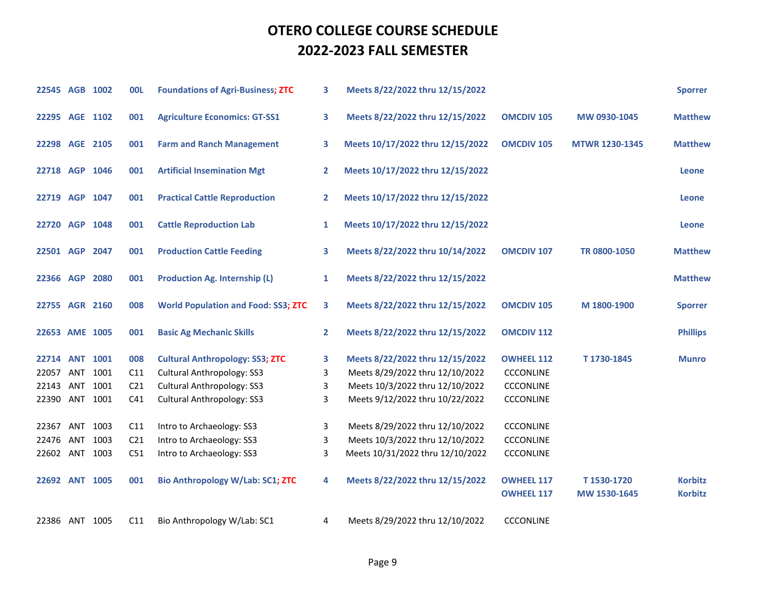| 22545 AGB 1002 |          |          | <b>OOL</b>      | <b>Foundations of Agri-Business; ZTC</b>   | 3              | Meets 8/22/2022 thru 12/15/2022  |                                        |                            | <b>Sporrer</b>                   |
|----------------|----------|----------|-----------------|--------------------------------------------|----------------|----------------------------------|----------------------------------------|----------------------------|----------------------------------|
| 22295 AGE 1102 |          |          | 001             | <b>Agriculture Economics: GT-SS1</b>       | 3              | Meets 8/22/2022 thru 12/15/2022  | <b>OMCDIV 105</b>                      | MW 0930-1045               | <b>Matthew</b>                   |
| 22298 AGE 2105 |          |          | 001             | <b>Farm and Ranch Management</b>           | 3              | Meets 10/17/2022 thru 12/15/2022 | <b>OMCDIV 105</b>                      | <b>MTWR 1230-1345</b>      | <b>Matthew</b>                   |
| 22718 AGP 1046 |          |          | 001             | <b>Artificial Insemination Mgt</b>         | $\mathbf{2}$   | Meets 10/17/2022 thru 12/15/2022 |                                        |                            | Leone                            |
| 22719 AGP 1047 |          |          | 001             | <b>Practical Cattle Reproduction</b>       | $\mathbf{2}$   | Meets 10/17/2022 thru 12/15/2022 |                                        |                            | Leone                            |
| 22720 AGP 1048 |          |          | 001             | <b>Cattle Reproduction Lab</b>             | $\mathbf{1}$   | Meets 10/17/2022 thru 12/15/2022 |                                        |                            | Leone                            |
| 22501 AGP 2047 |          |          | 001             | <b>Production Cattle Feeding</b>           | 3              | Meets 8/22/2022 thru 10/14/2022  | <b>OMCDIV 107</b>                      | TR 0800-1050               | <b>Matthew</b>                   |
| 22366 AGP 2080 |          |          | 001             | <b>Production Ag. Internship (L)</b>       | 1              | Meets 8/22/2022 thru 12/15/2022  |                                        |                            | <b>Matthew</b>                   |
| 22755 AGR 2160 |          |          | 008             | <b>World Population and Food: SS3; ZTC</b> | 3              | Meets 8/22/2022 thru 12/15/2022  | <b>OMCDIV 105</b>                      | M 1800-1900                | <b>Sporrer</b>                   |
| 22653 AME 1005 |          |          | 001             | <b>Basic Ag Mechanic Skills</b>            | $\overline{2}$ | Meets 8/22/2022 thru 12/15/2022  | <b>OMCDIV 112</b>                      |                            | <b>Phillips</b>                  |
| 22714 ANT 1001 |          |          | 008             | <b>Cultural Anthropology: SS3; ZTC</b>     | 3              | Meets 8/22/2022 thru 12/15/2022  | <b>OWHEEL 112</b>                      | T1730-1845                 | <b>Munro</b>                     |
| 22057          |          | ANT 1001 | C11             | <b>Cultural Anthropology: SS3</b>          | 3              | Meets 8/29/2022 thru 12/10/2022  | <b>CCCONLINE</b>                       |                            |                                  |
| 22143          | ANT 1001 |          | C <sub>21</sub> | <b>Cultural Anthropology: SS3</b>          | 3              | Meets 10/3/2022 thru 12/10/2022  | <b>CCCONLINE</b>                       |                            |                                  |
| 22390 ANT 1001 |          |          | C41             | <b>Cultural Anthropology: SS3</b>          | 3              | Meets 9/12/2022 thru 10/22/2022  | <b>CCCONLINE</b>                       |                            |                                  |
| 22367          |          | ANT 1003 | C11             | Intro to Archaeology: SS3                  | 3              | Meets 8/29/2022 thru 12/10/2022  | <b>CCCONLINE</b>                       |                            |                                  |
| 22476          |          | ANT 1003 | C <sub>21</sub> | Intro to Archaeology: SS3                  | 3              | Meets 10/3/2022 thru 12/10/2022  | <b>CCCONLINE</b>                       |                            |                                  |
| 22602 ANT 1003 |          |          | C51             | Intro to Archaeology: SS3                  | 3              | Meets 10/31/2022 thru 12/10/2022 | <b>CCCONLINE</b>                       |                            |                                  |
| 22692 ANT 1005 |          |          | 001             | <b>Bio Anthropology W/Lab: SC1; ZTC</b>    | 4              | Meets 8/22/2022 thru 12/15/2022  | <b>OWHEEL 117</b><br><b>OWHEEL 117</b> | T1530-1720<br>MW 1530-1645 | <b>Korbitz</b><br><b>Korbitz</b> |
| 22386 ANT 1005 |          |          | C11             | Bio Anthropology W/Lab: SC1                | 4              | Meets 8/29/2022 thru 12/10/2022  | <b>CCCONLINE</b>                       |                            |                                  |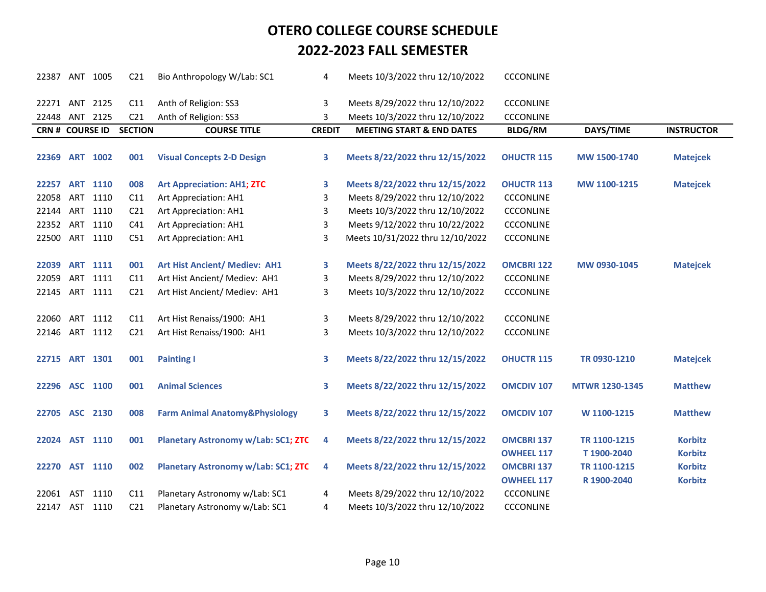| 22387 ANT 1005         |     |                 | C <sub>21</sub> | Bio Anthropology W/Lab: SC1                | 4             | Meets 10/3/2022 thru 12/10/2022      | <b>CCCONLINE</b>  |                       |                   |
|------------------------|-----|-----------------|-----------------|--------------------------------------------|---------------|--------------------------------------|-------------------|-----------------------|-------------------|
| 22271 ANT 2125         |     |                 | C11             | Anth of Religion: SS3                      | 3             | Meets 8/29/2022 thru 12/10/2022      | <b>CCCONLINE</b>  |                       |                   |
| 22448 ANT 2125         |     |                 | C <sub>21</sub> | Anth of Religion: SS3                      | 3             | Meets 10/3/2022 thru 12/10/2022      | <b>CCCONLINE</b>  |                       |                   |
| <b>CRN # COURSE ID</b> |     |                 | <b>SECTION</b>  | <b>COURSE TITLE</b>                        | <b>CREDIT</b> | <b>MEETING START &amp; END DATES</b> | <b>BLDG/RM</b>    | DAYS/TIME             | <b>INSTRUCTOR</b> |
|                        |     |                 |                 |                                            |               |                                      |                   |                       |                   |
| 22369 ART 1002         |     |                 | 001             | <b>Visual Concepts 2-D Design</b>          | 3             | Meets 8/22/2022 thru 12/15/2022      | <b>OHUCTR 115</b> | MW 1500-1740          | <b>Matejcek</b>   |
|                        |     |                 |                 |                                            |               |                                      |                   |                       |                   |
| 22257                  |     | <b>ART 1110</b> | 008             | <b>Art Appreciation: AH1; ZTC</b>          | 3             | Meets 8/22/2022 thru 12/15/2022      | <b>OHUCTR 113</b> | MW 1100-1215          | <b>Matejcek</b>   |
| 22058 ART 1110         |     |                 | C11             | Art Appreciation: AH1                      | 3             | Meets 8/29/2022 thru 12/10/2022      | <b>CCCONLINE</b>  |                       |                   |
| 22144 ART              |     | 1110            | C <sub>21</sub> | Art Appreciation: AH1                      | 3             | Meets 10/3/2022 thru 12/10/2022      | <b>CCCONLINE</b>  |                       |                   |
| 22352 ART              |     | 1110            | C <sub>41</sub> | Art Appreciation: AH1                      | 3             | Meets 9/12/2022 thru 10/22/2022      | <b>CCCONLINE</b>  |                       |                   |
| 22500 ART              |     | 1110            | C51             | Art Appreciation: AH1                      | 3             | Meets 10/31/2022 thru 12/10/2022     | <b>CCCONLINE</b>  |                       |                   |
|                        |     |                 |                 |                                            |               |                                      |                   |                       |                   |
| 22039                  | ART | 1111            | 001             | <b>Art Hist Ancient/ Mediev: AH1</b>       | 3             | Meets 8/22/2022 thru 12/15/2022      | <b>OMCBRI 122</b> | MW 0930-1045          | <b>Matejcek</b>   |
| 22059                  | ART | 1111            | C11             | Art Hist Ancient/ Mediev: AH1              | 3             | Meets 8/29/2022 thru 12/10/2022      | <b>CCCONLINE</b>  |                       |                   |
| 22145 ART 1111         |     |                 | C <sub>21</sub> | Art Hist Ancient/ Mediev: AH1              | 3             | Meets 10/3/2022 thru 12/10/2022      | <b>CCCONLINE</b>  |                       |                   |
|                        |     |                 |                 |                                            |               |                                      |                   |                       |                   |
| 22060                  | ART | 1112            | C11             | Art Hist Renaiss/1900: AH1                 | 3             | Meets 8/29/2022 thru 12/10/2022      | <b>CCCONLINE</b>  |                       |                   |
| 22146 ART              |     | 1112            | C <sub>21</sub> | Art Hist Renaiss/1900: AH1                 | 3             | Meets 10/3/2022 thru 12/10/2022      | <b>CCCONLINE</b>  |                       |                   |
|                        |     |                 |                 |                                            |               |                                      |                   |                       |                   |
| 22715 ART 1301         |     |                 | 001             | <b>Painting I</b>                          | 3             | Meets 8/22/2022 thru 12/15/2022      | <b>OHUCTR 115</b> | TR 0930-1210          | <b>Matejcek</b>   |
|                        |     |                 |                 |                                            |               |                                      |                   |                       |                   |
| 22296 ASC 1100         |     |                 | 001             | <b>Animal Sciences</b>                     | 3             | Meets 8/22/2022 thru 12/15/2022      | <b>OMCDIV 107</b> | <b>MTWR 1230-1345</b> | <b>Matthew</b>    |
|                        |     |                 |                 |                                            |               |                                      |                   |                       |                   |
| 22705 ASC 2130         |     |                 | 008             | <b>Farm Animal Anatomy&amp;Physiology</b>  | 3             | Meets 8/22/2022 thru 12/15/2022      | <b>OMCDIV 107</b> | W 1100-1215           | <b>Matthew</b>    |
|                        |     |                 |                 |                                            |               |                                      |                   |                       |                   |
| 22024 AST 1110         |     |                 | 001             | <b>Planetary Astronomy w/Lab: SC1; ZTC</b> | 4             | Meets 8/22/2022 thru 12/15/2022      | <b>OMCBRI 137</b> | TR 1100-1215          | <b>Korbitz</b>    |
|                        |     |                 |                 |                                            |               |                                      | <b>OWHEEL 117</b> | T1900-2040            | <b>Korbitz</b>    |
| 22270 AST 1110         |     |                 | 002             | <b>Planetary Astronomy w/Lab: SC1; ZTC</b> | 4             | Meets 8/22/2022 thru 12/15/2022      | <b>OMCBRI 137</b> | TR 1100-1215          | <b>Korbitz</b>    |
|                        |     |                 |                 |                                            |               |                                      | <b>OWHEEL 117</b> | R 1900-2040           | <b>Korbitz</b>    |
| 22061                  | AST | 1110            | C11             | Planetary Astronomy w/Lab: SC1             | 4             | Meets 8/29/2022 thru 12/10/2022      | <b>CCCONLINE</b>  |                       |                   |
| 22147 AST 1110         |     |                 | C <sub>21</sub> | Planetary Astronomy w/Lab: SC1             | 4             | Meets 10/3/2022 thru 12/10/2022      | <b>CCCONLINE</b>  |                       |                   |
|                        |     |                 |                 |                                            |               |                                      |                   |                       |                   |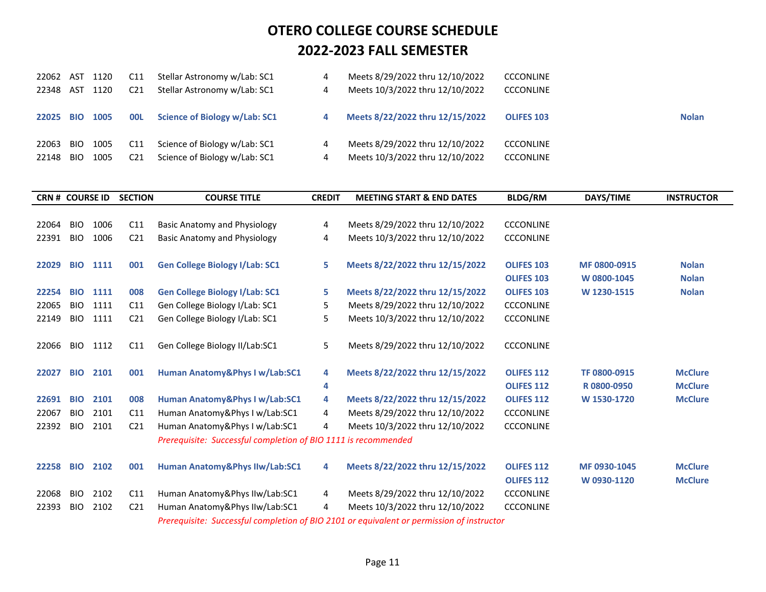|           |      | C11             | Stellar Astronomy w/Lab: SC1  |   | Meets 8/29/2022 thru 12/10/2022 | <b>CCCONLINE</b>  |              |
|-----------|------|-----------------|-------------------------------|---|---------------------------------|-------------------|--------------|
| 22348 AST | 1120 | C21             | Stellar Astronomy w/Lab: SC1  |   | Meets 10/3/2022 thru 12/10/2022 | <b>CCCONLINE</b>  |              |
|           |      |                 |                               |   |                                 |                   |              |
| 22025 BIO | 1005 | <b>OOL</b>      | Science of Biology w/Lab: SC1 |   | Meets 8/22/2022 thru 12/15/2022 | <b>OLIFES 103</b> | <b>Nolan</b> |
|           |      |                 |                               |   |                                 |                   |              |
| BIO.      | 1005 | C <sub>11</sub> | Science of Biology w/Lab: SC1 | 4 | Meets 8/29/2022 thru 12/10/2022 | <b>CCCONLINE</b>  |              |
| - BIO     | 1005 | C21             | Science of Biology w/Lab: SC1 | 4 | Meets 10/3/2022 thru 12/10/2022 | <b>CCCONLINE</b>  |              |
|           |      | 22062 AST 1120  |                               |   |                                 |                   |              |

| <b>CRN # COURSE ID</b> |            |      | <b>SECTION</b>  | <b>COURSE TITLE</b>                                            | <b>CREDIT</b> | <b>MEETING START &amp; END DATES</b>                                                      | <b>BLDG/RM</b>    | DAYS/TIME    | <b>INSTRUCTOR</b> |
|------------------------|------------|------|-----------------|----------------------------------------------------------------|---------------|-------------------------------------------------------------------------------------------|-------------------|--------------|-------------------|
|                        |            |      |                 |                                                                |               |                                                                                           |                   |              |                   |
| 22064                  | <b>BIO</b> | 1006 | C11             | Basic Anatomy and Physiology                                   | 4             | Meets 8/29/2022 thru 12/10/2022                                                           | <b>CCCONLINE</b>  |              |                   |
| 22391                  | <b>BIO</b> | 1006 | C <sub>21</sub> | <b>Basic Anatomy and Physiology</b>                            | 4             | Meets 10/3/2022 thru 12/10/2022                                                           | <b>CCCONLINE</b>  |              |                   |
|                        |            |      |                 |                                                                |               |                                                                                           |                   |              |                   |
| 22029                  | <b>BIO</b> | 1111 | 001             | <b>Gen College Biology I/Lab: SC1</b>                          | 5             | Meets 8/22/2022 thru 12/15/2022                                                           | <b>OLIFES 103</b> | MF 0800-0915 | <b>Nolan</b>      |
|                        |            |      |                 |                                                                |               |                                                                                           | <b>OLIFES 103</b> | W 0800-1045  | <b>Nolan</b>      |
| 22254                  | <b>BIO</b> | 1111 | 008             | <b>Gen College Biology I/Lab: SC1</b>                          | 5             | Meets 8/22/2022 thru 12/15/2022                                                           | <b>OLIFES 103</b> | W 1230-1515  | <b>Nolan</b>      |
| 22065                  | <b>BIO</b> | 1111 | C11             | Gen College Biology I/Lab: SC1                                 | 5             | Meets 8/29/2022 thru 12/10/2022                                                           | <b>CCCONLINE</b>  |              |                   |
| 22149                  | <b>BIO</b> | 1111 | C <sub>21</sub> | Gen College Biology I/Lab: SC1                                 | 5             | Meets 10/3/2022 thru 12/10/2022                                                           | <b>CCCONLINE</b>  |              |                   |
|                        |            |      |                 |                                                                |               |                                                                                           |                   |              |                   |
| 22066                  | <b>BIO</b> | 1112 | C11             | Gen College Biology II/Lab:SC1                                 | 5             | Meets 8/29/2022 thru 12/10/2022                                                           | <b>CCCONLINE</b>  |              |                   |
|                        |            |      |                 |                                                                |               |                                                                                           |                   |              |                   |
| 22027                  | <b>BIO</b> | 2101 | 001             | Human Anatomy&Phys I w/Lab:SC1                                 | 4             | Meets 8/22/2022 thru 12/15/2022                                                           | <b>OLIFES 112</b> | TF 0800-0915 | <b>McClure</b>    |
|                        |            |      |                 |                                                                | 4             |                                                                                           | <b>OLIFES 112</b> | R0800-0950   | <b>McClure</b>    |
| 22691                  | <b>BIO</b> | 2101 | 008             | Human Anatomy&Phys I w/Lab:SC1                                 | 4             | Meets 8/22/2022 thru 12/15/2022                                                           | <b>OLIFES 112</b> | W 1530-1720  | <b>McClure</b>    |
| 22067                  | <b>BIO</b> | 2101 | C11             | Human Anatomy&Phys I w/Lab:SC1                                 | 4             | Meets 8/29/2022 thru 12/10/2022                                                           | <b>CCCONLINE</b>  |              |                   |
| 22392                  | <b>BIO</b> | 2101 | C <sub>21</sub> | Human Anatomy&Phys I w/Lab:SC1                                 | 4             | Meets 10/3/2022 thru 12/10/2022                                                           | <b>CCCONLINE</b>  |              |                   |
|                        |            |      |                 | Prerequisite: Successful completion of BIO 1111 is recommended |               |                                                                                           |                   |              |                   |
|                        |            |      |                 |                                                                |               |                                                                                           |                   |              |                   |
| 22258                  | <b>BIO</b> | 2102 | 001             | <b>Human Anatomy&amp;Phys IIw/Lab:SC1</b>                      | 4             | Meets 8/22/2022 thru 12/15/2022                                                           | <b>OLIFES 112</b> | MF 0930-1045 | <b>McClure</b>    |
|                        |            |      |                 |                                                                |               |                                                                                           | <b>OLIFES 112</b> | W 0930-1120  | <b>McClure</b>    |
| 22068                  | <b>BIO</b> | 2102 | C11             | Human Anatomy&Phys IIw/Lab:SC1                                 | 4             | Meets 8/29/2022 thru 12/10/2022                                                           | <b>CCCONLINE</b>  |              |                   |
| 22393                  | <b>BIO</b> | 2102 | C <sub>21</sub> | Human Anatomy&Phys IIw/Lab:SC1                                 | 4             | Meets 10/3/2022 thru 12/10/2022                                                           | <b>CCCONLINE</b>  |              |                   |
|                        |            |      |                 |                                                                |               | Prerequisite: Successful completion of BIO 2101 or equivalent or permission of instructor |                   |              |                   |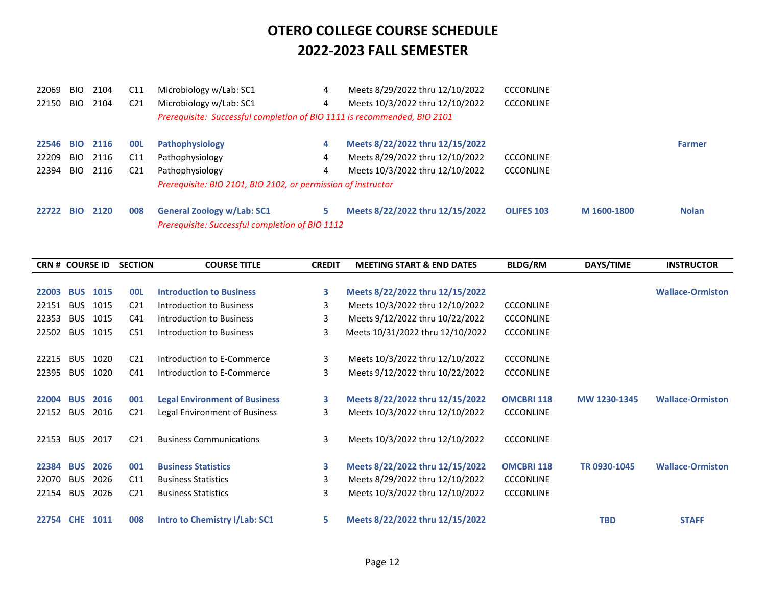| 22069     | <b>BIO</b> | 2104 | C11             | Microbiology w/Lab: SC1                                                              | 4  | Meets 8/29/2022 thru 12/10/2022 | <b>CCCONLINE</b>  |             |               |
|-----------|------------|------|-----------------|--------------------------------------------------------------------------------------|----|---------------------------------|-------------------|-------------|---------------|
| 22150     | BIO        | 2104 | C <sub>21</sub> | Microbiology w/Lab: SC1                                                              | 4  | Meets 10/3/2022 thru 12/10/2022 | <b>CCCONLINE</b>  |             |               |
|           |            |      |                 | Prerequisite: Successful completion of BIO 1111 is recommended, BIO 2101             |    |                                 |                   |             |               |
| 22546     | <b>BIO</b> | 2116 | <b>OOL</b>      | Pathophysiology                                                                      | 4  | Meets 8/22/2022 thru 12/15/2022 |                   |             | <b>Farmer</b> |
| 22209     | <b>BIO</b> | 2116 | C11             | Pathophysiology                                                                      | 4  | Meets 8/29/2022 thru 12/10/2022 | <b>CCCONLINE</b>  |             |               |
| 22394     | <b>BIO</b> | 2116 | C21             | Pathophysiology                                                                      | 4  | Meets 10/3/2022 thru 12/10/2022 | <b>CCCONLINE</b>  |             |               |
|           |            |      |                 | Prerequisite: BIO 2101, BIO 2102, or permission of instructor                        |    |                                 |                   |             |               |
| 22722 BIO |            | 2120 | 008             | <b>General Zoology w/Lab: SC1</b><br>Prerequisite: Successful completion of BIO 1112 | 5. | Meets 8/22/2022 thru 12/15/2022 | <b>OLIFES 103</b> | M 1600-1800 | <b>Nolan</b>  |

| <b>CRN # COURSE ID</b> |            |      | <b>SECTION</b>  | <b>COURSE TITLE</b>                  | <b>CREDIT</b> | <b>MEETING START &amp; END DATES</b> | <b>BLDG/RM</b>    | DAYS/TIME    | <b>INSTRUCTOR</b>       |
|------------------------|------------|------|-----------------|--------------------------------------|---------------|--------------------------------------|-------------------|--------------|-------------------------|
|                        |            |      |                 |                                      |               |                                      |                   |              |                         |
| 22003                  | <b>BUS</b> | 1015 | <b>OOL</b>      | <b>Introduction to Business</b>      | 3             | Meets 8/22/2022 thru 12/15/2022      |                   |              | <b>Wallace-Ormiston</b> |
| 22151                  | <b>BUS</b> | 1015 | C <sub>21</sub> | Introduction to Business             | 3             | Meets 10/3/2022 thru 12/10/2022      | <b>CCCONLINE</b>  |              |                         |
| 22353                  | <b>BUS</b> | 1015 | C <sub>41</sub> | Introduction to Business             | 3             | Meets 9/12/2022 thru 10/22/2022      | <b>CCCONLINE</b>  |              |                         |
| 22502                  | <b>BUS</b> | 1015 | C51             | Introduction to Business             | 3             | Meets 10/31/2022 thru 12/10/2022     | <b>CCCONLINE</b>  |              |                         |
|                        |            |      |                 |                                      |               |                                      |                   |              |                         |
| 22215                  | <b>BUS</b> | 1020 | C <sub>21</sub> | Introduction to E-Commerce           | 3             | Meets 10/3/2022 thru 12/10/2022      | <b>CCCONLINE</b>  |              |                         |
| 22395                  | <b>BUS</b> | 1020 | C41             | Introduction to E-Commerce           | 3             | Meets 9/12/2022 thru 10/22/2022      | <b>CCCONLINE</b>  |              |                         |
|                        |            |      |                 |                                      |               |                                      |                   |              |                         |
| 22004                  | <b>BUS</b> | 2016 | 001             | <b>Legal Environment of Business</b> | 3             | Meets 8/22/2022 thru 12/15/2022      | <b>OMCBRI 118</b> | MW 1230-1345 | <b>Wallace-Ormiston</b> |
| 22152                  | <b>BUS</b> | 2016 | C <sub>21</sub> | Legal Environment of Business        | 3             | Meets 10/3/2022 thru 12/10/2022      | <b>CCCONLINE</b>  |              |                         |
|                        |            |      |                 |                                      |               |                                      |                   |              |                         |
| 22153                  | <b>BUS</b> | 2017 | C <sub>21</sub> | <b>Business Communications</b>       | 3             | Meets 10/3/2022 thru 12/10/2022      | <b>CCCONLINE</b>  |              |                         |
|                        |            |      |                 |                                      |               |                                      |                   |              |                         |
| 22384 BUS              |            | 2026 | 001             | <b>Business Statistics</b>           | 3             | Meets 8/22/2022 thru 12/15/2022      | <b>OMCBRI 118</b> | TR 0930-1045 | <b>Wallace-Ormiston</b> |
| 22070                  | <b>BUS</b> | 2026 | C11             | <b>Business Statistics</b>           | 3             | Meets 8/29/2022 thru 12/10/2022      | <b>CCCONLINE</b>  |              |                         |
| 22154                  | <b>BUS</b> | 2026 | C <sub>21</sub> | <b>Business Statistics</b>           | 3             | Meets 10/3/2022 thru 12/10/2022      | <b>CCCONLINE</b>  |              |                         |
|                        |            |      |                 |                                      |               |                                      |                   |              |                         |
| 22754 CHE              |            | 1011 | 008             | <b>Intro to Chemistry I/Lab: SC1</b> | 5             | Meets 8/22/2022 thru 12/15/2022      |                   | <b>TBD</b>   | <b>STAFF</b>            |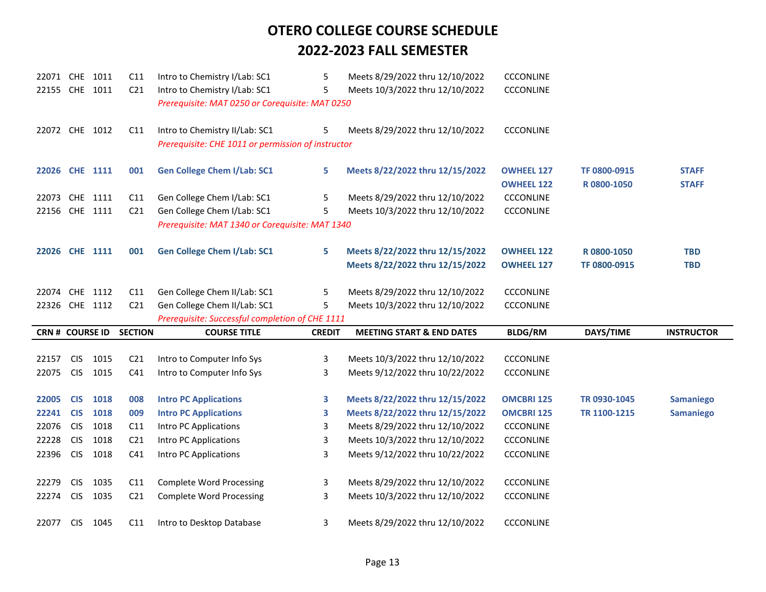| 22071 CHE 1011         |            |              | C11                    | Intro to Chemistry I/Lab: SC1                      | 5             | Meets 8/29/2022 thru 12/10/2022      | <b>CCCONLINE</b>  |              |                   |
|------------------------|------------|--------------|------------------------|----------------------------------------------------|---------------|--------------------------------------|-------------------|--------------|-------------------|
| 22155 CHE 1011         |            |              | C <sub>21</sub>        | Intro to Chemistry I/Lab: SC1                      | 5             | Meets 10/3/2022 thru 12/10/2022      | <b>CCCONLINE</b>  |              |                   |
|                        |            |              |                        | Prerequisite: MAT 0250 or Corequisite: MAT 0250    |               |                                      |                   |              |                   |
|                        |            |              |                        |                                                    |               |                                      |                   |              |                   |
| 22072 CHE 1012         |            |              | C11                    | Intro to Chemistry II/Lab: SC1                     | 5             | Meets 8/29/2022 thru 12/10/2022      | <b>CCCONLINE</b>  |              |                   |
|                        |            |              |                        | Prerequisite: CHE 1011 or permission of instructor |               |                                      |                   |              |                   |
|                        |            |              |                        |                                                    |               |                                      |                   |              |                   |
| 22026 CHE 1111         |            |              | 001                    | <b>Gen College Chem I/Lab: SC1</b>                 | 5             | Meets 8/22/2022 thru 12/15/2022      | <b>OWHEEL 127</b> | TF 0800-0915 | <b>STAFF</b>      |
|                        |            |              |                        |                                                    |               |                                      | <b>OWHEEL 122</b> | R0800-1050   | <b>STAFF</b>      |
| 22073 CHE              |            | 1111         | C11                    | Gen College Chem I/Lab: SC1                        | 5             | Meets 8/29/2022 thru 12/10/2022      | <b>CCCONLINE</b>  |              |                   |
| 22156 CHE 1111         |            |              | C <sub>21</sub>        | Gen College Chem I/Lab: SC1                        | 5             | Meets 10/3/2022 thru 12/10/2022      | <b>CCCONLINE</b>  |              |                   |
|                        |            |              |                        | Prerequisite: MAT 1340 or Corequisite: MAT 1340    |               |                                      |                   |              |                   |
|                        |            |              |                        |                                                    |               |                                      |                   |              |                   |
| 22026 CHE 1111         |            |              | 001                    | <b>Gen College Chem I/Lab: SC1</b>                 | 5             | Meets 8/22/2022 thru 12/15/2022      | <b>OWHEEL 122</b> | R0800-1050   | <b>TBD</b>        |
|                        |            |              |                        |                                                    |               | Meets 8/22/2022 thru 12/15/2022      | <b>OWHEEL 127</b> | TF 0800-0915 | <b>TBD</b>        |
| 22074 CHE 1112         |            |              | C11                    | Gen College Chem II/Lab: SC1                       | 5             | Meets 8/29/2022 thru 12/10/2022      | <b>CCCONLINE</b>  |              |                   |
|                        |            |              |                        |                                                    |               |                                      |                   |              |                   |
|                        |            |              |                        |                                                    |               |                                      |                   |              |                   |
| 22326 CHE 1112         |            |              | C <sub>21</sub>        | Gen College Chem II/Lab: SC1                       | 5             | Meets 10/3/2022 thru 12/10/2022      | <b>CCCONLINE</b>  |              |                   |
|                        |            |              |                        | Prerequisite: Successful completion of CHE 1111    |               |                                      |                   |              |                   |
| <b>CRN # COURSE ID</b> |            |              | <b>SECTION</b>         | <b>COURSE TITLE</b>                                | <b>CREDIT</b> | <b>MEETING START &amp; END DATES</b> | <b>BLDG/RM</b>    | DAYS/TIME    | <b>INSTRUCTOR</b> |
| 22157                  | <b>CIS</b> |              |                        |                                                    |               |                                      |                   |              |                   |
| 22075                  | <b>CIS</b> | 1015<br>1015 | C <sub>21</sub><br>C41 | Intro to Computer Info Sys                         | 3<br>3        | Meets 10/3/2022 thru 12/10/2022      | <b>CCCONLINE</b>  |              |                   |
|                        |            |              |                        | Intro to Computer Info Sys                         |               | Meets 9/12/2022 thru 10/22/2022      | <b>CCCONLINE</b>  |              |                   |
| 22005                  | <b>CIS</b> | 1018         | 008                    | <b>Intro PC Applications</b>                       | 3             | Meets 8/22/2022 thru 12/15/2022      | <b>OMCBRI 125</b> | TR 0930-1045 | <b>Samaniego</b>  |
| 22241                  | <b>CIS</b> | 1018         | 009                    | <b>Intro PC Applications</b>                       | 3             | Meets 8/22/2022 thru 12/15/2022      | <b>OMCBRI 125</b> | TR 1100-1215 | <b>Samaniego</b>  |
| 22076                  | <b>CIS</b> | 1018         | C11                    | Intro PC Applications                              | 3             | Meets 8/29/2022 thru 12/10/2022      | <b>CCCONLINE</b>  |              |                   |
| 22228                  | <b>CIS</b> | 1018         | C <sub>21</sub>        | Intro PC Applications                              | 3             | Meets 10/3/2022 thru 12/10/2022      | <b>CCCONLINE</b>  |              |                   |
| 22396                  | <b>CIS</b> | 1018         | C41                    | Intro PC Applications                              | 3             | Meets 9/12/2022 thru 10/22/2022      | <b>CCCONLINE</b>  |              |                   |
|                        |            |              |                        |                                                    |               |                                      |                   |              |                   |
| 22279                  | <b>CIS</b> | 1035         | C11                    | <b>Complete Word Processing</b>                    | 3             | Meets 8/29/2022 thru 12/10/2022      | <b>CCCONLINE</b>  |              |                   |
| 22274                  | <b>CIS</b> | 1035         | C <sub>21</sub>        | <b>Complete Word Processing</b>                    | 3             | Meets 10/3/2022 thru 12/10/2022      | <b>CCCONLINE</b>  |              |                   |
|                        |            |              |                        |                                                    |               |                                      |                   |              |                   |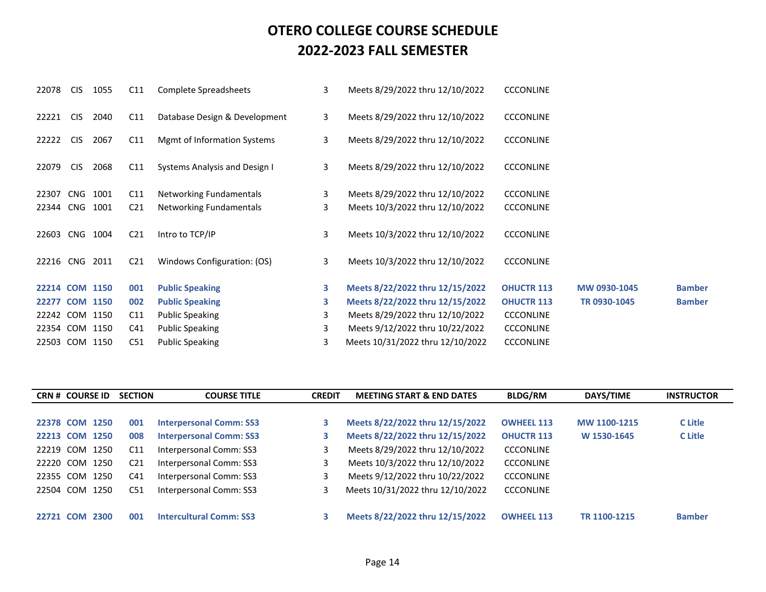| 22078          | <b>CIS</b>     | 1055 | C11             | Complete Spreadsheets         | 3 | Meets 8/29/2022 thru 12/10/2022  | <b>CCCONLINE</b>  |              |               |
|----------------|----------------|------|-----------------|-------------------------------|---|----------------------------------|-------------------|--------------|---------------|
| 22221          | <b>CIS</b>     | 2040 | C11             | Database Design & Development | 3 | Meets 8/29/2022 thru 12/10/2022  | <b>CCCONLINE</b>  |              |               |
| 22222          | <b>CIS</b>     | 2067 | C11             | Mgmt of Information Systems   | 3 | Meets 8/29/2022 thru 12/10/2022  | <b>CCCONLINE</b>  |              |               |
| 22079          | <b>CIS</b>     | 2068 | C11             | Systems Analysis and Design I | 3 | Meets 8/29/2022 thru 12/10/2022  | <b>CCCONLINE</b>  |              |               |
| 22307          | CNG            | 1001 | C11             | Networking Fundamentals       | 3 | Meets 8/29/2022 thru 12/10/2022  | <b>CCCONLINE</b>  |              |               |
| 22344          | CNG            | 1001 | C <sub>21</sub> | Networking Fundamentals       | 3 | Meets 10/3/2022 thru 12/10/2022  | <b>CCCONLINE</b>  |              |               |
| 22603          | CNG            | 1004 | C <sub>21</sub> | Intro to TCP/IP               | 3 | Meets 10/3/2022 thru 12/10/2022  | <b>CCCONLINE</b>  |              |               |
| 22216 CNG      |                | 2011 | C <sub>21</sub> | Windows Configuration: (OS)   | 3 | Meets 10/3/2022 thru 12/10/2022  | <b>CCCONLINE</b>  |              |               |
| 22214 COM 1150 |                |      | 001             | <b>Public Speaking</b>        | 3 | Meets 8/22/2022 thru 12/15/2022  | <b>OHUCTR 113</b> | MW 0930-1045 | <b>Bamber</b> |
|                | 22277 COM 1150 |      | 002             | <b>Public Speaking</b>        | 3 | Meets 8/22/2022 thru 12/15/2022  | <b>OHUCTR 113</b> | TR 0930-1045 | <b>Bamber</b> |
| 22242 COM      |                | 1150 | C11             | <b>Public Speaking</b>        | 3 | Meets 8/29/2022 thru 12/10/2022  | <b>CCCONLINE</b>  |              |               |
| 22354 COM      |                | 1150 | C41             | <b>Public Speaking</b>        | 3 | Meets 9/12/2022 thru 10/22/2022  | <b>CCCONLINE</b>  |              |               |
|                | 22503 COM 1150 |      | C51             | <b>Public Speaking</b>        | 3 | Meets 10/31/2022 thru 12/10/2022 | <b>CCCONLINE</b>  |              |               |
|                |                |      |                 |                               |   |                                  |                   |              |               |

|           | <b>CRN # COURSE ID</b> |      | <b>SECTION</b>  | <b>COURSE TITLE</b>            | <b>CREDIT</b> | <b>MEETING START &amp; END DATES</b> | <b>BLDG/RM</b>    | DAYS/TIME    | <b>INSTRUCTOR</b> |
|-----------|------------------------|------|-----------------|--------------------------------|---------------|--------------------------------------|-------------------|--------------|-------------------|
|           |                        |      |                 |                                |               |                                      |                   |              |                   |
|           | 22378 COM 1250         |      | 001             | <b>Interpersonal Comm: SS3</b> | 3             | Meets 8/22/2022 thru 12/15/2022      | <b>OWHEEL 113</b> | MW 1100-1215 | C Litle           |
|           | 22213 COM 1250         |      | 008             | <b>Interpersonal Comm: SS3</b> | 3             | Meets 8/22/2022 thru 12/15/2022      | <b>OHUCTR 113</b> | W 1530-1645  | C Litle           |
|           | 22219 COM 1250         |      | C <sub>11</sub> | Interpersonal Comm: SS3        |               | Meets 8/29/2022 thru 12/10/2022      | <b>CCCONLINE</b>  |              |                   |
|           | 22220 COM 1250         |      | C <sub>21</sub> | Interpersonal Comm: SS3        |               | Meets 10/3/2022 thru 12/10/2022      | <b>CCCONLINE</b>  |              |                   |
| 22355 COM |                        | 1250 | C41             | Interpersonal Comm: SS3        |               | Meets 9/12/2022 thru 10/22/2022      | <b>CCCONLINE</b>  |              |                   |
| 22504     | COM 1250               |      | C51             | Interpersonal Comm: SS3        |               | Meets 10/31/2022 thru 12/10/2022     | <b>CCCONLINE</b>  |              |                   |
|           |                        |      |                 |                                |               |                                      |                   |              |                   |
| 22721 COM |                        | 2300 | 001             | <b>Intercultural Comm: SS3</b> |               | Meets 8/22/2022 thru 12/15/2022      | <b>OWHEEL 113</b> | TR 1100-1215 | <b>Bamber</b>     |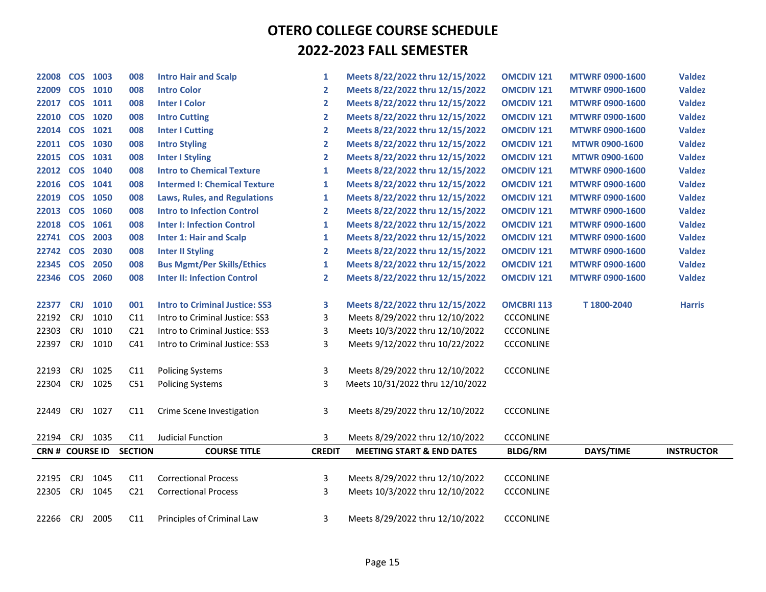| 22008           |            | COS 1003        | 008             | <b>Intro Hair and Scalp</b>           | 1                       | Meets 8/22/2022 thru 12/15/2022      | <b>OMCDIV 121</b> | <b>MTWRF 0900-1600</b> | <b>Valdez</b>     |
|-----------------|------------|-----------------|-----------------|---------------------------------------|-------------------------|--------------------------------------|-------------------|------------------------|-------------------|
| 22009           |            | COS 1010        | 008             | <b>Intro Color</b>                    | $\mathbf{2}$            | Meets 8/22/2022 thru 12/15/2022      | <b>OMCDIV 121</b> | <b>MTWRF 0900-1600</b> | <b>Valdez</b>     |
| 22017 COS 1011  |            |                 | 008             | <b>Inter I Color</b>                  | $\mathbf{2}$            | Meets 8/22/2022 thru 12/15/2022      | <b>OMCDIV 121</b> | <b>MTWRF 0900-1600</b> | <b>Valdez</b>     |
| 22010 COS 1020  |            |                 | 008             | <b>Intro Cutting</b>                  | $\overline{2}$          | Meets 8/22/2022 thru 12/15/2022      | <b>OMCDIV 121</b> | <b>MTWRF 0900-1600</b> | <b>Valdez</b>     |
| 22014 COS 1021  |            |                 | 008             | <b>Inter I Cutting</b>                | $\overline{\mathbf{2}}$ | Meets 8/22/2022 thru 12/15/2022      | <b>OMCDIV 121</b> | <b>MTWRF 0900-1600</b> | <b>Valdez</b>     |
| 22011 COS 1030  |            |                 | 008             | <b>Intro Styling</b>                  | $\mathbf{2}$            | Meets 8/22/2022 thru 12/15/2022      | <b>OMCDIV 121</b> | <b>MTWR 0900-1600</b>  | <b>Valdez</b>     |
| 22015 COS 1031  |            |                 | 008             | <b>Inter I Styling</b>                | $\mathbf{2}$            | Meets 8/22/2022 thru 12/15/2022      | <b>OMCDIV 121</b> | <b>MTWR 0900-1600</b>  | <b>Valdez</b>     |
| 22012 COS 1040  |            |                 | 008             | <b>Intro to Chemical Texture</b>      | 1                       | Meets 8/22/2022 thru 12/15/2022      | <b>OMCDIV 121</b> | <b>MTWRF 0900-1600</b> | <b>Valdez</b>     |
| 22016 COS       |            | 1041            | 008             | <b>Intermed I: Chemical Texture</b>   | 1                       | Meets 8/22/2022 thru 12/15/2022      | <b>OMCDIV 121</b> | <b>MTWRF 0900-1600</b> | <b>Valdez</b>     |
| 22019 COS 1050  |            |                 | 008             | <b>Laws, Rules, and Regulations</b>   | 1                       | Meets 8/22/2022 thru 12/15/2022      | <b>OMCDIV 121</b> | <b>MTWRF 0900-1600</b> | <b>Valdez</b>     |
| 22013 COS 1060  |            |                 | 008             | <b>Intro to Infection Control</b>     | $\mathbf{2}$            | Meets 8/22/2022 thru 12/15/2022      | <b>OMCDIV 121</b> | <b>MTWRF 0900-1600</b> | <b>Valdez</b>     |
| 22018 COS 1061  |            |                 | 008             | <b>Inter I: Infection Control</b>     | 1                       | Meets 8/22/2022 thru 12/15/2022      | <b>OMCDIV 121</b> | <b>MTWRF 0900-1600</b> | <b>Valdez</b>     |
| 22741 COS 2003  |            |                 | 008             | <b>Inter 1: Hair and Scalp</b>        | 1                       | Meets 8/22/2022 thru 12/15/2022      | <b>OMCDIV 121</b> | <b>MTWRF 0900-1600</b> | <b>Valdez</b>     |
| 22742           | <b>COS</b> | 2030            | 008             | <b>Inter II Styling</b>               | $\mathbf{2}$            | Meets 8/22/2022 thru 12/15/2022      | <b>OMCDIV 121</b> | <b>MTWRF 0900-1600</b> | <b>Valdez</b>     |
| 22345           |            | <b>COS 2050</b> | 008             | <b>Bus Mgmt/Per Skills/Ethics</b>     | 1                       | Meets 8/22/2022 thru 12/15/2022      | <b>OMCDIV 121</b> | <b>MTWRF 0900-1600</b> | <b>Valdez</b>     |
| 22346 COS 2060  |            |                 | 008             | <b>Inter II: Infection Control</b>    | $\mathbf{2}$            | Meets 8/22/2022 thru 12/15/2022      | <b>OMCDIV 121</b> | <b>MTWRF 0900-1600</b> | <b>Valdez</b>     |
|                 |            |                 |                 |                                       |                         |                                      |                   |                        |                   |
| 22377           | <b>CRJ</b> | 1010            | 001             | <b>Intro to Criminal Justice: SS3</b> | 3                       | Meets 8/22/2022 thru 12/15/2022      | <b>OMCBRI 113</b> | T1800-2040             | <b>Harris</b>     |
| 22192           | <b>CRJ</b> | 1010            | C11             | Intro to Criminal Justice: SS3        | 3                       | Meets 8/29/2022 thru 12/10/2022      | <b>CCCONLINE</b>  |                        |                   |
| 22303           | <b>CRJ</b> | 1010            | C <sub>21</sub> | Intro to Criminal Justice: SS3        | 3                       | Meets 10/3/2022 thru 12/10/2022      | <b>CCCONLINE</b>  |                        |                   |
| 22397           | <b>CRJ</b> | 1010            | C <sub>41</sub> | Intro to Criminal Justice: SS3        | 3                       | Meets 9/12/2022 thru 10/22/2022      | <b>CCCONLINE</b>  |                        |                   |
|                 |            |                 |                 |                                       |                         |                                      |                   |                        |                   |
| 22193           | <b>CRJ</b> | 1025            | C11             | <b>Policing Systems</b>               | 3                       | Meets 8/29/2022 thru 12/10/2022      | <b>CCCONLINE</b>  |                        |                   |
| 22304           | <b>CRJ</b> | 1025            | C51             | <b>Policing Systems</b>               | 3                       | Meets 10/31/2022 thru 12/10/2022     |                   |                        |                   |
|                 |            |                 |                 |                                       |                         |                                      |                   |                        |                   |
| 22449           | <b>CRJ</b> | 1027            | C11             | Crime Scene Investigation             | 3                       | Meets 8/29/2022 thru 12/10/2022      | <b>CCCONLINE</b>  |                        |                   |
|                 |            |                 |                 |                                       |                         |                                      |                   |                        |                   |
| 22194           | <b>CRJ</b> | 1035            | C11             | Judicial Function                     | 3                       | Meets 8/29/2022 thru 12/10/2022      | <b>CCCONLINE</b>  |                        |                   |
| CRN # COURSE ID |            |                 | <b>SECTION</b>  | <b>COURSE TITLE</b>                   | <b>CREDIT</b>           | <b>MEETING START &amp; END DATES</b> | <b>BLDG/RM</b>    | DAYS/TIME              | <b>INSTRUCTOR</b> |
|                 |            |                 |                 |                                       |                         |                                      |                   |                        |                   |
| 22195           | <b>CRJ</b> | 1045            | C11             | <b>Correctional Process</b>           | 3                       | Meets 8/29/2022 thru 12/10/2022      | <b>CCCONLINE</b>  |                        |                   |
| 22305           | <b>CRJ</b> | 1045            | C <sub>21</sub> | <b>Correctional Process</b>           | 3                       | Meets 10/3/2022 thru 12/10/2022      | <b>CCCONLINE</b>  |                        |                   |
|                 |            |                 |                 |                                       |                         |                                      |                   |                        |                   |
| 22266           | <b>CRJ</b> | 2005            | C11             | Principles of Criminal Law            | 3                       | Meets 8/29/2022 thru 12/10/2022      | <b>CCCONLINE</b>  |                        |                   |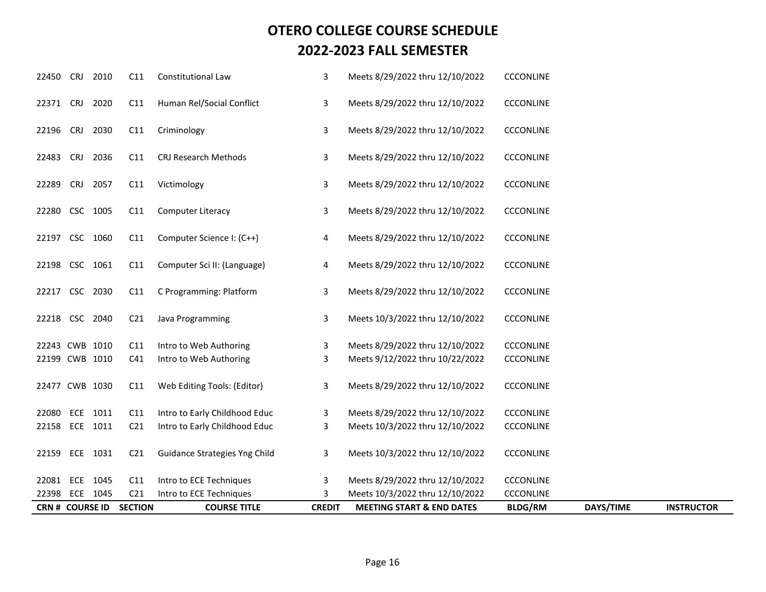|                |            | <b>CRN # COURSE ID</b> | <b>SECTION</b>  | <b>COURSE TITLE</b>           | <b>CREDIT</b> | <b>MEETING START &amp; END DATES</b> | <b>BLDG/RM</b>   | DAYS/TIME | <b>INSTRUCTOR</b> |
|----------------|------------|------------------------|-----------------|-------------------------------|---------------|--------------------------------------|------------------|-----------|-------------------|
| 22398          |            | ECE 1045               | C <sub>21</sub> | Intro to ECE Techniques       | 3             | Meets 10/3/2022 thru 12/10/2022      | <b>CCCONLINE</b> |           |                   |
| 22081 ECE 1045 |            |                        | C11             | Intro to ECE Techniques       | 3             | Meets 8/29/2022 thru 12/10/2022      | <b>CCCONLINE</b> |           |                   |
| 22159 ECE 1031 |            |                        | C <sub>21</sub> | Guidance Strategies Yng Child | 3             | Meets 10/3/2022 thru 12/10/2022      | <b>CCCONLINE</b> |           |                   |
| 22158 ECE 1011 |            |                        | C <sub>21</sub> | Intro to Early Childhood Educ | 3             | Meets 10/3/2022 thru 12/10/2022      | CCCONLINE        |           |                   |
| 22080 ECE 1011 |            |                        | C11             | Intro to Early Childhood Educ | 3             | Meets 8/29/2022 thru 12/10/2022      | <b>CCCONLINE</b> |           |                   |
| 22477 CWB 1030 |            |                        | C11             | Web Editing Tools: (Editor)   | 3             | Meets 8/29/2022 thru 12/10/2022      | <b>CCCONLINE</b> |           |                   |
| 22199 CWB 1010 |            |                        | C41             | Intro to Web Authoring        | 3             | Meets 9/12/2022 thru 10/22/2022      | <b>CCCONLINE</b> |           |                   |
| 22243 CWB 1010 |            |                        | C11             | Intro to Web Authoring        | 3             | Meets 8/29/2022 thru 12/10/2022      | CCCONLINE        |           |                   |
| 22218 CSC 2040 |            |                        | C <sub>21</sub> | Java Programming              | 3             | Meets 10/3/2022 thru 12/10/2022      | <b>CCCONLINE</b> |           |                   |
| 22217 CSC 2030 |            |                        | C11             | C Programming: Platform       | 3             | Meets 8/29/2022 thru 12/10/2022      | <b>CCCONLINE</b> |           |                   |
| 22198 CSC 1061 |            |                        | C11             | Computer Sci II: (Language)   | 4             | Meets 8/29/2022 thru 12/10/2022      | <b>CCCONLINE</b> |           |                   |
| 22197 CSC 1060 |            |                        | C11             | Computer Science I: (C++)     | 4             | Meets 8/29/2022 thru 12/10/2022      | <b>CCCONLINE</b> |           |                   |
| 22280 CSC 1005 |            |                        | C11             | Computer Literacy             | 3             | Meets 8/29/2022 thru 12/10/2022      | <b>CCCONLINE</b> |           |                   |
| 22289          | <b>CRJ</b> | 2057                   | C11             | Victimology                   | 3             | Meets 8/29/2022 thru 12/10/2022      | CCCONLINE        |           |                   |
| 22483          | <b>CRJ</b> | 2036                   | C11             | CRJ Research Methods          | 3             | Meets 8/29/2022 thru 12/10/2022      | <b>CCCONLINE</b> |           |                   |
| 22196          | <b>CRJ</b> | 2030                   | C11             | Criminology                   | 3             | Meets 8/29/2022 thru 12/10/2022      | <b>CCCONLINE</b> |           |                   |
| 22371 CRJ 2020 |            |                        | C11             | Human Rel/Social Conflict     | 3             | Meets 8/29/2022 thru 12/10/2022      | <b>CCCONLINE</b> |           |                   |
| 22450          | <b>CRJ</b> | 2010                   | C11             | Constitutional Law            | 3             | Meets 8/29/2022 thru 12/10/2022      | <b>CCCONLINE</b> |           |                   |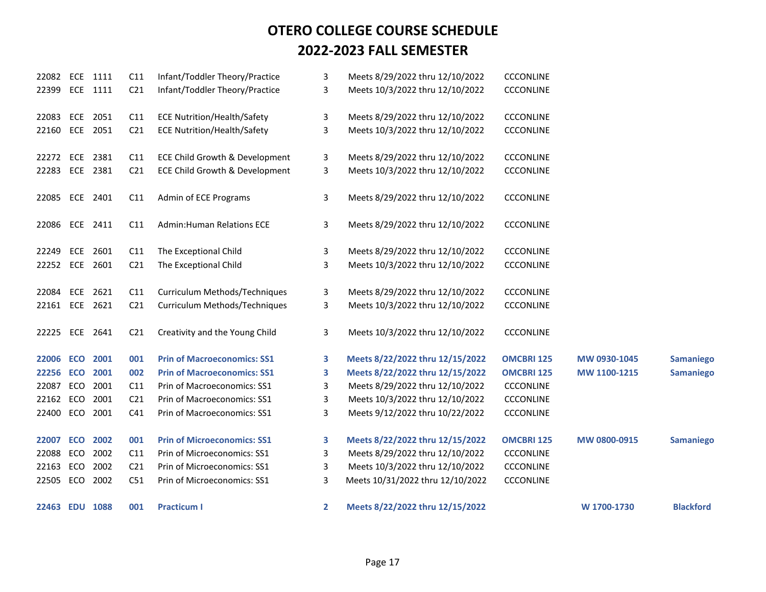| 22082          |     | ECE 1111 | C11             | Infant/Toddler Theory/Practice     | 3 | Meets 8/29/2022 thru 12/10/2022  | CCCONLINE         |              |                  |
|----------------|-----|----------|-----------------|------------------------------------|---|----------------------------------|-------------------|--------------|------------------|
| 22399 ECE 1111 |     |          | C <sub>21</sub> | Infant/Toddler Theory/Practice     | 3 | Meets 10/3/2022 thru 12/10/2022  | CCCONLINE         |              |                  |
| 22083          |     | ECE 2051 | C11             | <b>ECE Nutrition/Health/Safety</b> | 3 | Meets 8/29/2022 thru 12/10/2022  | <b>CCCONLINE</b>  |              |                  |
|                |     | ECE 2051 |                 |                                    |   |                                  |                   |              |                  |
| 22160          |     |          | C <sub>21</sub> | <b>ECE Nutrition/Health/Safety</b> | 3 | Meets 10/3/2022 thru 12/10/2022  | <b>CCCONLINE</b>  |              |                  |
| 22272          | ECE | 2381     | C11             | ECE Child Growth & Development     | 3 | Meets 8/29/2022 thru 12/10/2022  | CCCONLINE         |              |                  |
| 22283 ECE 2381 |     |          | C <sub>21</sub> | ECE Child Growth & Development     | 3 | Meets 10/3/2022 thru 12/10/2022  | CCCONLINE         |              |                  |
|                |     |          |                 |                                    |   |                                  |                   |              |                  |
| 22085 ECE 2401 |     |          | C11             | Admin of ECE Programs              | 3 | Meets 8/29/2022 thru 12/10/2022  | <b>CCCONLINE</b>  |              |                  |
| 22086 ECE 2411 |     |          | C11             | <b>Admin:Human Relations ECE</b>   | 3 | Meets 8/29/2022 thru 12/10/2022  | <b>CCCONLINE</b>  |              |                  |
|                |     |          |                 |                                    |   |                                  |                   |              |                  |
| 22249 ECE 2601 |     |          | C11             | The Exceptional Child              | 3 | Meets 8/29/2022 thru 12/10/2022  | <b>CCCONLINE</b>  |              |                  |
| 22252 ECE 2601 |     |          | C <sub>21</sub> | The Exceptional Child              | 3 | Meets 10/3/2022 thru 12/10/2022  | <b>CCCONLINE</b>  |              |                  |
|                |     |          |                 |                                    |   |                                  |                   |              |                  |
| 22084 ECE 2621 |     |          | C11             | Curriculum Methods/Techniques      | 3 | Meets 8/29/2022 thru 12/10/2022  | CCCONLINE         |              |                  |
| 22161 ECE 2621 |     |          | C <sub>21</sub> | Curriculum Methods/Techniques      | 3 | Meets 10/3/2022 thru 12/10/2022  | <b>CCCONLINE</b>  |              |                  |
| 22225          |     | ECE 2641 | C <sub>21</sub> | Creativity and the Young Child     | 3 | Meets 10/3/2022 thru 12/10/2022  | <b>CCCONLINE</b>  |              |                  |
|                |     |          |                 |                                    |   |                                  |                   |              |                  |
| 22006 ECO      |     | 2001     | 001             | <b>Prin of Macroeconomics: SS1</b> | 3 | Meets 8/22/2022 thru 12/15/2022  | <b>OMCBRI 125</b> | MW 0930-1045 | <b>Samaniego</b> |
| 22256 ECO 2001 |     |          | 002             | <b>Prin of Macroeconomics: SS1</b> | 3 | Meets 8/22/2022 thru 12/15/2022  | <b>OMCBRI 125</b> | MW 1100-1215 | <b>Samaniego</b> |
| 22087          |     | ECO 2001 | C11             | Prin of Macroeconomics: SS1        | 3 | Meets 8/29/2022 thru 12/10/2022  | <b>CCCONLINE</b>  |              |                  |
| 22162 ECO      |     | 2001     | C <sub>21</sub> | Prin of Macroeconomics: SS1        | 3 | Meets 10/3/2022 thru 12/10/2022  | <b>CCCONLINE</b>  |              |                  |
| 22400          | ECO | 2001     | C41             | Prin of Macroeconomics: SS1        | 3 | Meets 9/12/2022 thru 10/22/2022  | <b>CCCONLINE</b>  |              |                  |
|                |     |          |                 |                                    |   |                                  |                   |              |                  |
| 22007          | ECO | 2002     | 001             | <b>Prin of Microeconomics: SS1</b> | 3 | Meets 8/22/2022 thru 12/15/2022  | <b>OMCBRI 125</b> | MW 0800-0915 | <b>Samaniego</b> |
| 22088          | ECO | 2002     | C11             | Prin of Microeconomics: SS1        | 3 | Meets 8/29/2022 thru 12/10/2022  | <b>CCCONLINE</b>  |              |                  |
| 22163 ECO      |     | 2002     | C <sub>21</sub> | Prin of Microeconomics: SS1        | 3 | Meets 10/3/2022 thru 12/10/2022  | CCCONLINE         |              |                  |
| 22505 ECO      |     | 2002     | C51             | Prin of Microeconomics: SS1        | 3 | Meets 10/31/2022 thru 12/10/2022 | CCCONLINE         |              |                  |
| 22463 EDU 1088 |     |          | 001             | <b>Practicum I</b>                 | 2 | Meets 8/22/2022 thru 12/15/2022  |                   | W 1700-1730  | <b>Blackford</b> |
|                |     |          |                 |                                    |   |                                  |                   |              |                  |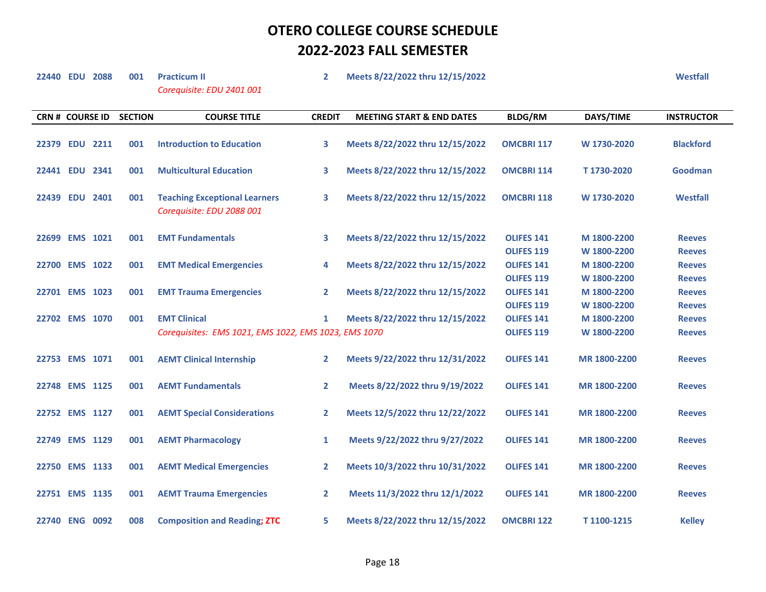*Corequisite: EDU 2401 001*

**22440 EDU 2088 001 Practicum II 2 Meets 8/22/2022 thru 12/15/2022 Westfall**

| <b>CRN # COURSE ID</b> | <b>SECTION</b> | <b>COURSE TITLE</b>                                               | <b>CREDIT</b>  | <b>MEETING START &amp; END DATES</b> | <b>BLDG/RM</b>    | DAYS/TIME    | <b>INSTRUCTOR</b> |
|------------------------|----------------|-------------------------------------------------------------------|----------------|--------------------------------------|-------------------|--------------|-------------------|
| 22379 EDU 2211         | 001            | <b>Introduction to Education</b>                                  | 3              | Meets 8/22/2022 thru 12/15/2022      | <b>OMCBRI 117</b> | W 1730-2020  | <b>Blackford</b>  |
| 22441 EDU 2341         | 001            | <b>Multicultural Education</b>                                    | 3              | Meets 8/22/2022 thru 12/15/2022      | <b>OMCBRI 114</b> | T1730-2020   | Goodman           |
| 22439 EDU 2401         | 001            | <b>Teaching Exceptional Learners</b><br>Corequisite: EDU 2088 001 | 3              | Meets 8/22/2022 thru 12/15/2022      | <b>OMCBRI 118</b> | W 1730-2020  | <b>Westfall</b>   |
| 22699 EMS 1021         | 001            | <b>EMT Fundamentals</b>                                           | 3              | Meets 8/22/2022 thru 12/15/2022      | <b>OLIFES 141</b> | M 1800-2200  | <b>Reeves</b>     |
|                        |                |                                                                   |                |                                      | <b>OLIFES 119</b> | W 1800-2200  | <b>Reeves</b>     |
| 22700 EMS 1022         | 001            | <b>EMT Medical Emergencies</b>                                    | 4              | Meets 8/22/2022 thru 12/15/2022      | <b>OLIFES 141</b> | M 1800-2200  | <b>Reeves</b>     |
|                        |                |                                                                   |                |                                      | <b>OLIFES 119</b> | W 1800-2200  | <b>Reeves</b>     |
| 22701 EMS 1023         | 001            | <b>EMT Trauma Emergencies</b>                                     | $\mathbf{2}$   | Meets 8/22/2022 thru 12/15/2022      | <b>OLIFES 141</b> | M 1800-2200  | <b>Reeves</b>     |
|                        |                |                                                                   |                |                                      | <b>OLIFES 119</b> | W 1800-2200  | <b>Reeves</b>     |
| 22702 EMS 1070         | 001            | <b>EMT Clinical</b>                                               | $\mathbf{1}$   | Meets 8/22/2022 thru 12/15/2022      | <b>OLIFES 141</b> | M 1800-2200  | <b>Reeves</b>     |
|                        |                | Corequisites: EMS 1021, EMS 1022, EMS 1023, EMS 1070              |                |                                      | <b>OLIFES 119</b> | W 1800-2200  | <b>Reeves</b>     |
| 22753 EMS 1071         | 001            | <b>AEMT Clinical Internship</b>                                   | $\overline{2}$ | Meets 9/22/2022 thru 12/31/2022      | <b>OLIFES 141</b> | MR 1800-2200 | <b>Reeves</b>     |
| 22748 EMS 1125         | 001            | <b>AEMT Fundamentals</b>                                          | $\mathbf{2}$   | Meets 8/22/2022 thru 9/19/2022       | <b>OLIFES 141</b> | MR 1800-2200 | <b>Reeves</b>     |
| 22752 EMS 1127         | 001            | <b>AEMT Special Considerations</b>                                | $\mathbf{2}$   | Meets 12/5/2022 thru 12/22/2022      | <b>OLIFES 141</b> | MR 1800-2200 | <b>Reeves</b>     |
| 22749 EMS 1129         | 001            | <b>AEMT Pharmacology</b>                                          | 1              | Meets 9/22/2022 thru 9/27/2022       | <b>OLIFES 141</b> | MR 1800-2200 | <b>Reeves</b>     |
| 22750 EMS 1133         | 001            | <b>AEMT Medical Emergencies</b>                                   | 2              | Meets 10/3/2022 thru 10/31/2022      | <b>OLIFES 141</b> | MR 1800-2200 | <b>Reeves</b>     |
| 22751 EMS 1135         | 001            | <b>AEMT Trauma Emergencies</b>                                    | $\mathbf{2}$   | Meets 11/3/2022 thru 12/1/2022       | <b>OLIFES 141</b> | MR 1800-2200 | <b>Reeves</b>     |
| 22740 ENG 0092         | 008            | <b>Composition and Reading; ZTC</b>                               | 5              | Meets 8/22/2022 thru 12/15/2022      | <b>OMCBRI 122</b> | T1100-1215   | <b>Kelley</b>     |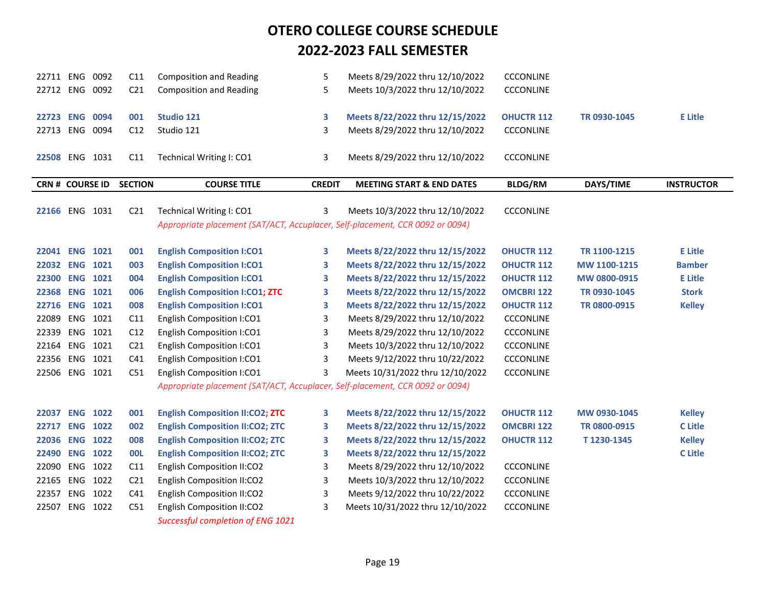| 22711 ENG              |          | 0092     | C11             | <b>Composition and Reading</b>                                                | 5             | Meets 8/29/2022 thru 12/10/2022      | <b>CCCONLINE</b>  |              |                   |
|------------------------|----------|----------|-----------------|-------------------------------------------------------------------------------|---------------|--------------------------------------|-------------------|--------------|-------------------|
| 22712 ENG 0092         |          |          | C <sub>21</sub> | <b>Composition and Reading</b>                                                | 5             | Meets 10/3/2022 thru 12/10/2022      | <b>CCCONLINE</b>  |              |                   |
|                        |          |          |                 |                                                                               |               |                                      |                   |              |                   |
| 22723 ENG 0094         |          |          | 001             | Studio 121                                                                    | 3             | Meets 8/22/2022 thru 12/15/2022      | <b>OHUCTR 112</b> | TR 0930-1045 | <b>E</b> Litle    |
| 22713 ENG 0094         |          |          | C12             | Studio 121                                                                    | 3             | Meets 8/29/2022 thru 12/10/2022      | <b>CCCONLINE</b>  |              |                   |
|                        |          |          |                 |                                                                               |               |                                      |                   |              |                   |
| 22508 ENG 1031         |          |          | C11             | Technical Writing I: CO1                                                      | 3             | Meets 8/29/2022 thru 12/10/2022      | <b>CCCONLINE</b>  |              |                   |
|                        |          |          |                 |                                                                               |               |                                      |                   |              |                   |
| <b>CRN # COURSE ID</b> |          |          | <b>SECTION</b>  | <b>COURSE TITLE</b>                                                           | <b>CREDIT</b> | <b>MEETING START &amp; END DATES</b> | <b>BLDG/RM</b>    | DAYS/TIME    | <b>INSTRUCTOR</b> |
|                        |          |          |                 |                                                                               |               |                                      |                   |              |                   |
| 22166 ENG 1031         |          |          | C <sub>21</sub> | Technical Writing I: CO1                                                      | 3             | Meets 10/3/2022 thru 12/10/2022      | <b>CCCONLINE</b>  |              |                   |
|                        |          |          |                 | Appropriate placement (SAT/ACT, Accuplacer, Self-placement, CCR 0092 or 0094) |               |                                      |                   |              |                   |
|                        |          |          |                 |                                                                               |               |                                      |                   |              |                   |
| 22041 ENG 1021         |          |          | 001             | <b>English Composition I:CO1</b>                                              | 3             | Meets 8/22/2022 thru 12/15/2022      | <b>OHUCTR 112</b> | TR 1100-1215 | <b>E</b> Litle    |
| 22032 ENG 1021         |          |          | 003             | <b>English Composition I:CO1</b>                                              | 3             | Meets 8/22/2022 thru 12/15/2022      | <b>OHUCTR 112</b> | MW 1100-1215 | <b>Bamber</b>     |
| 22300 ENG 1021         |          |          | 004             | <b>English Composition I:CO1</b>                                              | 3             | Meets 8/22/2022 thru 12/15/2022      | <b>OHUCTR 112</b> | MW 0800-0915 | <b>E</b> Litle    |
| 22368 ENG 1021         |          |          | 006             | <b>English Composition I:CO1; ZTC</b>                                         | 3             | Meets 8/22/2022 thru 12/15/2022      | <b>OMCBRI 122</b> | TR 0930-1045 | <b>Stork</b>      |
| 22716 ENG 1021         |          |          | 008             | <b>English Composition I:CO1</b>                                              | 3             | Meets 8/22/2022 thru 12/15/2022      | <b>OHUCTR 112</b> | TR 0800-0915 | <b>Kelley</b>     |
| 22089                  | ENG      | 1021     | C11             | English Composition I:CO1                                                     | 3             | Meets 8/29/2022 thru 12/10/2022      | <b>CCCONLINE</b>  |              |                   |
| 22339                  | ENG 1021 |          | C12             | English Composition I:CO1                                                     | 3             | Meets 8/29/2022 thru 12/10/2022      | <b>CCCONLINE</b>  |              |                   |
| 22164 ENG 1021         |          |          | C <sub>21</sub> | English Composition I:CO1                                                     | 3             | Meets 10/3/2022 thru 12/10/2022      | <b>CCCONLINE</b>  |              |                   |
| 22356 ENG 1021         |          |          | C41             | English Composition I:CO1                                                     | 3             | Meets 9/12/2022 thru 10/22/2022      | <b>CCCONLINE</b>  |              |                   |
| 22506                  | ENG 1021 |          | C51             | English Composition I:CO1                                                     | 3             | Meets 10/31/2022 thru 12/10/2022     | <b>CCCONLINE</b>  |              |                   |
|                        |          |          |                 | Appropriate placement (SAT/ACT, Accuplacer, Self-placement, CCR 0092 or 0094) |               |                                      |                   |              |                   |
|                        |          |          |                 |                                                                               |               |                                      |                   |              |                   |
| 22037 ENG 1022         |          |          | 001             | <b>English Composition II:CO2; ZTC</b>                                        | 3             | Meets 8/22/2022 thru 12/15/2022      | <b>OHUCTR 112</b> | MW 0930-1045 | <b>Kelley</b>     |
| 22717 ENG 1022         |          |          | 002             | <b>English Composition II:CO2; ZTC</b>                                        | 3             | Meets 8/22/2022 thru 12/15/2022      | <b>OMCBRI 122</b> | TR 0800-0915 | <b>C</b> Litle    |
| 22036                  | ENG      | 1022     | 008             | <b>English Composition II:CO2; ZTC</b>                                        | 3             | Meets 8/22/2022 thru 12/15/2022      | <b>OHUCTR 112</b> | T1230-1345   | <b>Kelley</b>     |
| 22490 ENG 1022         |          |          | <b>OOL</b>      | <b>English Composition II:CO2; ZTC</b>                                        | 3             | Meets 8/22/2022 thru 12/15/2022      |                   |              | <b>C</b> Litle    |
| 22090                  |          | ENG 1022 | C11             | English Composition II:CO2                                                    | 3             | Meets 8/29/2022 thru 12/10/2022      | CCCONLINE         |              |                   |
| 22165 ENG 1022         |          |          | C <sub>21</sub> | English Composition II:CO2                                                    | 3             | Meets 10/3/2022 thru 12/10/2022      | <b>CCCONLINE</b>  |              |                   |
| 22357                  | ENG      | 1022     | C41             | English Composition II:CO2                                                    | 3             | Meets 9/12/2022 thru 10/22/2022      | <b>CCCONLINE</b>  |              |                   |
| 22507                  | ENG      | 1022     | C51             | English Composition II:CO2                                                    | 3             | Meets 10/31/2022 thru 12/10/2022     | <b>CCCONLINE</b>  |              |                   |
|                        |          |          |                 | Successful completion of ENG 1021                                             |               |                                      |                   |              |                   |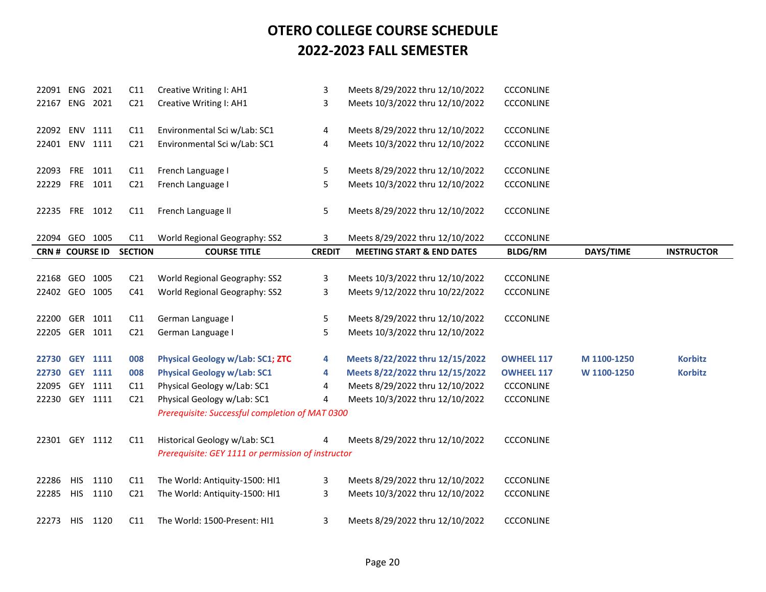| 22091 ENG              |            | 2021     | C11             | Creative Writing I: AH1                            | 3             | Meets 8/29/2022 thru 12/10/2022      | <b>CCCONLINE</b>  |             |                   |
|------------------------|------------|----------|-----------------|----------------------------------------------------|---------------|--------------------------------------|-------------------|-------------|-------------------|
| 22167                  |            | ENG 2021 | C <sub>21</sub> | Creative Writing I: AH1                            | 3             | Meets 10/3/2022 thru 12/10/2022      | <b>CCCONLINE</b>  |             |                   |
|                        |            |          |                 |                                                    |               |                                      |                   |             |                   |
| 22092 ENV 1111         |            |          | C11             | Environmental Sci w/Lab: SC1                       | 4             | Meets 8/29/2022 thru 12/10/2022      | <b>CCCONLINE</b>  |             |                   |
| 22401 ENV 1111         |            |          | C <sub>21</sub> | Environmental Sci w/Lab: SC1                       | 4             | Meets 10/3/2022 thru 12/10/2022      | <b>CCCONLINE</b>  |             |                   |
|                        |            |          |                 |                                                    |               |                                      |                   |             |                   |
| 22093                  |            | FRE 1011 | C11             | French Language I                                  | 5             | Meets 8/29/2022 thru 12/10/2022      | <b>CCCONLINE</b>  |             |                   |
| 22229                  | <b>FRE</b> | 1011     | C <sub>21</sub> | French Language I                                  | 5             | Meets 10/3/2022 thru 12/10/2022      | <b>CCCONLINE</b>  |             |                   |
|                        |            |          |                 |                                                    |               |                                      |                   |             |                   |
| 22235 FRE 1012         |            |          | C11             | French Language II                                 | 5             | Meets 8/29/2022 thru 12/10/2022      | <b>CCCONLINE</b>  |             |                   |
|                        |            |          |                 |                                                    |               |                                      |                   |             |                   |
| 22094 GEO              |            | 1005     | C11             | World Regional Geography: SS2                      | 3             | Meets 8/29/2022 thru 12/10/2022      | <b>CCCONLINE</b>  |             |                   |
| <b>CRN # COURSE ID</b> |            |          | <b>SECTION</b>  | <b>COURSE TITLE</b>                                | <b>CREDIT</b> | <b>MEETING START &amp; END DATES</b> | <b>BLDG/RM</b>    | DAYS/TIME   | <b>INSTRUCTOR</b> |
|                        |            |          |                 |                                                    |               |                                      |                   |             |                   |
| 22168 GEO              |            | 1005     | C <sub>21</sub> | World Regional Geography: SS2                      | 3             | Meets 10/3/2022 thru 12/10/2022      | CCCONLINE         |             |                   |
| 22402 GEO 1005         |            |          | C <sub>41</sub> | World Regional Geography: SS2                      | 3             | Meets 9/12/2022 thru 10/22/2022      | <b>CCCONLINE</b>  |             |                   |
|                        |            |          |                 |                                                    |               |                                      |                   |             |                   |
| 22200 GER 1011         |            |          | C11             | German Language I                                  | 5             | Meets 8/29/2022 thru 12/10/2022      | <b>CCCONLINE</b>  |             |                   |
| 22205 GER 1011         |            |          | C <sub>21</sub> | German Language I                                  | 5             | Meets 10/3/2022 thru 12/10/2022      |                   |             |                   |
|                        |            |          |                 |                                                    |               |                                      |                   |             |                   |
| 22730 GEY 1111         |            |          | 008             | <b>Physical Geology w/Lab: SC1; ZTC</b>            | 4             | Meets 8/22/2022 thru 12/15/2022      | <b>OWHEEL 117</b> | M 1100-1250 | <b>Korbitz</b>    |
| 22730 GEY 1111         |            |          | 008             | <b>Physical Geology w/Lab: SC1</b>                 | 4             | Meets 8/22/2022 thru 12/15/2022      | <b>OWHEEL 117</b> | W 1100-1250 | <b>Korbitz</b>    |
| 22095                  |            | GEY 1111 | C11             | Physical Geology w/Lab: SC1                        | 4             | Meets 8/29/2022 thru 12/10/2022      | <b>CCCONLINE</b>  |             |                   |
| 22230 GEY 1111         |            |          | C <sub>21</sub> | Physical Geology w/Lab: SC1                        | 4             | Meets 10/3/2022 thru 12/10/2022      | <b>CCCONLINE</b>  |             |                   |
|                        |            |          |                 | Prerequisite: Successful completion of MAT 0300    |               |                                      |                   |             |                   |
|                        |            |          |                 |                                                    |               |                                      |                   |             |                   |
| 22301 GEY 1112         |            |          | C11             | Historical Geology w/Lab: SC1                      | 4             | Meets 8/29/2022 thru 12/10/2022      | <b>CCCONLINE</b>  |             |                   |
|                        |            |          |                 | Prerequisite: GEY 1111 or permission of instructor |               |                                      |                   |             |                   |
|                        |            |          |                 |                                                    |               |                                      |                   |             |                   |
| 22286                  | <b>HIS</b> | 1110     | C11             | The World: Antiquity-1500: HI1                     | 3             | Meets 8/29/2022 thru 12/10/2022      | CCCONLINE         |             |                   |
| 22285                  | <b>HIS</b> | 1110     | C <sub>21</sub> | The World: Antiquity-1500: HI1                     | 3             | Meets 10/3/2022 thru 12/10/2022      | <b>CCCONLINE</b>  |             |                   |
|                        |            |          |                 |                                                    |               |                                      |                   |             |                   |
| 22273                  | <b>HIS</b> | 1120     | C11             | The World: 1500-Present: HI1                       | 3             | Meets 8/29/2022 thru 12/10/2022      | <b>CCCONLINE</b>  |             |                   |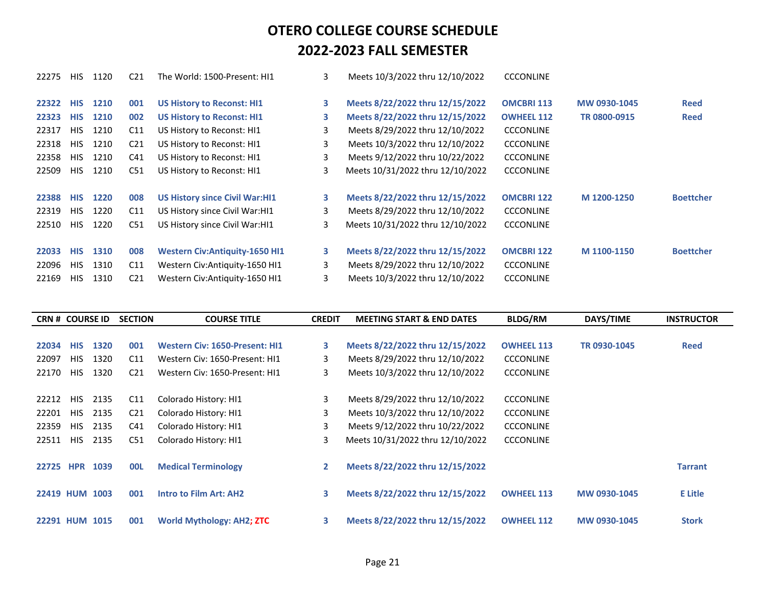| 22275 | <b>HIS</b> | 1120 | C <sub>21</sub> | The World: 1500-Present: HI1          | 3  | Meets 10/3/2022 thru 12/10/2022  | <b>CCCONLINE</b>  |              |                  |
|-------|------------|------|-----------------|---------------------------------------|----|----------------------------------|-------------------|--------------|------------------|
| 22322 | <b>HIS</b> | 1210 | 001             | <b>US History to Reconst: HI1</b>     | 3  | Meets 8/22/2022 thru 12/15/2022  | <b>OMCBRI 113</b> | MW 0930-1045 | <b>Reed</b>      |
| 22323 | <b>HIS</b> | 1210 | 002             | <b>US History to Reconst: HI1</b>     | 3. | Meets 8/22/2022 thru 12/15/2022  | <b>OWHEEL 112</b> | TR 0800-0915 | <b>Reed</b>      |
| 22317 | <b>HIS</b> | 1210 | C11             | US History to Reconst: HI1            | 3  | Meets 8/29/2022 thru 12/10/2022  | <b>CCCONLINE</b>  |              |                  |
| 22318 | <b>HIS</b> | 1210 | C <sub>21</sub> | US History to Reconst: HI1            | 3  | Meets 10/3/2022 thru 12/10/2022  | <b>CCCONLINE</b>  |              |                  |
| 22358 | <b>HIS</b> | 1210 | C41             | US History to Reconst: HI1            | 3  | Meets 9/12/2022 thru 10/22/2022  | <b>CCCONLINE</b>  |              |                  |
| 22509 | <b>HIS</b> | 1210 | C51             | US History to Reconst: HI1            | 3  | Meets 10/31/2022 thru 12/10/2022 | <b>CCCONLINE</b>  |              |                  |
| 22388 | <b>HIS</b> | 1220 | 008             | <b>US History since Civil War:HI1</b> | 3. | Meets 8/22/2022 thru 12/15/2022  | <b>OMCBRI 122</b> | M 1200-1250  | <b>Boettcher</b> |
| 22319 | <b>HIS</b> | 1220 | C11             | US History since Civil War: HI1       | 3  | Meets 8/29/2022 thru 12/10/2022  | <b>CCCONLINE</b>  |              |                  |
| 22510 | <b>HIS</b> | 1220 | C <sub>51</sub> | US History since Civil War: HI1       | 3  | Meets 10/31/2022 thru 12/10/2022 | <b>CCCONLINE</b>  |              |                  |
| 22033 | <b>HIS</b> | 1310 | 008             | <b>Western Civ:Antiquity-1650 HI1</b> | З. | Meets 8/22/2022 thru 12/15/2022  | <b>OMCBRI 122</b> | M 1100-1150  | <b>Boettcher</b> |
| 22096 | <b>HIS</b> | 1310 | C11             | Western Civ:Antiquity-1650 HI1        | 3  | Meets 8/29/2022 thru 12/10/2022  | <b>CCCONLINE</b>  |              |                  |
| 22169 | <b>HIS</b> | 1310 | C <sub>21</sub> | Western Civ: Antiquity-1650 HI1       | 3  | Meets 10/3/2022 thru 12/10/2022  | <b>CCCONLINE</b>  |              |                  |

| <b>CRN # COURSE ID</b> |            |                | <b>SECTION</b>  | <b>COURSE TITLE</b>                   | <b>CREDIT</b> | <b>MEETING START &amp; END DATES</b>                               | <b>BLDG/RM</b>    | DAYS/TIME    | <b>INSTRUCTOR</b> |
|------------------------|------------|----------------|-----------------|---------------------------------------|---------------|--------------------------------------------------------------------|-------------------|--------------|-------------------|
|                        |            |                |                 |                                       |               |                                                                    |                   |              |                   |
| 22034                  | <b>HIS</b> | 1320           | 001             | <b>Western Civ: 1650-Present: HI1</b> | 3             | Meets 8/22/2022 thru 12/15/2022                                    | <b>OWHEEL 113</b> | TR 0930-1045 | <b>Reed</b>       |
| 22097                  | <b>HIS</b> | 1320           | C <sub>11</sub> | Western Civ: 1650-Present: HI1        | 3             | Meets 8/29/2022 thru 12/10/2022                                    | <b>CCCONLINE</b>  |              |                   |
| 22170                  | <b>HIS</b> | 1320           | C <sub>21</sub> | Western Civ: 1650-Present: HI1        | 3             | Meets 10/3/2022 thru 12/10/2022                                    | <b>CCCONLINE</b>  |              |                   |
|                        |            |                |                 |                                       |               |                                                                    |                   |              |                   |
| 22212                  | <b>HIS</b> | 2135           | C11             | Colorado History: HI1                 | 3             | Meets 8/29/2022 thru 12/10/2022                                    | <b>CCCONLINE</b>  |              |                   |
| 22201                  | HIS.       | 2135           | C <sub>21</sub> | Colorado History: HI1                 | 3             | Meets 10/3/2022 thru 12/10/2022                                    | <b>CCCONLINE</b>  |              |                   |
| 22359                  | <b>HIS</b> | 2135           | C41             | Colorado History: HI1                 | 3             | Meets 9/12/2022 thru 10/22/2022                                    | <b>CCCONLINE</b>  |              |                   |
| 22511                  | <b>HIS</b> | 2135           | C51             | Colorado History: HI1                 | 3             | Meets 10/31/2022 thru 12/10/2022                                   | <b>CCCONLINE</b>  |              |                   |
|                        |            |                |                 |                                       |               |                                                                    |                   |              |                   |
| 22725 HPR              |            | 1039           | <b>OOL</b>      | <b>Medical Terminology</b>            | $\mathbf{2}$  | Meets 8/22/2022 thru 12/15/2022                                    |                   |              | <b>Tarrant</b>    |
|                        |            |                |                 |                                       |               |                                                                    |                   |              |                   |
|                        |            | 22419 HUM 1003 | 001             | <b>Intro to Film Art: AH2</b>         | 3             |                                                                    | <b>OWHEEL 113</b> | MW 0930-1045 | <b>E</b> Litle    |
|                        |            |                |                 |                                       |               |                                                                    |                   |              |                   |
|                        |            |                |                 |                                       |               |                                                                    |                   |              | <b>Stork</b>      |
| <b>22291 HUM</b>       |            | 1015           | 001             | World Mythology: AH2; ZTC             | 3             | Meets 8/22/2022 thru 12/15/2022<br>Meets 8/22/2022 thru 12/15/2022 | <b>OWHEEL 112</b> | MW 0930-1045 |                   |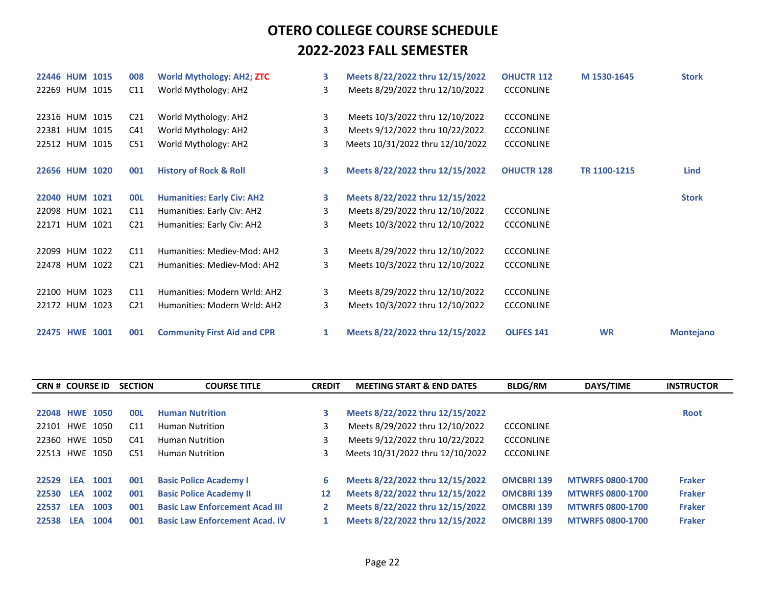| 22446 HUM 1015 |  | 008             | <b>World Mythology: AH2; ZTC</b>   | 3            | Meets 8/22/2022 thru 12/15/2022  | <b>OHUCTR 112</b> | M 1530-1645  | <b>Stork</b>     |
|----------------|--|-----------------|------------------------------------|--------------|----------------------------------|-------------------|--------------|------------------|
| 22269 HUM 1015 |  | C11             | World Mythology: AH2               | 3            | Meets 8/29/2022 thru 12/10/2022  | <b>CCCONLINE</b>  |              |                  |
| 22316 HUM 1015 |  | C <sub>21</sub> | World Mythology: AH2               | 3            | Meets 10/3/2022 thru 12/10/2022  | <b>CCCONLINE</b>  |              |                  |
|                |  |                 |                                    |              |                                  |                   |              |                  |
| 22381 HUM 1015 |  | C <sub>41</sub> | World Mythology: AH2               | 3            | Meets 9/12/2022 thru 10/22/2022  | <b>CCCONLINE</b>  |              |                  |
| 22512 HUM 1015 |  | C51             | World Mythology: AH2               | 3            | Meets 10/31/2022 thru 12/10/2022 | <b>CCCONLINE</b>  |              |                  |
|                |  |                 |                                    |              |                                  |                   |              |                  |
| 22656 HUM 1020 |  | 001             | <b>History of Rock &amp; Roll</b>  | 3            | Meets 8/22/2022 thru 12/15/2022  | <b>OHUCTR 128</b> | TR 1100-1215 | <b>Lind</b>      |
| 22040 HUM 1021 |  | <b>OOL</b>      | <b>Humanities: Early Civ: AH2</b>  | 3            | Meets 8/22/2022 thru 12/15/2022  |                   |              | <b>Stork</b>     |
| 22098 HUM 1021 |  | C11             | Humanities: Early Civ: AH2         | 3            | Meets 8/29/2022 thru 12/10/2022  | <b>CCCONLINE</b>  |              |                  |
| 22171 HUM 1021 |  | C <sub>21</sub> | Humanities: Early Civ: AH2         | 3            | Meets 10/3/2022 thru 12/10/2022  | <b>CCCONLINE</b>  |              |                  |
|                |  |                 |                                    |              |                                  |                   |              |                  |
| 22099 HUM 1022 |  | C11             | Humanities: Mediev-Mod: AH2        | 3            | Meets 8/29/2022 thru 12/10/2022  | <b>CCCONLINE</b>  |              |                  |
| 22478 HUM 1022 |  | C <sub>21</sub> | Humanities: Mediev-Mod: AH2        | 3            | Meets 10/3/2022 thru 12/10/2022  | <b>CCCONLINE</b>  |              |                  |
|                |  |                 |                                    |              |                                  |                   |              |                  |
| 22100 HUM 1023 |  | C11             | Humanities: Modern Wrld: AH2       | 3            | Meets 8/29/2022 thru 12/10/2022  | <b>CCCONLINE</b>  |              |                  |
| 22172 HUM 1023 |  | C <sub>21</sub> | Humanities: Modern Wrld: AH2       | 3            | Meets 10/3/2022 thru 12/10/2022  | <b>CCCONLINE</b>  |              |                  |
| 22475 HWE 1001 |  | 001             | <b>Community First Aid and CPR</b> | $\mathbf{1}$ | Meets 8/22/2022 thru 12/15/2022  | <b>OLIFES 141</b> | <b>WR</b>    | <b>Montejano</b> |
|                |  |                 |                                    |              |                                  |                   |              |                  |

| <b>CRN # COURSE ID</b> |            |      | <b>SECTION</b>  | <b>COURSE TITLE</b>                   | <b>CREDIT</b> | <b>MEETING START &amp; END DATES</b> | <b>BLDG/RM</b>    | DAYS/TIME               | <b>INSTRUCTOR</b> |
|------------------------|------------|------|-----------------|---------------------------------------|---------------|--------------------------------------|-------------------|-------------------------|-------------------|
|                        |            |      |                 |                                       |               |                                      |                   |                         |                   |
| 22048 HWE 1050         |            |      | <b>OOL</b>      | <b>Human Nutrition</b>                | 3             | Meets 8/22/2022 thru 12/15/2022      |                   |                         | <b>Root</b>       |
| 22101 HWE 1050         |            |      | C <sub>11</sub> | <b>Human Nutrition</b>                | 3             | Meets 8/29/2022 thru 12/10/2022      | <b>CCCONLINE</b>  |                         |                   |
| 22360 HWE 1050         |            |      | C41             | <b>Human Nutrition</b>                | 3             | Meets 9/12/2022 thru 10/22/2022      | <b>CCCONLINE</b>  |                         |                   |
| 22513 HWE 1050         |            |      | C51             | <b>Human Nutrition</b>                |               | Meets 10/31/2022 thru 12/10/2022     | <b>CCCONLINE</b>  |                         |                   |
|                        |            |      |                 |                                       |               |                                      |                   |                         |                   |
| 22529                  | <b>LEA</b> | 1001 | 001             | <b>Basic Police Academy I</b>         | 6             | Meets 8/22/2022 thru 12/15/2022      | <b>OMCBRI 139</b> | <b>MTWRFS 0800-1700</b> | <b>Fraker</b>     |
| 22530                  | <b>LEA</b> | 1002 | 001             | <b>Basic Police Academy II</b>        | 12            | Meets 8/22/2022 thru 12/15/2022      | <b>OMCBRI 139</b> | <b>MTWRFS 0800-1700</b> | <b>Fraker</b>     |
| 22537                  | <b>LEA</b> | 1003 | 001             | <b>Basic Law Enforcement Acad III</b> | 2             | Meets 8/22/2022 thru 12/15/2022      | <b>OMCBRI 139</b> | <b>MTWRFS 0800-1700</b> | <b>Fraker</b>     |
| 22538                  | <b>LEA</b> | 1004 | 001             | <b>Basic Law Enforcement Acad. IV</b> |               | Meets 8/22/2022 thru 12/15/2022      | <b>OMCBRI 139</b> | <b>MTWRFS 0800-1700</b> | <b>Fraker</b>     |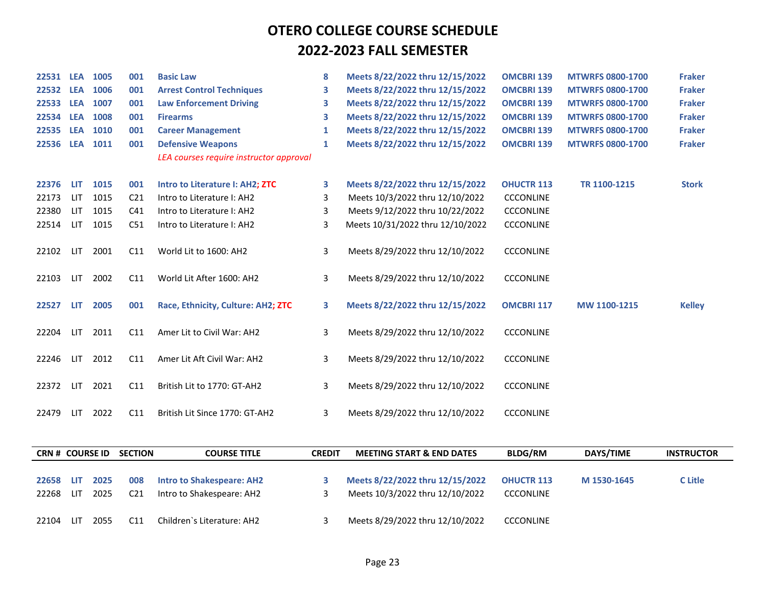| 22531 LEA 1005 |            |                 | 001             | <b>Basic Law</b>                        | 8 | Meets 8/22/2022 thru 12/15/2022  | <b>OMCBRI 139</b> | <b>MTWRFS 0800-1700</b> | <b>Fraker</b> |
|----------------|------------|-----------------|-----------------|-----------------------------------------|---|----------------------------------|-------------------|-------------------------|---------------|
| 22532 LEA      |            | 1006            | 001             | <b>Arrest Control Techniques</b>        | 3 | Meets 8/22/2022 thru 12/15/2022  | <b>OMCBRI 139</b> | <b>MTWRFS 0800-1700</b> | <b>Fraker</b> |
| 22533          | <b>LEA</b> | 1007            | 001             | <b>Law Enforcement Driving</b>          | 3 | Meets 8/22/2022 thru 12/15/2022  | <b>OMCBRI 139</b> | <b>MTWRFS 0800-1700</b> | <b>Fraker</b> |
| 22534          | <b>LEA</b> | 1008            | 001             | <b>Firearms</b>                         | 3 | Meets 8/22/2022 thru 12/15/2022  | <b>OMCBRI 139</b> | <b>MTWRFS 0800-1700</b> | <b>Fraker</b> |
| 22535          | <b>LEA</b> | 1010            | 001             | <b>Career Management</b>                | 1 | Meets 8/22/2022 thru 12/15/2022  | <b>OMCBRI 139</b> | <b>MTWRFS 0800-1700</b> | <b>Fraker</b> |
| 22536          |            | <b>LEA 1011</b> | 001             | <b>Defensive Weapons</b>                | 1 | Meets 8/22/2022 thru 12/15/2022  | <b>OMCBRI 139</b> | <b>MTWRFS 0800-1700</b> | <b>Fraker</b> |
|                |            |                 |                 | LEA courses require instructor approval |   |                                  |                   |                         |               |
| 22376          | LIT.       | 1015            | 001             | Intro to Literature I: AH2; ZTC         | 3 | Meets 8/22/2022 thru 12/15/2022  | <b>OHUCTR 113</b> | TR 1100-1215            | <b>Stork</b>  |
| 22173          | LIT.       | 1015            | C <sub>21</sub> | Intro to Literature I: AH2              | 3 | Meets 10/3/2022 thru 12/10/2022  | <b>CCCONLINE</b>  |                         |               |
| 22380          | LIT        | 1015            | C <sub>41</sub> | Intro to Literature I: AH2              | 3 | Meets 9/12/2022 thru 10/22/2022  | <b>CCCONLINE</b>  |                         |               |
| 22514          | <b>LIT</b> | 1015            | C51             | Intro to Literature I: AH2              | 3 | Meets 10/31/2022 thru 12/10/2022 | <b>CCCONLINE</b>  |                         |               |
| 22102          | LIT        | 2001            | C11             | World Lit to 1600: AH2                  | 3 | Meets 8/29/2022 thru 12/10/2022  | <b>CCCONLINE</b>  |                         |               |
|                |            |                 |                 |                                         |   |                                  |                   |                         |               |
| 22103          | LIT        | 2002            | C11             | World Lit After 1600: AH2               | 3 | Meets 8/29/2022 thru 12/10/2022  | <b>CCCONLINE</b>  |                         |               |
|                |            |                 |                 |                                         |   |                                  |                   |                         |               |
| 22527          | LIT        | 2005            | 001             | Race, Ethnicity, Culture: AH2; ZTC      | 3 | Meets 8/22/2022 thru 12/15/2022  | <b>OMCBRI 117</b> | MW 1100-1215            | <b>Kelley</b> |
| 22204          | LIT.       | 2011            | C11             | Amer Lit to Civil War: AH2              | 3 | Meets 8/29/2022 thru 12/10/2022  | <b>CCCONLINE</b>  |                         |               |
|                |            |                 |                 |                                         |   |                                  |                   |                         |               |
| 22246          | <b>LIT</b> | 2012            | C11             | Amer Lit Aft Civil War: AH2             | 3 | Meets 8/29/2022 thru 12/10/2022  | <b>CCCONLINE</b>  |                         |               |
| 22372          | LIT        | 2021            | C11             | British Lit to 1770: GT-AH2             | 3 | Meets 8/29/2022 thru 12/10/2022  | <b>CCCONLINE</b>  |                         |               |
|                |            |                 |                 |                                         |   |                                  |                   |                         |               |
| 22479          | LIT        | 2022            | C11             | British Lit Since 1770: GT-AH2          | 3 | Meets 8/29/2022 thru 12/10/2022  | <b>CCCONLINE</b>  |                         |               |

| <b>CRN # COURSE ID</b> |       |      | <b>SECTION</b>  | <b>COURSE TITLE</b>              | <b>CREDIT</b> | <b>MEETING START &amp; END DATES</b> | <b>BLDG/RM</b>    | DAYS/TIME   | <b>INSTRUCTOR</b> |
|------------------------|-------|------|-----------------|----------------------------------|---------------|--------------------------------------|-------------------|-------------|-------------------|
|                        |       |      |                 |                                  |               |                                      |                   |             |                   |
| 22658                  | LI T  | 2025 | 008             | <b>Intro to Shakespeare: AH2</b> |               | Meets 8/22/2022 thru 12/15/2022      | <b>OHUCTR 113</b> | M 1530-1645 | C Litle           |
| 22268                  | 1 I T | 2025 | C <sub>21</sub> | Intro to Shakespeare: AH2        |               | Meets 10/3/2022 thru 12/10/2022      | <b>CCCONLINE</b>  |             |                   |
|                        |       |      |                 |                                  |               |                                      |                   |             |                   |
| 22104                  | HΞ    | 2055 | C11             | Children`s Literature: AH2       |               | Meets 8/29/2022 thru 12/10/2022      | <b>CCCONLINE</b>  |             |                   |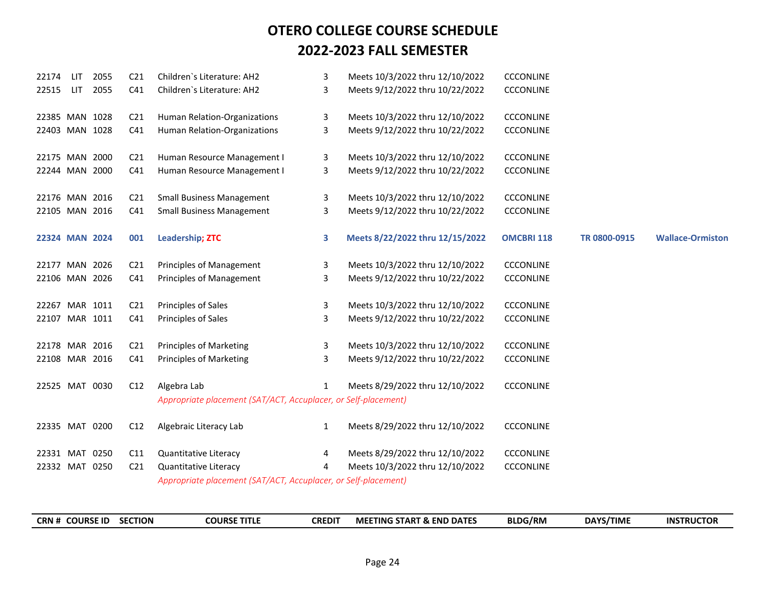| 22174<br>LIT   |     | 2055 | C <sub>21</sub> | Children's Literature: AH2                                     | 3            | Meets 10/3/2022 thru 12/10/2022 | <b>CCCONLINE</b>  |              |                         |
|----------------|-----|------|-----------------|----------------------------------------------------------------|--------------|---------------------------------|-------------------|--------------|-------------------------|
| 22515          | LIT | 2055 | C41             | Children's Literature: AH2                                     | 3            | Meets 9/12/2022 thru 10/22/2022 | <b>CCCONLINE</b>  |              |                         |
| 22385 MAN 1028 |     |      | C <sub>21</sub> | Human Relation-Organizations                                   | 3            | Meets 10/3/2022 thru 12/10/2022 | <b>CCCONLINE</b>  |              |                         |
| 22403 MAN 1028 |     |      | C <sub>41</sub> | Human Relation-Organizations                                   | 3            | Meets 9/12/2022 thru 10/22/2022 | <b>CCCONLINE</b>  |              |                         |
| 22175 MAN 2000 |     |      | C <sub>21</sub> | Human Resource Management I                                    | 3            | Meets 10/3/2022 thru 12/10/2022 | <b>CCCONLINE</b>  |              |                         |
| 22244 MAN 2000 |     |      | C <sub>41</sub> | Human Resource Management I                                    | 3            | Meets 9/12/2022 thru 10/22/2022 | <b>CCCONLINE</b>  |              |                         |
| 22176 MAN 2016 |     |      | C <sub>21</sub> | <b>Small Business Management</b>                               | 3            | Meets 10/3/2022 thru 12/10/2022 | <b>CCCONLINE</b>  |              |                         |
| 22105 MAN 2016 |     |      | C <sub>41</sub> | <b>Small Business Management</b>                               | 3            | Meets 9/12/2022 thru 10/22/2022 | <b>CCCONLINE</b>  |              |                         |
| 22324 MAN 2024 |     |      | 001             | <b>Leadership; ZTC</b>                                         | 3            | Meets 8/22/2022 thru 12/15/2022 | <b>OMCBRI 118</b> | TR 0800-0915 | <b>Wallace-Ormiston</b> |
| 22177 MAN 2026 |     |      | C <sub>21</sub> | Principles of Management                                       | 3            | Meets 10/3/2022 thru 12/10/2022 | <b>CCCONLINE</b>  |              |                         |
| 22106 MAN 2026 |     |      | C41             | Principles of Management                                       | 3            | Meets 9/12/2022 thru 10/22/2022 | <b>CCCONLINE</b>  |              |                         |
| 22267 MAR 1011 |     |      | C <sub>21</sub> | Principles of Sales                                            | 3            | Meets 10/3/2022 thru 12/10/2022 | <b>CCCONLINE</b>  |              |                         |
| 22107 MAR 1011 |     |      | C <sub>41</sub> | Principles of Sales                                            | 3            | Meets 9/12/2022 thru 10/22/2022 | <b>CCCONLINE</b>  |              |                         |
| 22178 MAR 2016 |     |      | C <sub>21</sub> | <b>Principles of Marketing</b>                                 | 3            | Meets 10/3/2022 thru 12/10/2022 | <b>CCCONLINE</b>  |              |                         |
| 22108 MAR 2016 |     |      | C <sub>41</sub> | <b>Principles of Marketing</b>                                 | 3            | Meets 9/12/2022 thru 10/22/2022 | <b>CCCONLINE</b>  |              |                         |
| 22525 MAT 0030 |     |      | C12             | Algebra Lab                                                    | $\mathbf{1}$ | Meets 8/29/2022 thru 12/10/2022 | <b>CCCONLINE</b>  |              |                         |
|                |     |      |                 | Appropriate placement (SAT/ACT, Accuplacer, or Self-placement) |              |                                 |                   |              |                         |
| 22335 MAT 0200 |     |      | C12             | Algebraic Literacy Lab                                         | $\mathbf{1}$ | Meets 8/29/2022 thru 12/10/2022 | <b>CCCONLINE</b>  |              |                         |
| 22331 MAT 0250 |     |      | C11             | Quantitative Literacy                                          | 4            | Meets 8/29/2022 thru 12/10/2022 | <b>CCCONLINE</b>  |              |                         |
| 22332 MAT 0250 |     |      | C <sub>21</sub> | Quantitative Literacy                                          | 4            | Meets 10/3/2022 thru 12/10/2022 | <b>CCCONLINE</b>  |              |                         |
|                |     |      |                 | Appropriate placement (SAT/ACT, Accuplacer, or Self-placement) |              |                                 |                   |              |                         |

| <b>CRN # COURSE ID</b> | <b>SECTION</b> | <b>COURSE TITLE</b> | CREDIT | <b>MEETING START &amp; END DATES</b> | <b>BLDG/RM</b> | DAYS/TIME | <b>INSTRUCTOR</b> |
|------------------------|----------------|---------------------|--------|--------------------------------------|----------------|-----------|-------------------|
|------------------------|----------------|---------------------|--------|--------------------------------------|----------------|-----------|-------------------|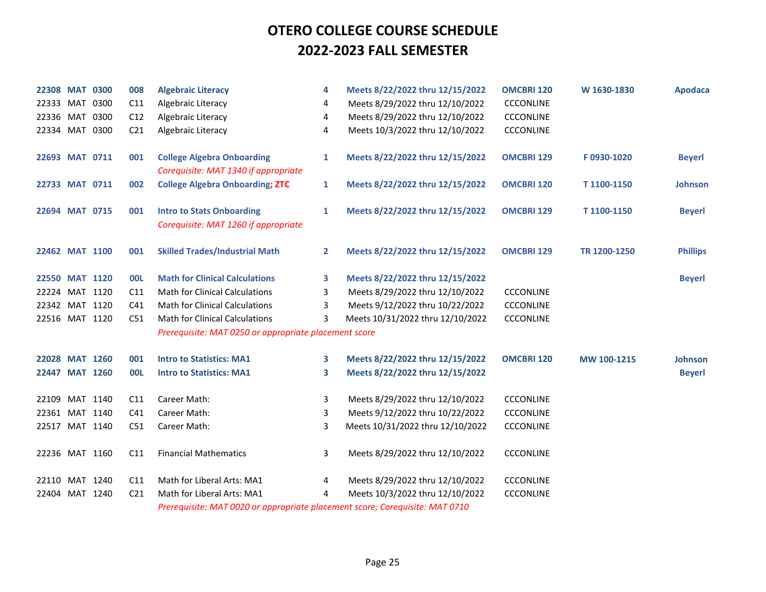| 22308 MAT 0300 |  | 008             | <b>Algebraic Literacy</b>                                                    | 4            | Meets 8/22/2022 thru 12/15/2022  | <b>OMCBRI 120</b> | W 1630-1830  | <b>Apodaca</b>  |
|----------------|--|-----------------|------------------------------------------------------------------------------|--------------|----------------------------------|-------------------|--------------|-----------------|
| 22333 MAT 0300 |  | C11             | Algebraic Literacy                                                           | 4            | Meets 8/29/2022 thru 12/10/2022  | <b>CCCONLINE</b>  |              |                 |
| 22336 MAT 0300 |  | C12             | Algebraic Literacy                                                           | 4            | Meets 8/29/2022 thru 12/10/2022  | <b>CCCONLINE</b>  |              |                 |
| 22334 MAT 0300 |  | C <sub>21</sub> | Algebraic Literacy                                                           | 4            | Meets 10/3/2022 thru 12/10/2022  | <b>CCCONLINE</b>  |              |                 |
|                |  |                 |                                                                              |              |                                  |                   |              |                 |
| 22693 MAT 0711 |  | 001             | <b>College Algebra Onboarding</b>                                            | 1            | Meets 8/22/2022 thru 12/15/2022  | <b>OMCBRI 129</b> | F0930-1020   | <b>Beyerl</b>   |
|                |  |                 | Corequisite: MAT 1340 if appropriate                                         |              |                                  |                   |              |                 |
| 22733 MAT 0711 |  | 002             | <b>College Algebra Onboarding; ZTC</b>                                       | 1            | Meets 8/22/2022 thru 12/15/2022  | <b>OMCBRI 120</b> | T1100-1150   | <b>Johnson</b>  |
| 22694 MAT 0715 |  | 001             | <b>Intro to Stats Onboarding</b>                                             | 1            | Meets 8/22/2022 thru 12/15/2022  | <b>OMCBRI 129</b> | T1100-1150   | <b>Beyerl</b>   |
|                |  |                 | Corequisite: MAT 1260 if appropriate                                         |              |                                  |                   |              |                 |
|                |  |                 |                                                                              |              |                                  |                   |              |                 |
| 22462 MAT 1100 |  | 001             | <b>Skilled Trades/Industrial Math</b>                                        | $\mathbf{2}$ | Meets 8/22/2022 thru 12/15/2022  | <b>OMCBRI 129</b> | TR 1200-1250 | <b>Phillips</b> |
| 22550 MAT 1120 |  | <b>OOL</b>      | <b>Math for Clinical Calculations</b>                                        | 3            | Meets 8/22/2022 thru 12/15/2022  |                   |              | <b>Beyerl</b>   |
| 22224 MAT 1120 |  | C11             | <b>Math for Clinical Calculations</b>                                        | 3            | Meets 8/29/2022 thru 12/10/2022  | <b>CCCONLINE</b>  |              |                 |
| 22342 MAT 1120 |  | C <sub>41</sub> | <b>Math for Clinical Calculations</b>                                        | 3            | Meets 9/12/2022 thru 10/22/2022  | <b>CCCONLINE</b>  |              |                 |
| 22516 MAT 1120 |  | C51             | <b>Math for Clinical Calculations</b>                                        | 3            | Meets 10/31/2022 thru 12/10/2022 | <b>CCCONLINE</b>  |              |                 |
|                |  |                 | Prerequisite: MAT 0250 or appropriate placement score                        |              |                                  |                   |              |                 |
|                |  |                 |                                                                              |              |                                  |                   |              |                 |
| 22028 MAT 1260 |  | 001             | <b>Intro to Statistics: MA1</b>                                              | 3            | Meets 8/22/2022 thru 12/15/2022  | <b>OMCBRI 120</b> | MW 100-1215  | Johnson         |
| 22447 MAT 1260 |  | <b>OOL</b>      | <b>Intro to Statistics: MA1</b>                                              | 3            | Meets 8/22/2022 thru 12/15/2022  |                   |              | <b>Beyerl</b>   |
| 22109 MAT 1140 |  | C11             | Career Math:                                                                 | 3            | Meets 8/29/2022 thru 12/10/2022  | <b>CCCONLINE</b>  |              |                 |
| 22361 MAT 1140 |  | C <sub>41</sub> | Career Math:                                                                 | 3            | Meets 9/12/2022 thru 10/22/2022  | <b>CCCONLINE</b>  |              |                 |
| 22517 MAT 1140 |  | C51             | Career Math:                                                                 | 3            | Meets 10/31/2022 thru 12/10/2022 | <b>CCCONLINE</b>  |              |                 |
|                |  |                 |                                                                              |              |                                  |                   |              |                 |
| 22236 MAT 1160 |  | C11             | <b>Financial Mathematics</b>                                                 | 3            | Meets 8/29/2022 thru 12/10/2022  | <b>CCCONLINE</b>  |              |                 |
| 22110 MAT 1240 |  | C11             | Math for Liberal Arts: MA1                                                   | 4            | Meets 8/29/2022 thru 12/10/2022  | <b>CCCONLINE</b>  |              |                 |
| 22404 MAT 1240 |  | C <sub>21</sub> | Math for Liberal Arts: MA1                                                   | 4            | Meets 10/3/2022 thru 12/10/2022  | <b>CCCONLINE</b>  |              |                 |
|                |  |                 | Prerequisite: MAT 0020 or appropriate placement score; Corequisite: MAT 0710 |              |                                  |                   |              |                 |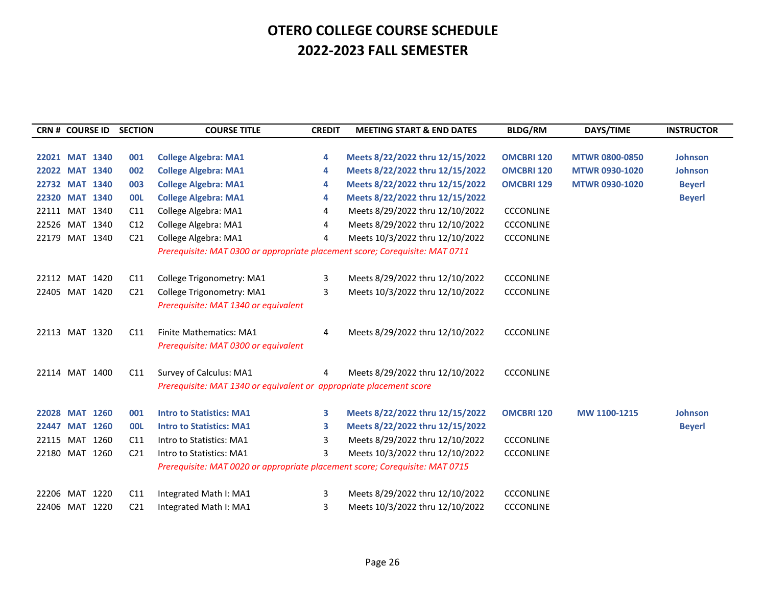| <b>CRN # COURSE ID</b> |                | <b>SECTION</b>  | <b>COURSE TITLE</b>                                                          | <b>CREDIT</b> | <b>MEETING START &amp; END DATES</b> | <b>BLDG/RM</b>    | DAYS/TIME             | <b>INSTRUCTOR</b> |
|------------------------|----------------|-----------------|------------------------------------------------------------------------------|---------------|--------------------------------------|-------------------|-----------------------|-------------------|
|                        |                |                 |                                                                              |               |                                      |                   |                       |                   |
| 22021 MAT 1340         |                | 001             | <b>College Algebra: MA1</b>                                                  | 4             | Meets 8/22/2022 thru 12/15/2022      | <b>OMCBRI 120</b> | <b>MTWR 0800-0850</b> | <b>Johnson</b>    |
| 22022 MAT 1340         |                | 002             | <b>College Algebra: MA1</b>                                                  | 4             | Meets 8/22/2022 thru 12/15/2022      | <b>OMCBRI 120</b> | <b>MTWR 0930-1020</b> | <b>Johnson</b>    |
| 22732 MAT 1340         |                | 003             | <b>College Algebra: MA1</b>                                                  | 4             | Meets 8/22/2022 thru 12/15/2022      | <b>OMCBRI 129</b> | <b>MTWR 0930-1020</b> | <b>Beyerl</b>     |
| 22320 MAT 1340         |                | <b>OOL</b>      | <b>College Algebra: MA1</b>                                                  | 4             | Meets 8/22/2022 thru 12/15/2022      |                   |                       | <b>Beyerl</b>     |
| 22111 MAT 1340         |                | C11             | College Algebra: MA1                                                         | 4             | Meets 8/29/2022 thru 12/10/2022      | <b>CCCONLINE</b>  |                       |                   |
| 22526 MAT 1340         |                | C12             | College Algebra: MA1                                                         | 4             | Meets 8/29/2022 thru 12/10/2022      | <b>CCCONLINE</b>  |                       |                   |
| 22179 MAT 1340         |                | C <sub>21</sub> | College Algebra: MA1                                                         | 4             | Meets 10/3/2022 thru 12/10/2022      | <b>CCCONLINE</b>  |                       |                   |
|                        |                |                 | Prerequisite: MAT 0300 or appropriate placement score; Corequisite: MAT 0711 |               |                                      |                   |                       |                   |
|                        |                |                 |                                                                              |               |                                      |                   |                       |                   |
| 22112 MAT 1420         |                | C11             | College Trigonometry: MA1                                                    | 3             | Meets 8/29/2022 thru 12/10/2022      | <b>CCCONLINE</b>  |                       |                   |
| 22405 MAT 1420         |                | C <sub>21</sub> | College Trigonometry: MA1                                                    | 3             | Meets 10/3/2022 thru 12/10/2022      | <b>CCCONLINE</b>  |                       |                   |
|                        |                |                 | Prerequisite: MAT 1340 or equivalent                                         |               |                                      |                   |                       |                   |
|                        |                |                 |                                                                              |               |                                      |                   |                       |                   |
| 22113 MAT 1320         |                | C <sub>11</sub> | <b>Finite Mathematics: MA1</b>                                               | 4             | Meets 8/29/2022 thru 12/10/2022      | <b>CCCONLINE</b>  |                       |                   |
|                        |                |                 | Prerequisite: MAT 0300 or equivalent                                         |               |                                      |                   |                       |                   |
|                        |                |                 |                                                                              |               |                                      |                   |                       |                   |
| 22114 MAT 1400         |                | C11             | Survey of Calculus: MA1                                                      | 4             | Meets 8/29/2022 thru 12/10/2022      | <b>CCCONLINE</b>  |                       |                   |
|                        |                |                 | Prerequisite: MAT 1340 or equivalent or appropriate placement score          |               |                                      |                   |                       |                   |
|                        |                |                 |                                                                              |               |                                      |                   |                       |                   |
| 22028 MAT 1260         |                | 001             | <b>Intro to Statistics: MA1</b>                                              | 3             | Meets 8/22/2022 thru 12/15/2022      | <b>OMCBRI 120</b> | MW 1100-1215          | <b>Johnson</b>    |
|                        | 22447 MAT 1260 | <b>OOL</b>      | <b>Intro to Statistics: MA1</b>                                              | 3             | Meets 8/22/2022 thru 12/15/2022      |                   |                       | <b>Beyerl</b>     |
| 22115 MAT 1260         |                | C11             | Intro to Statistics: MA1                                                     | 3             | Meets 8/29/2022 thru 12/10/2022      | <b>CCCONLINE</b>  |                       |                   |
| 22180 MAT 1260         |                | C <sub>21</sub> | Intro to Statistics: MA1                                                     | 3             | Meets 10/3/2022 thru 12/10/2022      | <b>CCCONLINE</b>  |                       |                   |
|                        |                |                 | Prerequisite: MAT 0020 or appropriate placement score; Corequisite: MAT 0715 |               |                                      |                   |                       |                   |
|                        |                |                 |                                                                              |               |                                      |                   |                       |                   |
| 22206 MAT 1220         |                | C11             | Integrated Math I: MA1                                                       | 3             | Meets 8/29/2022 thru 12/10/2022      | <b>CCCONLINE</b>  |                       |                   |
|                        | 22406 MAT 1220 | C <sub>21</sub> | Integrated Math I: MA1                                                       | 3             | Meets 10/3/2022 thru 12/10/2022      | <b>CCCONLINE</b>  |                       |                   |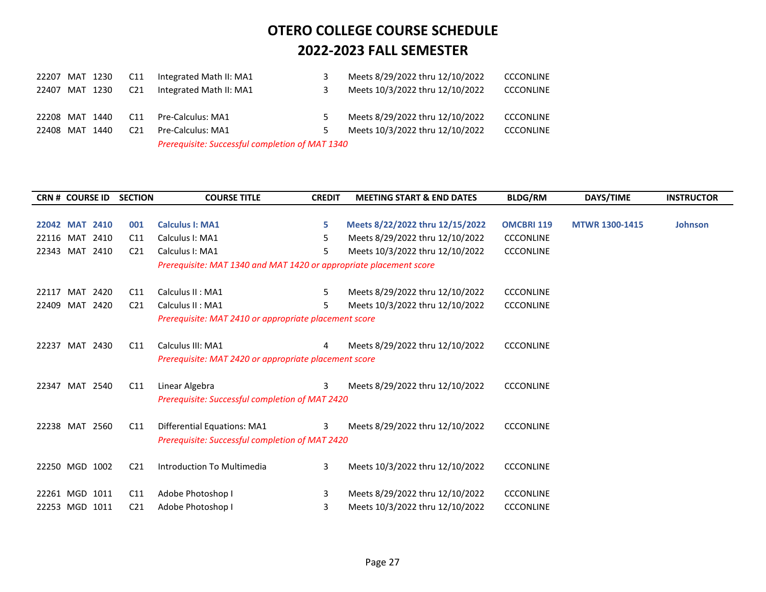| 22207 MAT 1230 |          | C <sub>11</sub> | Integrated Math II: MA1                         |    | Meets 8/29/2022 thru 12/10/2022 | <b>CCCONLINE</b> |
|----------------|----------|-----------------|-------------------------------------------------|----|---------------------------------|------------------|
| 22407          | MAT 1230 | C <sub>21</sub> | Integrated Math II: MA1                         |    | Meets 10/3/2022 thru 12/10/2022 | <b>CCCONLINE</b> |
| 22208 MAT 1440 |          | C <sub>11</sub> | Pre-Calculus: MA1                               | 5  | Meets 8/29/2022 thru 12/10/2022 | <b>CCCONLINE</b> |
| 22408 MAT 1440 |          | C <sub>21</sub> | Pre-Calculus: MA1                               | 5. | Meets 10/3/2022 thru 12/10/2022 | <b>CCCONLINE</b> |
|                |          |                 | Prerequisite: Successful completion of MAT 1340 |    |                                 |                  |

| <b>CRN # COURSE ID</b> |          |      | <b>SECTION</b>  | <b>COURSE TITLE</b>                                                | <b>CREDIT</b> | <b>MEETING START &amp; END DATES</b> | <b>BLDG/RM</b>    | DAYS/TIME             | <b>INSTRUCTOR</b> |
|------------------------|----------|------|-----------------|--------------------------------------------------------------------|---------------|--------------------------------------|-------------------|-----------------------|-------------------|
|                        |          |      |                 |                                                                    |               |                                      |                   |                       |                   |
| <b>22042 MAT</b>       |          | 2410 | 001             | <b>Calculus I: MA1</b>                                             | 5             | Meets 8/22/2022 thru 12/15/2022      | <b>OMCBRI 119</b> | <b>MTWR 1300-1415</b> | <b>Johnson</b>    |
| 22116 MAT              |          | 2410 | C <sub>11</sub> | Calculus I: MA1                                                    | 5             | Meets 8/29/2022 thru 12/10/2022      | <b>CCCONLINE</b>  |                       |                   |
| 22343 MAT              |          | 2410 | C <sub>21</sub> | Calculus I: MA1                                                    | 5             | Meets 10/3/2022 thru 12/10/2022      | <b>CCCONLINE</b>  |                       |                   |
|                        |          |      |                 | Prerequisite: MAT 1340 and MAT 1420 or appropriate placement score |               |                                      |                   |                       |                   |
|                        |          |      |                 |                                                                    |               |                                      |                   |                       |                   |
| 22117                  | MAT 2420 |      | C <sub>11</sub> | Calculus II : MA1                                                  | 5.            | Meets 8/29/2022 thru 12/10/2022      | <b>CCCONLINE</b>  |                       |                   |
| 22409 MAT              |          | 2420 | C <sub>21</sub> | Calculus II: MA1                                                   | 5             | Meets 10/3/2022 thru 12/10/2022      | <b>CCCONLINE</b>  |                       |                   |
|                        |          |      |                 | Prerequisite: MAT 2410 or appropriate placement score              |               |                                      |                   |                       |                   |
|                        |          |      |                 |                                                                    |               |                                      |                   |                       |                   |
| 22237 MAT 2430         |          |      | C11             | Calculus III: MA1                                                  | 4             | Meets 8/29/2022 thru 12/10/2022      | <b>CCCONLINE</b>  |                       |                   |
|                        |          |      |                 | Prerequisite: MAT 2420 or appropriate placement score              |               |                                      |                   |                       |                   |
|                        |          |      |                 |                                                                    |               |                                      |                   |                       |                   |
| 22347 MAT 2540         |          |      | C11             | Linear Algebra                                                     | 3             | Meets 8/29/2022 thru 12/10/2022      | <b>CCCONLINE</b>  |                       |                   |
|                        |          |      |                 | <b>Prerequisite: Successful completion of MAT 2420</b>             |               |                                      |                   |                       |                   |
|                        |          |      |                 |                                                                    |               |                                      |                   |                       |                   |
| 22238 MAT 2560         |          |      | C11             | <b>Differential Equations: MA1</b>                                 | 3             | Meets 8/29/2022 thru 12/10/2022      | <b>CCCONLINE</b>  |                       |                   |
|                        |          |      |                 | Prerequisite: Successful completion of MAT 2420                    |               |                                      |                   |                       |                   |
|                        |          |      |                 |                                                                    |               |                                      |                   |                       |                   |
| 22250 MGD 1002         |          |      | C <sub>21</sub> | Introduction To Multimedia                                         | 3             | Meets 10/3/2022 thru 12/10/2022      | <b>CCCONLINE</b>  |                       |                   |
|                        |          |      |                 |                                                                    |               |                                      |                   |                       |                   |
| 22261 MGD 1011         |          |      | C11             | Adobe Photoshop I                                                  | 3             | Meets 8/29/2022 thru 12/10/2022      | <b>CCCONLINE</b>  |                       |                   |
| 22253 MGD 1011         |          |      | C <sub>21</sub> | Adobe Photoshop I                                                  | 3             | Meets 10/3/2022 thru 12/10/2022      | <b>CCCONLINE</b>  |                       |                   |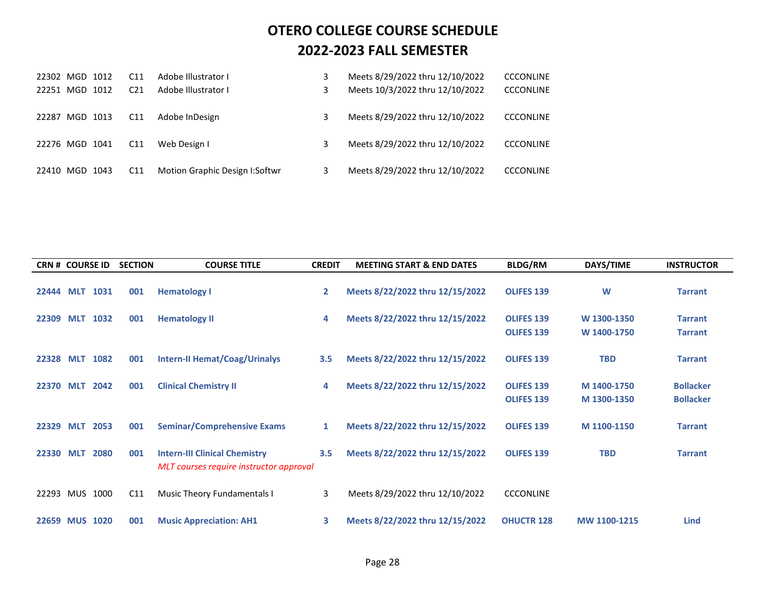|           | 22302 MGD 1012 |      | C <sub>11</sub> | Adobe Illustrator I            | Meets 8/29/2022 thru 12/10/2022 | <b>CCCONLINE</b> |
|-----------|----------------|------|-----------------|--------------------------------|---------------------------------|------------------|
| 22251 MGD |                | 1012 | C <sub>21</sub> | Adobe Illustrator I            | Meets 10/3/2022 thru 12/10/2022 | <b>CCCONLINE</b> |
| 22287     | MGD 1013       |      | C11             | Adobe InDesign                 | Meets 8/29/2022 thru 12/10/2022 | <b>CCCONLINE</b> |
|           | 22276 MGD 1041 |      | C <sub>11</sub> | Web Design I                   | Meets 8/29/2022 thru 12/10/2022 | <b>CCCONLINE</b> |
|           | 22410 MGD 1043 |      | C <sub>11</sub> | Motion Graphic Design I:Softwr | Meets 8/29/2022 thru 12/10/2022 | <b>CCCONLINE</b> |

| <b>CRN # COURSE ID</b> |            |      | <b>SECTION</b> | <b>COURSE TITLE</b>                                                             | <b>CREDIT</b> | <b>MEETING START &amp; END DATES</b> | <b>BLDG/RM</b>                         | DAYS/TIME                  | <b>INSTRUCTOR</b>                    |
|------------------------|------------|------|----------------|---------------------------------------------------------------------------------|---------------|--------------------------------------|----------------------------------------|----------------------------|--------------------------------------|
| 22444 MLT              |            | 1031 | 001            | <b>Hematology I</b>                                                             | $\mathbf{2}$  | Meets 8/22/2022 thru 12/15/2022      | <b>OLIFES 139</b>                      | W                          | <b>Tarrant</b>                       |
| 22309                  | <b>MLT</b> | 1032 | 001            | <b>Hematology II</b>                                                            | 4             | Meets 8/22/2022 thru 12/15/2022      | <b>OLIFES 139</b><br><b>OLIFES 139</b> | W 1300-1350<br>W 1400-1750 | <b>Tarrant</b><br><b>Tarrant</b>     |
| 22328 MLT              |            | 1082 | 001            | <b>Intern-II Hemat/Coag/Urinalys</b>                                            | 3.5           | Meets 8/22/2022 thru 12/15/2022      | <b>OLIFES 139</b>                      | <b>TBD</b>                 | <b>Tarrant</b>                       |
| 22370 MLT              |            | 2042 | 001            | <b>Clinical Chemistry II</b>                                                    | 4             | Meets 8/22/2022 thru 12/15/2022      | <b>OLIFES 139</b><br><b>OLIFES 139</b> | M 1400-1750<br>M 1300-1350 | <b>Bollacker</b><br><b>Bollacker</b> |
| 22329 MLT              |            | 2053 | 001            | <b>Seminar/Comprehensive Exams</b>                                              | $\mathbf{1}$  | Meets 8/22/2022 thru 12/15/2022      | <b>OLIFES 139</b>                      | M 1100-1150                | <b>Tarrant</b>                       |
| 22330 MLT              |            | 2080 | 001            | <b>Intern-III Clinical Chemistry</b><br>MLT courses require instructor approval | 3.5           | Meets 8/22/2022 thru 12/15/2022      | <b>OLIFES 139</b>                      | <b>TBD</b>                 | <b>Tarrant</b>                       |
| 22293 MUS              |            | 1000 | C11            | Music Theory Fundamentals I                                                     | 3             | Meets 8/29/2022 thru 12/10/2022      | <b>CCCONLINE</b>                       |                            |                                      |
| 22659 MUS 1020         |            |      | 001            | <b>Music Appreciation: AH1</b>                                                  | 3             | Meets 8/22/2022 thru 12/15/2022      | <b>OHUCTR 128</b>                      | MW 1100-1215               | <b>Lind</b>                          |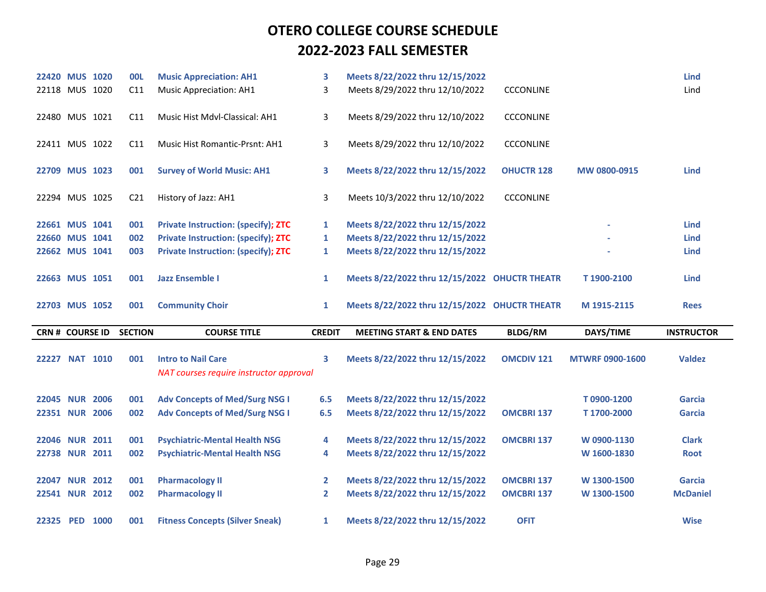| 22420 MUS 1020         |  | <b>00L</b>      | <b>Music Appreciation: AH1</b>                                       | 3             | Meets 8/22/2022 thru 12/15/2022               |                   |                        | <b>Lind</b>       |
|------------------------|--|-----------------|----------------------------------------------------------------------|---------------|-----------------------------------------------|-------------------|------------------------|-------------------|
| 22118 MUS 1020         |  | C11             | <b>Music Appreciation: AH1</b>                                       | 3             | Meets 8/29/2022 thru 12/10/2022               | <b>CCCONLINE</b>  |                        | Lind              |
| 22480 MUS 1021         |  | C11             | Music Hist Mdvl-Classical: AH1                                       | 3             | Meets 8/29/2022 thru 12/10/2022               | <b>CCCONLINE</b>  |                        |                   |
| 22411 MUS 1022         |  | C11             | <b>Music Hist Romantic-Prsnt: AH1</b>                                | 3             | Meets 8/29/2022 thru 12/10/2022               | <b>CCCONLINE</b>  |                        |                   |
| 22709 MUS 1023         |  | 001             | <b>Survey of World Music: AH1</b>                                    | 3             | Meets 8/22/2022 thru 12/15/2022               | <b>OHUCTR 128</b> | MW 0800-0915           | <b>Lind</b>       |
| 22294 MUS 1025         |  | C <sub>21</sub> | History of Jazz: AH1                                                 | 3             | Meets 10/3/2022 thru 12/10/2022               | <b>CCCONLINE</b>  |                        |                   |
| 22661 MUS 1041         |  | 001             | <b>Private Instruction: (specify); ZTC</b>                           | $\mathbf{1}$  | Meets 8/22/2022 thru 12/15/2022               |                   |                        | <b>Lind</b>       |
| 22660 MUS 1041         |  | 002             | <b>Private Instruction: (specify); ZTC</b>                           | 1             | Meets 8/22/2022 thru 12/15/2022               |                   |                        | <b>Lind</b>       |
| 22662 MUS 1041         |  | 003             | <b>Private Instruction: (specify); ZTC</b>                           | $\mathbf{1}$  | Meets 8/22/2022 thru 12/15/2022               |                   |                        | <b>Lind</b>       |
| 22663 MUS 1051         |  | 001             | <b>Jazz Ensemble I</b>                                               | $\mathbf{1}$  | Meets 8/22/2022 thru 12/15/2022 OHUCTR THEATR |                   | T1900-2100             | <b>Lind</b>       |
|                        |  |                 |                                                                      |               |                                               |                   |                        |                   |
| 22703 MUS 1052         |  | 001             | <b>Community Choir</b>                                               | 1             | Meets 8/22/2022 thru 12/15/2022 OHUCTR THEATR |                   | M 1915-2115            | <b>Rees</b>       |
| <b>CRN # COURSE ID</b> |  | <b>SECTION</b>  | <b>COURSE TITLE</b>                                                  | <b>CREDIT</b> | <b>MEETING START &amp; END DATES</b>          | <b>BLDG/RM</b>    | DAYS/TIME              | <b>INSTRUCTOR</b> |
| 22227 NAT 1010         |  | 001             | <b>Intro to Nail Care</b><br>NAT courses require instructor approval | 3             | Meets 8/22/2022 thru 12/15/2022               | <b>OMCDIV 121</b> | <b>MTWRF 0900-1600</b> | <b>Valdez</b>     |
| 22045 NUR 2006         |  | 001             | <b>Adv Concepts of Med/Surg NSG I</b>                                | 6.5           | Meets 8/22/2022 thru 12/15/2022               |                   | T0900-1200             | <b>Garcia</b>     |
| 22351 NUR 2006         |  | 002             | <b>Adv Concepts of Med/Surg NSG I</b>                                | 6.5           | Meets 8/22/2022 thru 12/15/2022               | <b>OMCBRI 137</b> | T1700-2000             | <b>Garcia</b>     |
| 22046 NUR 2011         |  | 001             | <b>Psychiatric-Mental Health NSG</b>                                 | 4             | Meets 8/22/2022 thru 12/15/2022               | <b>OMCBRI 137</b> | W 0900-1130            | <b>Clark</b>      |
| 22738 NUR 2011         |  | 002             | <b>Psychiatric-Mental Health NSG</b>                                 | 4             | Meets 8/22/2022 thru 12/15/2022               |                   | W 1600-1830            | <b>Root</b>       |
| 22047 NUR 2012         |  | 001             | <b>Pharmacology II</b>                                               | $\mathbf{2}$  | Meets 8/22/2022 thru 12/15/2022               | <b>OMCBRI 137</b> | W 1300-1500            | <b>Garcia</b>     |
| 22541 NUR 2012         |  | 002             | <b>Pharmacology II</b>                                               | $\mathbf{2}$  | Meets 8/22/2022 thru 12/15/2022               | <b>OMCBRI 137</b> | W 1300-1500            | <b>McDaniel</b>   |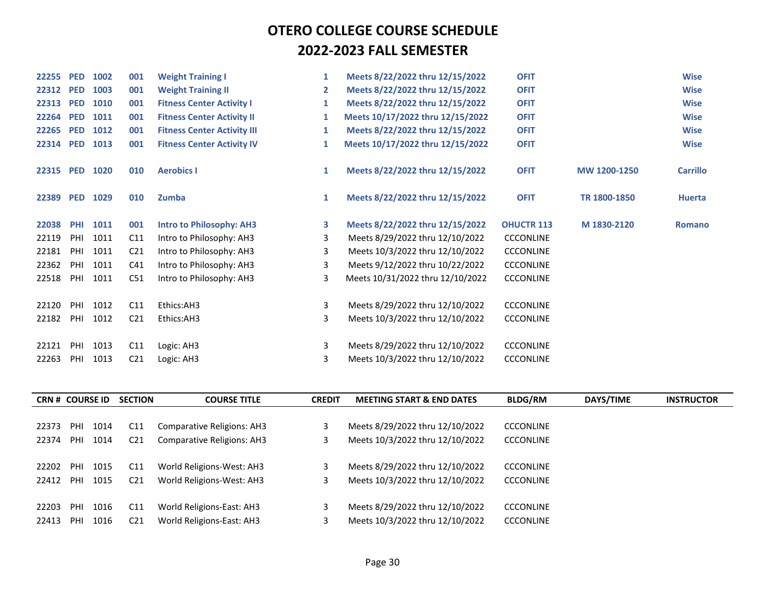| 22255     | <b>PED</b> | 1002 | 001             | <b>Weight Training I</b>           | 1              | Meets 8/22/2022 thru 12/15/2022  | <b>OFIT</b>       |              | <b>Wise</b>     |
|-----------|------------|------|-----------------|------------------------------------|----------------|----------------------------------|-------------------|--------------|-----------------|
| 22312 PED |            | 1003 | 001             | <b>Weight Training II</b>          | $\overline{2}$ | Meets 8/22/2022 thru 12/15/2022  | <b>OFIT</b>       |              | <b>Wise</b>     |
| 22313     | <b>PED</b> | 1010 | 001             | <b>Fitness Center Activity I</b>   | 1              | Meets 8/22/2022 thru 12/15/2022  | <b>OFIT</b>       |              | <b>Wise</b>     |
| 22264     | <b>PED</b> | 1011 | 001             | <b>Fitness Center Activity II</b>  | 1              | Meets 10/17/2022 thru 12/15/2022 | <b>OFIT</b>       |              | <b>Wise</b>     |
| 22265     | <b>PED</b> | 1012 | 001             | <b>Fitness Center Activity III</b> | 1              | Meets 8/22/2022 thru 12/15/2022  | <b>OFIT</b>       |              | <b>Wise</b>     |
| 22314 PED |            | 1013 | 001             | <b>Fitness Center Activity IV</b>  | 1              | Meets 10/17/2022 thru 12/15/2022 | <b>OFIT</b>       |              | <b>Wise</b>     |
| 22315 PED |            | 1020 | 010             | <b>Aerobics I</b>                  | 1              | Meets 8/22/2022 thru 12/15/2022  | <b>OFIT</b>       | MW 1200-1250 | <b>Carrillo</b> |
| 22389     | <b>PED</b> | 1029 | 010             | Zumba                              | 1              | Meets 8/22/2022 thru 12/15/2022  | <b>OFIT</b>       | TR 1800-1850 | <b>Huerta</b>   |
| 22038     | <b>PHI</b> | 1011 | 001             | <b>Intro to Philosophy: AH3</b>    | 3              | Meets 8/22/2022 thru 12/15/2022  | <b>OHUCTR 113</b> | M 1830-2120  | <b>Romano</b>   |
| 22119     | PHI        | 1011 | C11             | Intro to Philosophy: AH3           | 3              | Meets 8/29/2022 thru 12/10/2022  | <b>CCCONLINE</b>  |              |                 |
| 22181     | PHI        | 1011 | C <sub>21</sub> | Intro to Philosophy: AH3           | 3              | Meets 10/3/2022 thru 12/10/2022  | <b>CCCONLINE</b>  |              |                 |
| 22362     | PHI        | 1011 | C <sub>41</sub> | Intro to Philosophy: AH3           | 3              | Meets 9/12/2022 thru 10/22/2022  | <b>CCCONLINE</b>  |              |                 |
| 22518     | PHI        | 1011 | C51             | Intro to Philosophy: AH3           | 3              | Meets 10/31/2022 thru 12/10/2022 | <b>CCCONLINE</b>  |              |                 |
| 22120     | PHI        | 1012 | C11             | Ethics:AH3                         | 3              | Meets 8/29/2022 thru 12/10/2022  | <b>CCCONLINE</b>  |              |                 |
| 22182     | PHI        | 1012 | C <sub>21</sub> | Ethics:AH3                         | 3              | Meets 10/3/2022 thru 12/10/2022  | <b>CCCONLINE</b>  |              |                 |
| 22121     | PHI        | 1013 | C11             | Logic: AH3                         | 3              | Meets 8/29/2022 thru 12/10/2022  | <b>CCCONLINE</b>  |              |                 |
| 22263     | PHI        | 1013 | C <sub>21</sub> | Logic: AH3                         | 3              | Meets 10/3/2022 thru 12/10/2022  | <b>CCCONLINE</b>  |              |                 |

| <b>CRN # COURSE ID</b> |     |      | <b>SECTION</b>  | <b>COURSE TITLE</b>               | <b>CREDIT</b> | <b>MEETING START &amp; END DATES</b> | <b>BLDG/RM</b>   | DAYS/TIME | <b>INSTRUCTOR</b> |
|------------------------|-----|------|-----------------|-----------------------------------|---------------|--------------------------------------|------------------|-----------|-------------------|
|                        |     |      |                 |                                   |               |                                      |                  |           |                   |
| 22373                  | PHI | 1014 | C <sub>11</sub> | <b>Comparative Religions: AH3</b> |               | Meets 8/29/2022 thru 12/10/2022      | <b>CCCONLINE</b> |           |                   |
| 22374                  | PHI | 1014 | C <sub>21</sub> | <b>Comparative Religions: AH3</b> |               | Meets 10/3/2022 thru 12/10/2022      | <b>CCCONLINE</b> |           |                   |
|                        |     |      |                 |                                   |               |                                      |                  |           |                   |
| 22202                  | PHI | 1015 | C11             | World Religions-West: AH3         |               | Meets 8/29/2022 thru 12/10/2022      | <b>CCCONLINE</b> |           |                   |
| 22412                  | PHI | 1015 | C <sub>21</sub> | World Religions-West: AH3         |               | Meets 10/3/2022 thru 12/10/2022      | <b>CCCONLINE</b> |           |                   |
|                        |     |      |                 |                                   |               |                                      |                  |           |                   |
| 22203                  | PHI | 1016 | C11             | World Religions-East: AH3         |               | Meets 8/29/2022 thru 12/10/2022      | <b>CCCONLINE</b> |           |                   |
| 22413                  | PHI | 1016 | C <sub>21</sub> | World Religions-East: AH3         |               | Meets 10/3/2022 thru 12/10/2022      | <b>CCCONLINE</b> |           |                   |
|                        |     |      |                 |                                   |               |                                      |                  |           |                   |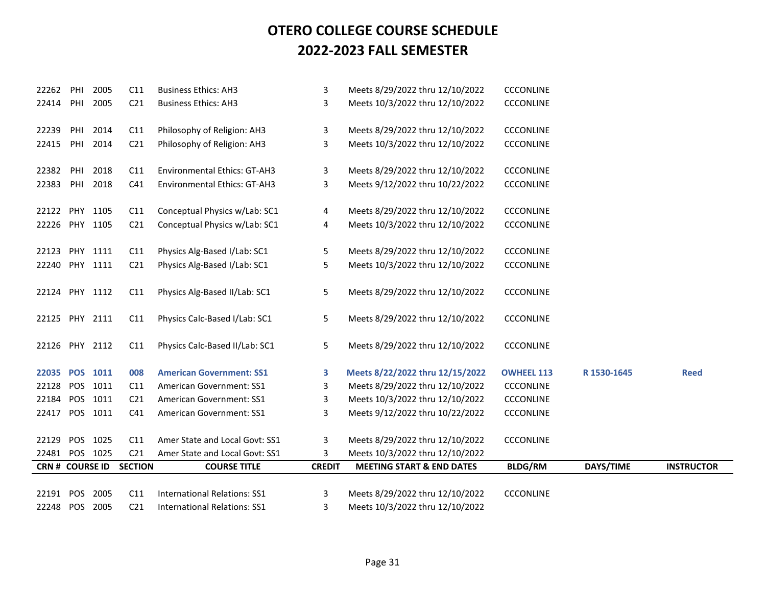| 22262                  | PHI | 2005     | C11             | <b>Business Ethics: AH3</b>         | 3             | Meets 8/29/2022 thru 12/10/2022      | <b>CCCONLINE</b>  |             |                   |
|------------------------|-----|----------|-----------------|-------------------------------------|---------------|--------------------------------------|-------------------|-------------|-------------------|
| 22414                  | PHI | 2005     | C <sub>21</sub> | <b>Business Ethics: AH3</b>         | 3             | Meets 10/3/2022 thru 12/10/2022      | <b>CCCONLINE</b>  |             |                   |
|                        |     |          |                 |                                     |               |                                      |                   |             |                   |
| 22239                  | PHI | 2014     | C11             | Philosophy of Religion: AH3         | 3             | Meets 8/29/2022 thru 12/10/2022      | <b>CCCONLINE</b>  |             |                   |
| 22415                  | PHI | 2014     | C <sub>21</sub> | Philosophy of Religion: AH3         | 3             | Meets 10/3/2022 thru 12/10/2022      | <b>CCCONLINE</b>  |             |                   |
|                        |     |          |                 |                                     |               |                                      |                   |             |                   |
| 22382                  | PHI | 2018     | C11             | Environmental Ethics: GT-AH3        | 3             | Meets 8/29/2022 thru 12/10/2022      | <b>CCCONLINE</b>  |             |                   |
| 22383                  | PHI | 2018     | C <sub>41</sub> | Environmental Ethics: GT-AH3        | 3             | Meets 9/12/2022 thru 10/22/2022      | <b>CCCONLINE</b>  |             |                   |
| 22122 PHY 1105         |     |          | C11             | Conceptual Physics w/Lab: SC1       |               | Meets 8/29/2022 thru 12/10/2022      | <b>CCCONLINE</b>  |             |                   |
|                        |     |          |                 |                                     | 4             |                                      |                   |             |                   |
| 22226 PHY 1105         |     |          | C <sub>21</sub> | Conceptual Physics w/Lab: SC1       | 4             | Meets 10/3/2022 thru 12/10/2022      | <b>CCCONLINE</b>  |             |                   |
| 22123                  | PHY | 1111     | C11             | Physics Alg-Based I/Lab: SC1        | 5             | Meets 8/29/2022 thru 12/10/2022      | <b>CCCONLINE</b>  |             |                   |
| 22240 PHY 1111         |     |          | C <sub>21</sub> | Physics Alg-Based I/Lab: SC1        | 5             | Meets 10/3/2022 thru 12/10/2022      | <b>CCCONLINE</b>  |             |                   |
|                        |     |          |                 |                                     |               |                                      |                   |             |                   |
| 22124 PHY 1112         |     |          | C11             | Physics Alg-Based II/Lab: SC1       | 5             | Meets 8/29/2022 thru 12/10/2022      | <b>CCCONLINE</b>  |             |                   |
|                        |     |          |                 |                                     |               |                                      |                   |             |                   |
| 22125 PHY 2111         |     |          | C11             | Physics Calc-Based I/Lab: SC1       | 5             | Meets 8/29/2022 thru 12/10/2022      | <b>CCCONLINE</b>  |             |                   |
|                        |     |          |                 |                                     |               |                                      |                   |             |                   |
| 22126 PHY 2112         |     |          | C11             | Physics Calc-Based II/Lab: SC1      | 5             | Meets 8/29/2022 thru 12/10/2022      | <b>CCCONLINE</b>  |             |                   |
| 22035 POS 1011         |     |          | 008             | <b>American Government: SS1</b>     | 3             | Meets 8/22/2022 thru 12/15/2022      | <b>OWHEEL 113</b> | R 1530-1645 | <b>Reed</b>       |
| 22128                  |     | POS 1011 | C11             | American Government: SS1            | 3             | Meets 8/29/2022 thru 12/10/2022      | <b>CCCONLINE</b>  |             |                   |
| 22184                  |     | POS 1011 | C <sub>21</sub> | American Government: SS1            | 3             | Meets 10/3/2022 thru 12/10/2022      | <b>CCCONLINE</b>  |             |                   |
| 22417 POS 1011         |     |          | C <sub>41</sub> | American Government: SS1            | 3             | Meets 9/12/2022 thru 10/22/2022      | <b>CCCONLINE</b>  |             |                   |
|                        |     |          |                 |                                     |               |                                      |                   |             |                   |
| 22129                  |     | POS 1025 | C11             | Amer State and Local Govt: SS1      | 3             | Meets 8/29/2022 thru 12/10/2022      | <b>CCCONLINE</b>  |             |                   |
| 22481                  |     | POS 1025 | C <sub>21</sub> | Amer State and Local Govt: SS1      | 3             | Meets 10/3/2022 thru 12/10/2022      |                   |             |                   |
| <b>CRN # COURSE ID</b> |     |          | <b>SECTION</b>  | <b>COURSE TITLE</b>                 | <b>CREDIT</b> | <b>MEETING START &amp; END DATES</b> | <b>BLDG/RM</b>    | DAYS/TIME   | <b>INSTRUCTOR</b> |
|                        |     |          |                 |                                     |               |                                      |                   |             |                   |
| 22191 POS              |     | 2005     | C11             | International Relations: SS1        | 3             | Meets 8/29/2022 thru 12/10/2022      | <b>CCCONLINE</b>  |             |                   |
| 22248                  |     | POS 2005 | C <sub>21</sub> | <b>International Relations: SS1</b> | 3             | Meets 10/3/2022 thru 12/10/2022      |                   |             |                   |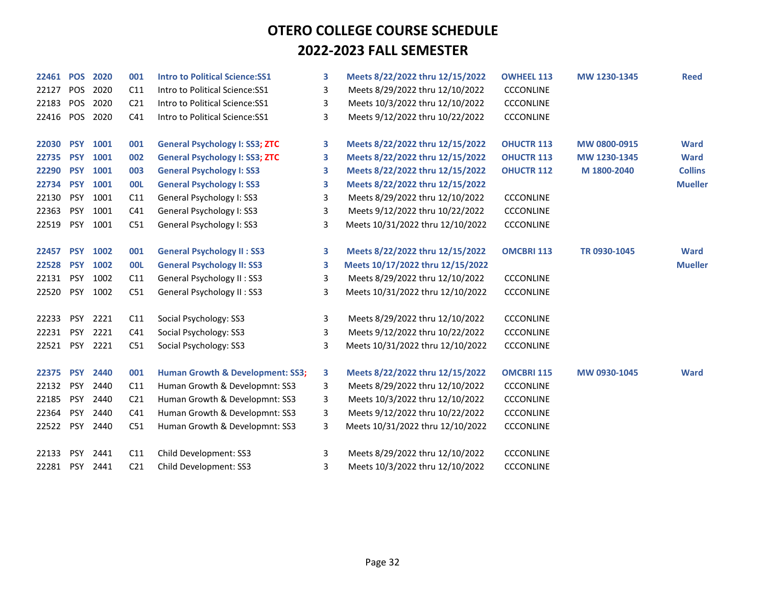| 22461 | <b>POS</b> | 2020 | 001             | <b>Intro to Political Science: SS1</b>      | 3 | Meets 8/22/2022 thru 12/15/2022  | <b>OWHEEL 113</b> | MW 1230-1345 | <b>Reed</b>    |
|-------|------------|------|-----------------|---------------------------------------------|---|----------------------------------|-------------------|--------------|----------------|
| 22127 | <b>POS</b> | 2020 | C11             | Intro to Political Science:SS1              | 3 | Meets 8/29/2022 thru 12/10/2022  | <b>CCCONLINE</b>  |              |                |
| 22183 | POS        | 2020 | C <sub>21</sub> | Intro to Political Science:SS1              | 3 | Meets 10/3/2022 thru 12/10/2022  | <b>CCCONLINE</b>  |              |                |
| 22416 | <b>POS</b> | 2020 | C41             | Intro to Political Science:SS1              | 3 | Meets 9/12/2022 thru 10/22/2022  | <b>CCCONLINE</b>  |              |                |
|       |            |      |                 |                                             |   |                                  |                   |              |                |
| 22030 | <b>PSY</b> | 1001 | 001             | <b>General Psychology I: SS3; ZTC</b>       | 3 | Meets 8/22/2022 thru 12/15/2022  | <b>OHUCTR 113</b> | MW 0800-0915 | <b>Ward</b>    |
| 22735 | <b>PSY</b> | 1001 | 002             | <b>General Psychology I: SS3; ZTC</b>       | 3 | Meets 8/22/2022 thru 12/15/2022  | <b>OHUCTR 113</b> | MW 1230-1345 | <b>Ward</b>    |
| 22290 | <b>PSY</b> | 1001 | 003             | <b>General Psychology I: SS3</b>            | 3 | Meets 8/22/2022 thru 12/15/2022  | <b>OHUCTR 112</b> | M 1800-2040  | <b>Collins</b> |
| 22734 | <b>PSY</b> | 1001 | <b>OOL</b>      | <b>General Psychology I: SS3</b>            | 3 | Meets 8/22/2022 thru 12/15/2022  |                   |              | <b>Mueller</b> |
| 22130 | <b>PSY</b> | 1001 | C11             | General Psychology I: SS3                   | 3 | Meets 8/29/2022 thru 12/10/2022  | <b>CCCONLINE</b>  |              |                |
| 22363 | <b>PSY</b> | 1001 | C <sub>41</sub> | General Psychology I: SS3                   | 3 | Meets 9/12/2022 thru 10/22/2022  | <b>CCCONLINE</b>  |              |                |
| 22519 | <b>PSY</b> | 1001 | C51             | General Psychology I: SS3                   | 3 | Meets 10/31/2022 thru 12/10/2022 | <b>CCCONLINE</b>  |              |                |
|       |            |      |                 |                                             |   |                                  |                   |              |                |
| 22457 | <b>PSY</b> | 1002 | 001             | <b>General Psychology II: SS3</b>           | 3 | Meets 8/22/2022 thru 12/15/2022  | <b>OMCBRI 113</b> | TR 0930-1045 | <b>Ward</b>    |
| 22528 | <b>PSY</b> | 1002 | <b>OOL</b>      | <b>General Psychology II: SS3</b>           | 3 | Meets 10/17/2022 thru 12/15/2022 |                   |              | <b>Mueller</b> |
| 22131 | <b>PSY</b> | 1002 | C11             | General Psychology II: SS3                  | 3 | Meets 8/29/2022 thru 12/10/2022  | <b>CCCONLINE</b>  |              |                |
| 22520 | <b>PSY</b> | 1002 | C51             | General Psychology II : SS3                 | 3 | Meets 10/31/2022 thru 12/10/2022 | <b>CCCONLINE</b>  |              |                |
|       |            |      |                 |                                             |   |                                  |                   |              |                |
| 22233 | <b>PSY</b> | 2221 | C11             | Social Psychology: SS3                      | 3 | Meets 8/29/2022 thru 12/10/2022  | <b>CCCONLINE</b>  |              |                |
| 22231 | <b>PSY</b> | 2221 | C <sub>41</sub> | Social Psychology: SS3                      | 3 | Meets 9/12/2022 thru 10/22/2022  | <b>CCCONLINE</b>  |              |                |
| 22521 | PSY        | 2221 | C51             | Social Psychology: SS3                      | 3 | Meets 10/31/2022 thru 12/10/2022 | <b>CCCONLINE</b>  |              |                |
|       |            |      |                 |                                             |   |                                  |                   |              |                |
| 22375 | <b>PSY</b> | 2440 | 001             | <b>Human Growth &amp; Development: SS3;</b> | 3 | Meets 8/22/2022 thru 12/15/2022  | <b>OMCBRI 115</b> | MW 0930-1045 | <b>Ward</b>    |
| 22132 | <b>PSY</b> | 2440 | C11             | Human Growth & Developmnt: SS3              | 3 | Meets 8/29/2022 thru 12/10/2022  | <b>CCCONLINE</b>  |              |                |
| 22185 | <b>PSY</b> | 2440 | C <sub>21</sub> | Human Growth & Developmnt: SS3              | 3 | Meets 10/3/2022 thru 12/10/2022  | <b>CCCONLINE</b>  |              |                |
| 22364 | <b>PSY</b> | 2440 | C41             | Human Growth & Developmnt: SS3              | 3 | Meets 9/12/2022 thru 10/22/2022  | <b>CCCONLINE</b>  |              |                |
| 22522 | <b>PSY</b> | 2440 | C51             | Human Growth & Developmnt: SS3              | 3 | Meets 10/31/2022 thru 12/10/2022 | <b>CCCONLINE</b>  |              |                |
|       |            |      |                 |                                             |   |                                  |                   |              |                |
| 22133 | <b>PSY</b> | 2441 | C11             | Child Development: SS3                      | 3 | Meets 8/29/2022 thru 12/10/2022  | <b>CCCONLINE</b>  |              |                |
| 22281 | <b>PSY</b> | 2441 | C <sub>21</sub> | Child Development: SS3                      | 3 | Meets 10/3/2022 thru 12/10/2022  | <b>CCCONLINE</b>  |              |                |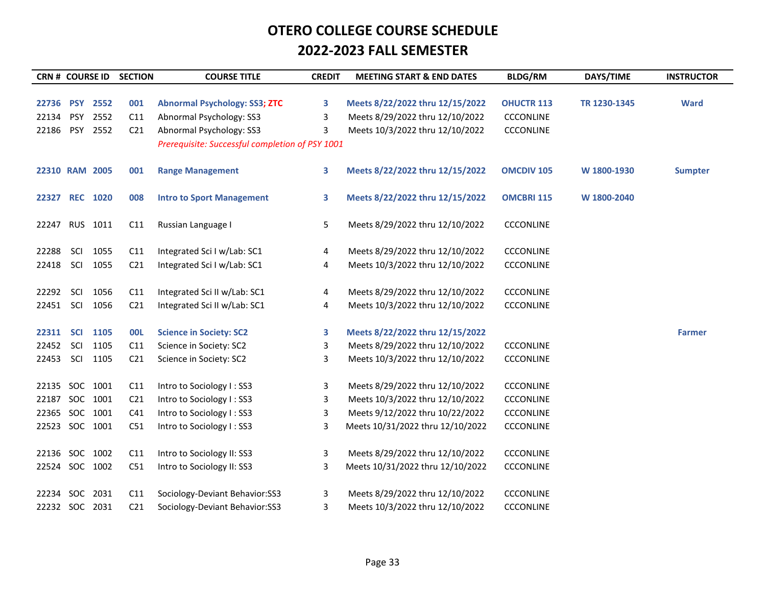| <b>CRN # COURSE ID</b> |            |      | <b>SECTION</b>  | <b>COURSE TITLE</b>                             | <b>CREDIT</b> | <b>MEETING START &amp; END DATES</b> | <b>BLDG/RM</b>    | DAYS/TIME    | <b>INSTRUCTOR</b> |
|------------------------|------------|------|-----------------|-------------------------------------------------|---------------|--------------------------------------|-------------------|--------------|-------------------|
|                        |            |      |                 |                                                 |               |                                      |                   |              |                   |
| 22736                  | <b>PSY</b> | 2552 | 001             | <b>Abnormal Psychology: SS3; ZTC</b>            | 3             | Meets 8/22/2022 thru 12/15/2022      | <b>OHUCTR 113</b> | TR 1230-1345 | <b>Ward</b>       |
| 22134                  | <b>PSY</b> | 2552 | C11             | Abnormal Psychology: SS3                        | 3             | Meets 8/29/2022 thru 12/10/2022      | <b>CCCONLINE</b>  |              |                   |
| 22186                  | <b>PSY</b> | 2552 | C <sub>21</sub> | Abnormal Psychology: SS3                        | 3             | Meets 10/3/2022 thru 12/10/2022      | <b>CCCONLINE</b>  |              |                   |
|                        |            |      |                 | Prerequisite: Successful completion of PSY 1001 |               |                                      |                   |              |                   |
| 22310 RAM 2005         |            |      | 001             | <b>Range Management</b>                         | 3             | Meets 8/22/2022 thru 12/15/2022      | <b>OMCDIV 105</b> | W 1800-1930  | <b>Sumpter</b>    |
| 22327                  | <b>REC</b> | 1020 | 008             | <b>Intro to Sport Management</b>                | 3             | Meets 8/22/2022 thru 12/15/2022      | <b>OMCBRI 115</b> | W 1800-2040  |                   |
| 22247 RUS              |            | 1011 | C11             | Russian Language I                              | 5             | Meets 8/29/2022 thru 12/10/2022      | <b>CCCONLINE</b>  |              |                   |
| 22288                  | SCI        | 1055 | C11             | Integrated Sci I w/Lab: SC1                     | 4             | Meets 8/29/2022 thru 12/10/2022      | <b>CCCONLINE</b>  |              |                   |
| 22418                  | SCI        | 1055 | C <sub>21</sub> | Integrated Sci I w/Lab: SC1                     | 4             | Meets 10/3/2022 thru 12/10/2022      | <b>CCCONLINE</b>  |              |                   |
|                        |            |      |                 |                                                 |               |                                      |                   |              |                   |
| 22292                  | <b>SCI</b> | 1056 | C11             | Integrated Sci II w/Lab: SC1                    | 4             | Meets 8/29/2022 thru 12/10/2022      | <b>CCCONLINE</b>  |              |                   |
| 22451 SCI              |            | 1056 | C <sub>21</sub> | Integrated Sci II w/Lab: SC1                    | 4             | Meets 10/3/2022 thru 12/10/2022      | <b>CCCONLINE</b>  |              |                   |
|                        |            |      |                 |                                                 |               |                                      |                   |              |                   |
| 22311 SCI              |            | 1105 | <b>00L</b>      | <b>Science in Society: SC2</b>                  | 3             | Meets 8/22/2022 thru 12/15/2022      |                   |              | <b>Farmer</b>     |
| 22452                  | <b>SCI</b> | 1105 | C11             | Science in Society: SC2                         | 3             | Meets 8/29/2022 thru 12/10/2022      | <b>CCCONLINE</b>  |              |                   |
| 22453                  | SCI        | 1105 | C <sub>21</sub> | Science in Society: SC2                         | 3             | Meets 10/3/2022 thru 12/10/2022      | <b>CCCONLINE</b>  |              |                   |
|                        |            |      |                 |                                                 |               |                                      |                   |              |                   |
| 22135 SOC 1001         |            |      | C11             | Intro to Sociology I: SS3                       | 3             | Meets 8/29/2022 thru 12/10/2022      | <b>CCCONLINE</b>  |              |                   |
| 22187 SOC              |            | 1001 | C <sub>21</sub> | Intro to Sociology I: SS3                       | 3             | Meets 10/3/2022 thru 12/10/2022      | CCCONLINE         |              |                   |
| 22365 SOC 1001         |            |      | C41             | Intro to Sociology I: SS3                       | 3             | Meets 9/12/2022 thru 10/22/2022      | <b>CCCONLINE</b>  |              |                   |
| 22523 SOC 1001         |            |      | C51             | Intro to Sociology I: SS3                       | 3             | Meets 10/31/2022 thru 12/10/2022     | CCCONLINE         |              |                   |
| 22136 SOC 1002         |            |      | C11             | Intro to Sociology II: SS3                      | 3             | Meets 8/29/2022 thru 12/10/2022      | <b>CCCONLINE</b>  |              |                   |
| 22524 SOC 1002         |            |      | C51             | Intro to Sociology II: SS3                      | 3             | Meets 10/31/2022 thru 12/10/2022     | <b>CCCONLINE</b>  |              |                   |
|                        |            |      |                 |                                                 |               |                                      |                   |              |                   |
| 22234 SOC 2031         |            |      | C11             | Sociology-Deviant Behavior:SS3                  | 3             | Meets 8/29/2022 thru 12/10/2022      | <b>CCCONLINE</b>  |              |                   |
| 22232 SOC 2031         |            |      | C <sub>21</sub> | Sociology-Deviant Behavior:SS3                  | 3             | Meets 10/3/2022 thru 12/10/2022      | <b>CCCONLINE</b>  |              |                   |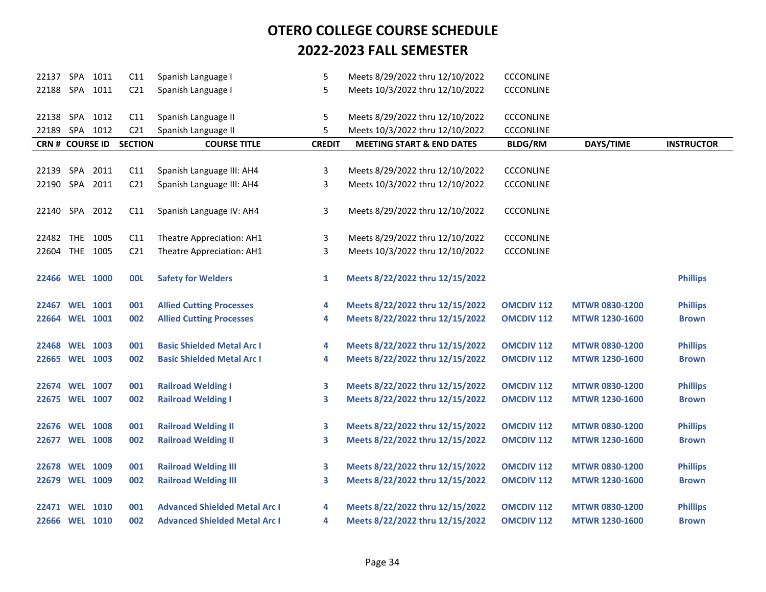| 22137 SPA 1011         |      | C11             | Spanish Language I                   | 5             | Meets 8/29/2022 thru 12/10/2022      | <b>CCCONLINE</b>  |                       |                   |
|------------------------|------|-----------------|--------------------------------------|---------------|--------------------------------------|-------------------|-----------------------|-------------------|
| 22188 SPA 1011         |      | C <sub>21</sub> | Spanish Language I                   | 5             | Meets 10/3/2022 thru 12/10/2022      | <b>CCCONLINE</b>  |                       |                   |
|                        |      |                 |                                      |               |                                      |                   |                       |                   |
| 22138 SPA 1012         |      | C11             | Spanish Language II                  | 5             | Meets 8/29/2022 thru 12/10/2022      | <b>CCCONLINE</b>  |                       |                   |
| 22189 SPA 1012         |      | C <sub>21</sub> | Spanish Language II                  | 5             | Meets 10/3/2022 thru 12/10/2022      | <b>CCCONLINE</b>  |                       |                   |
| <b>CRN # COURSE ID</b> |      | <b>SECTION</b>  | <b>COURSE TITLE</b>                  | <b>CREDIT</b> | <b>MEETING START &amp; END DATES</b> | <b>BLDG/RM</b>    | DAYS/TIME             | <b>INSTRUCTOR</b> |
|                        |      |                 |                                      |               |                                      |                   |                       |                   |
| 22139 SPA              | 2011 | C11             | Spanish Language III: AH4            | 3             | Meets 8/29/2022 thru 12/10/2022      | <b>CCCONLINE</b>  |                       |                   |
| 22190 SPA 2011         |      | C <sub>21</sub> | Spanish Language III: AH4            | 3             | Meets 10/3/2022 thru 12/10/2022      | <b>CCCONLINE</b>  |                       |                   |
|                        |      |                 |                                      |               |                                      |                   |                       |                   |
| 22140 SPA 2012         |      | C11             | Spanish Language IV: AH4             | 3             | Meets 8/29/2022 thru 12/10/2022      | <b>CCCONLINE</b>  |                       |                   |
|                        |      |                 |                                      |               |                                      |                   |                       |                   |
| 22482 THE 1005         |      | C11             | Theatre Appreciation: AH1            | 3             | Meets 8/29/2022 thru 12/10/2022      | <b>CCCONLINE</b>  |                       |                   |
| 22604 THE 1005         |      | C <sub>21</sub> | Theatre Appreciation: AH1            | 3             | Meets 10/3/2022 thru 12/10/2022      | <b>CCCONLINE</b>  |                       |                   |
|                        |      |                 |                                      |               |                                      |                   |                       |                   |
| 22466 WEL 1000         |      | <b>OOL</b>      | <b>Safety for Welders</b>            | 1             | Meets 8/22/2022 thru 12/15/2022      |                   |                       | <b>Phillips</b>   |
|                        |      |                 |                                      |               |                                      |                   |                       |                   |
| 22467 WEL 1001         |      | 001             | <b>Allied Cutting Processes</b>      | 4             | Meets 8/22/2022 thru 12/15/2022      | <b>OMCDIV 112</b> | <b>MTWR 0830-1200</b> | <b>Phillips</b>   |
| 22664 WEL 1001         |      | 002             | <b>Allied Cutting Processes</b>      | 4             | Meets 8/22/2022 thru 12/15/2022      | <b>OMCDIV 112</b> | <b>MTWR 1230-1600</b> | <b>Brown</b>      |
|                        |      |                 |                                      |               |                                      |                   |                       |                   |
| 22468 WEL 1003         |      | 001             | <b>Basic Shielded Metal Arc I</b>    | 4             | Meets 8/22/2022 thru 12/15/2022      | <b>OMCDIV 112</b> | <b>MTWR 0830-1200</b> | <b>Phillips</b>   |
| 22665 WEL 1003         |      | 002             | <b>Basic Shielded Metal Arc I</b>    | 4             | Meets 8/22/2022 thru 12/15/2022      | <b>OMCDIV 112</b> | <b>MTWR 1230-1600</b> | <b>Brown</b>      |
|                        |      |                 |                                      |               |                                      |                   |                       |                   |
| 22674 WEL 1007         |      | 001             | <b>Railroad Welding I</b>            | 3             | Meets 8/22/2022 thru 12/15/2022      | <b>OMCDIV 112</b> | <b>MTWR 0830-1200</b> | <b>Phillips</b>   |
| 22675 WEL 1007         |      | 002             | <b>Railroad Welding I</b>            | 3             | Meets 8/22/2022 thru 12/15/2022      | <b>OMCDIV 112</b> | <b>MTWR 1230-1600</b> | <b>Brown</b>      |
|                        |      |                 |                                      |               |                                      |                   |                       |                   |
| 22676 WEL 1008         |      | 001             | <b>Railroad Welding II</b>           | 3             | Meets 8/22/2022 thru 12/15/2022      | <b>OMCDIV 112</b> | <b>MTWR 0830-1200</b> | <b>Phillips</b>   |
| 22677 WEL 1008         |      | 002             | <b>Railroad Welding II</b>           | 3             | Meets 8/22/2022 thru 12/15/2022      | <b>OMCDIV 112</b> | <b>MTWR 1230-1600</b> | <b>Brown</b>      |
|                        |      |                 |                                      |               |                                      |                   |                       |                   |
| 22678 WEL 1009         |      | 001             | <b>Railroad Welding III</b>          | 3             | Meets 8/22/2022 thru 12/15/2022      | <b>OMCDIV 112</b> | <b>MTWR 0830-1200</b> | <b>Phillips</b>   |
| 22679 WEL 1009         |      | 002             | <b>Railroad Welding III</b>          | 3             | Meets 8/22/2022 thru 12/15/2022      | <b>OMCDIV 112</b> | <b>MTWR 1230-1600</b> | <b>Brown</b>      |
|                        |      |                 |                                      |               |                                      |                   |                       |                   |
| 22471 WEL 1010         |      | 001             | <b>Advanced Shielded Metal Arc I</b> | 4             | Meets 8/22/2022 thru 12/15/2022      | <b>OMCDIV 112</b> | <b>MTWR 0830-1200</b> | <b>Phillips</b>   |
| 22666 WEL 1010         |      | 002             | <b>Advanced Shielded Metal Arc I</b> | 4             | Meets 8/22/2022 thru 12/15/2022      | <b>OMCDIV 112</b> | <b>MTWR 1230-1600</b> | <b>Brown</b>      |